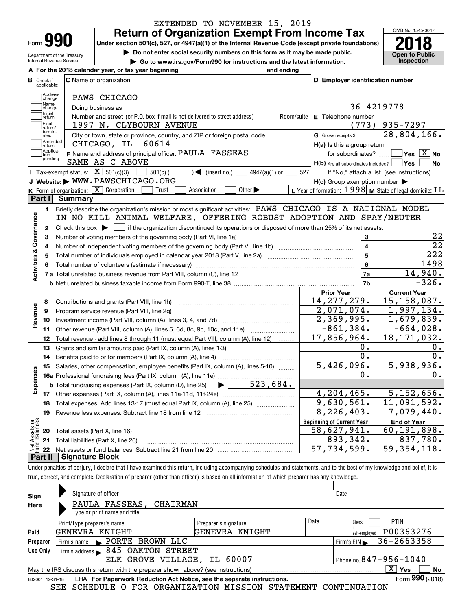Department of the Treasury Internal Revenue Service

### **Return of Organization Exempt From Income Tax** EXTENDED TO NOVEMBER 15, 2019

**Under section 501(c), 527, or 4947(a)(1) of the Internal Revenue Code (except private foundations) 2018**

**| Do not enter social security numbers on this form as it may be made public.**

**| Go to www.irs.gov/Form990 for instructions and the latest information. Inspection**



|                         |                             | A For the 2018 calendar year, or tax year beginning                                                                            | and ending |                                                     |                         |                                                                    |  |  |  |
|-------------------------|-----------------------------|--------------------------------------------------------------------------------------------------------------------------------|------------|-----------------------------------------------------|-------------------------|--------------------------------------------------------------------|--|--|--|
| в                       | Check if<br>applicable:     | <b>C</b> Name of organization                                                                                                  |            | D Employer identification number                    |                         |                                                                    |  |  |  |
|                         | Address<br>change           | PAWS CHICAGO                                                                                                                   |            |                                                     |                         |                                                                    |  |  |  |
|                         | Name<br>change              | Doing business as                                                                                                              |            |                                                     | 36-4219778              |                                                                    |  |  |  |
|                         | Initial<br>return           | Number and street (or P.O. box if mail is not delivered to street address)                                                     | Room/suite | E Telephone number                                  |                         |                                                                    |  |  |  |
|                         | Final<br>return/            | 1997 N. CLYBOURN AVENUE                                                                                                        |            | (773)                                               |                         | 935-7297                                                           |  |  |  |
|                         | termin-<br>ated             | City or town, state or province, country, and ZIP or foreign postal code                                                       |            | G Gross receipts \$                                 |                         | 28,804,166.                                                        |  |  |  |
|                         | Amended<br>return           | CHICAGO, IL<br>60614                                                                                                           |            | $H(a)$ is this a group return                       |                         |                                                                    |  |  |  |
|                         | Applica-<br>tion<br>pending | F Name and address of principal officer: PAULA FASSEAS                                                                         |            | for subordinates?                                   |                         | $\Box$ Yes $[\overline{\mathrm{X}}]$ No                            |  |  |  |
|                         |                             | SAME AS C ABOVE                                                                                                                |            | $H(b)$ Are all subordinates included? $\Box$ Yes    |                         | ∣No                                                                |  |  |  |
|                         |                             | <b>I</b> Tax-exempt status: $\overline{X}$ 501(c)(3)<br>$501(c)$ (<br>$\sqrt{\bullet}$ (insert no.)<br>$4947(a)(1)$ or         | 527        |                                                     |                         | If "No," attach a list. (see instructions)                         |  |  |  |
|                         |                             | J Website: WWW.PAWSCHICAGO.ORG<br>K Form of organization: X Corporation<br>Other $\blacktriangleright$<br>Trust<br>Association |            | $H(c)$ Group exemption number $\blacktriangleright$ |                         | L Year of formation: $1998$ M State of legal domicile: $\text{IL}$ |  |  |  |
|                         | Part I                      | <b>Summary</b>                                                                                                                 |            |                                                     |                         |                                                                    |  |  |  |
|                         | 1.                          | Briefly describe the organization's mission or most significant activities: PAWS CHICAGO IS A NATIONAL MODEL                   |            |                                                     |                         |                                                                    |  |  |  |
|                         |                             | IN NO KILL ANIMAL WELFARE, OFFERING ROBUST ADOPTION AND SPAY/NEUTER                                                            |            |                                                     |                         |                                                                    |  |  |  |
| Activities & Governance | $\mathbf{2}$                |                                                                                                                                |            |                                                     |                         |                                                                    |  |  |  |
|                         | 3                           | Number of voting members of the governing body (Part VI, line 1a)                                                              |            |                                                     | 3                       | 22                                                                 |  |  |  |
|                         | 4                           |                                                                                                                                |            |                                                     | $\overline{\mathbf{4}}$ | $\overline{22}$                                                    |  |  |  |
|                         | 5                           |                                                                                                                                |            |                                                     | $\overline{5}$          | $\overline{222}$                                                   |  |  |  |
|                         |                             |                                                                                                                                |            |                                                     | 6                       | 1498                                                               |  |  |  |
|                         |                             |                                                                                                                                |            |                                                     | 7a                      | 14,940.                                                            |  |  |  |
|                         |                             |                                                                                                                                |            |                                                     | 7b                      | $-326.$                                                            |  |  |  |
|                         |                             |                                                                                                                                |            | <b>Prior Year</b>                                   |                         | <b>Current Year</b>                                                |  |  |  |
|                         | 8                           | Contributions and grants (Part VIII, line 1h)                                                                                  |            | 14, 277, 279.                                       |                         | 15, 158, 087.                                                      |  |  |  |
| Revenue                 | 9                           | Program service revenue (Part VIII, line 2g)                                                                                   |            | 2,071,074.                                          |                         | 1,997,134.                                                         |  |  |  |
|                         | 10                          |                                                                                                                                |            | 2,369,995.                                          |                         | 1,679,839.                                                         |  |  |  |
|                         | 11                          | Other revenue (Part VIII, column (A), lines 5, 6d, 8c, 9c, 10c, and 11e)                                                       |            | $-861, 384.$                                        |                         | $-664,028.$                                                        |  |  |  |
|                         | 12                          | Total revenue - add lines 8 through 11 (must equal Part VIII, column (A), line 12)                                             |            | 17,856,964.                                         |                         | 18, 171, 032.                                                      |  |  |  |
|                         | 13                          | Grants and similar amounts paid (Part IX, column (A), lines 1-3) <i>manumanonononononon</i>                                    |            |                                                     | 0.<br>$\overline{0}$ .  | ο.<br>$0$ .                                                        |  |  |  |
|                         | 14                          | Benefits paid to or for members (Part IX, column (A), line 4)                                                                  |            | 5,426,096.                                          |                         | 5,938,936.                                                         |  |  |  |
|                         | 15                          | Salaries, other compensation, employee benefits (Part IX, column (A), lines 5-10)                                              |            |                                                     | ο.                      | 0.                                                                 |  |  |  |
|                         |                             | $\blacktriangleright$ 523,684.<br><b>b</b> Total fundraising expenses (Part IX, column (D), line 25)                           |            |                                                     |                         |                                                                    |  |  |  |
| Expenses                |                             |                                                                                                                                |            | 4,204,465.                                          |                         | 5, 152, 656.                                                       |  |  |  |
|                         | 18                          | Total expenses. Add lines 13-17 (must equal Part IX, column (A), line 25) [                                                    |            | 9,630,561.                                          |                         | 11,091,592.                                                        |  |  |  |
|                         | 19                          |                                                                                                                                |            | $\overline{8}$ , 226, 403.                          |                         | 7,079,440.                                                         |  |  |  |
| έğ                      |                             |                                                                                                                                |            | <b>Beginning of Current Year</b>                    |                         | <b>End of Year</b>                                                 |  |  |  |
| sets<br>als:            |                             | <b>20</b> Total assets (Part X, line 16)                                                                                       |            | 58,627,941.                                         |                         | 60, 191, 898.                                                      |  |  |  |
|                         | 21                          | Total liabilities (Part X, line 26)                                                                                            |            | 893,342.                                            |                         | 837,780.                                                           |  |  |  |
|                         | 22                          |                                                                                                                                |            | 57,734,599.                                         |                         | 59, 354, 118.                                                      |  |  |  |
|                         | Part II                     | <b>Signature Block</b>                                                                                                         |            |                                                     |                         |                                                                    |  |  |  |

Under penalties of perjury, I declare that I have examined this return, including accompanying schedules and statements, and to the best of my knowledge and belief, it is true, correct, and complete. Declaration of preparer (other than officer) is based on all information of which preparer has any knowledge.

| Sign     | Signature of officer                                                                                          |                       |                              | Date                       |  |  |  |  |
|----------|---------------------------------------------------------------------------------------------------------------|-----------------------|------------------------------|----------------------------|--|--|--|--|
| Here     | PAULA FASSEAS,<br>CHAIRMAN                                                                                    |                       |                              |                            |  |  |  |  |
|          | Type or print name and title                                                                                  |                       |                              |                            |  |  |  |  |
|          | Print/Type preparer's name                                                                                    | Preparer's signature  | Date                         | <b>PTIN</b><br>Check       |  |  |  |  |
| Paid     | GENEVRA KNIGHT                                                                                                | <b>GENEVRA KNIGHT</b> |                              | P00363276<br>self-employed |  |  |  |  |
| Preparer | Firm's name PORTE BROWN<br>LLC                                                                                |                       |                              | 36-2663358<br>Firm's $EIN$ |  |  |  |  |
| Use Only | 845 OAKTON STREET<br>Firm's address                                                                           |                       |                              |                            |  |  |  |  |
|          | ELK GROVE VILLAGE, IL 60007                                                                                   |                       | Phone no. $847 - 956 - 1040$ |                            |  |  |  |  |
|          | $\overline{X}$ Yes<br>No<br>May the IRS discuss this return with the preparer shown above? (see instructions) |                       |                              |                            |  |  |  |  |
|          | Form 990 (2018)<br>LHA For Paperwork Reduction Act Notice, see the separate instructions.<br>832001 12-31-18  |                       |                              |                            |  |  |  |  |

SEE SCHEDULE O FOR ORGANIZATION MISSION STATEMENT CONTINUATION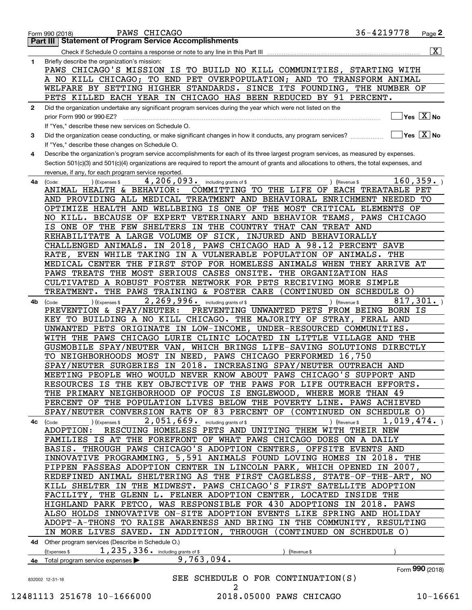|    | Part III   Statement of Program Service Accomplishments                                                                                      | $\overline{\mathbf{x}}$                                          |
|----|----------------------------------------------------------------------------------------------------------------------------------------------|------------------------------------------------------------------|
|    |                                                                                                                                              |                                                                  |
| 1. | Briefly describe the organization's mission:                                                                                                 |                                                                  |
|    | PAWS CHICAGO'S MISSION IS TO BUILD NO KILL COMMUNITIES, STARTING WITH                                                                        |                                                                  |
|    | A NO KILL CHICAGO; TO END PET OVERPOPULATION; AND TO TRANSFORM ANIMAL                                                                        |                                                                  |
|    | WELFARE BY SETTING HIGHER STANDARDS. SINCE ITS FOUNDING, THE NUMBER OF                                                                       |                                                                  |
|    | PETS KILLED EACH YEAR IN CHICAGO HAS BEEN REDUCED BY 91 PERCENT.                                                                             |                                                                  |
| 2  | Did the organization undertake any significant program services during the year which were not listed on the                                 |                                                                  |
|    | prior Form 990 or 990-EZ?                                                                                                                    | $ {\mathsf Y}{\mathsf e}{\mathsf s} \ \overline{{\mathsf X}}$ No |
|    | If "Yes." describe these new services on Schedule O.                                                                                         |                                                                  |
| 3  | Did the organization cease conducting, or make significant changes in how it conducts, any program services?                                 | $\overline{\ }$ Yes $\overline{\rm X}$ No                        |
|    | If "Yes," describe these changes on Schedule O.                                                                                              |                                                                  |
| 4  | Describe the organization's program service accomplishments for each of its three largest program services, as measured by expenses.         |                                                                  |
|    | Section 501(c)(3) and 501(c)(4) organizations are required to report the amount of grants and allocations to others, the total expenses, and |                                                                  |
|    | revenue, if any, for each program service reported.                                                                                          |                                                                  |
|    | 4,206,093.                                                                                                                                   | 160, 359.                                                        |
| 4a | including grants of \$<br>(Code:<br>(Expenses \$<br>(Revenue \$<br>ANIMAL HEALTH & BEHAVIOR:<br>COMMITTING TO THE LIFE OF EACH TREATABLE PET |                                                                  |
|    |                                                                                                                                              |                                                                  |
|    | AND PROVIDING ALL MEDICAL TREATMENT AND BEHAVIORAL ENRICHMENT NEEDED TO                                                                      |                                                                  |
|    | OPTIMIZE HEALTH AND WELLBEING IS ONE OF THE MOST CRITICAL ELEMENTS OF                                                                        |                                                                  |
|    | NO KILL. BECAUSE OF EXPERT VETERINARY AND BEHAVIOR TEAMS, PAWS CHICAGO                                                                       |                                                                  |
|    | IS ONE OF THE FEW SHELTERS IN THE COUNTRY THAT CAN TREAT AND                                                                                 |                                                                  |
|    | REHABILITATE A LARGE VOLUME OF SICK, INJURED AND BEHAVIORALLY                                                                                |                                                                  |
|    | CHALLENGED ANIMALS. IN 2018, PAWS CHICAGO HAD A 98.12 PERCENT SAVE                                                                           |                                                                  |
|    | RATE, EVEN WHILE TAKING IN A VULNERABLE POPULATION OF ANIMALS. THE                                                                           |                                                                  |
|    | MEDICAL CENTER THE FIRST STOP FOR HOMELESS ANIMALS WHEN THEY ARRIVE AT                                                                       |                                                                  |
|    | PAWS TREATS THE MOST SERIOUS CASES ONSITE. THE ORGANIZATION HAS                                                                              |                                                                  |
|    | CULTIVATED A ROBUST FOSTER NETWORK FOR PETS RECEIVING MORE SIMPLE                                                                            |                                                                  |
|    | THE PAWS TRAINING & FOSTER CARE (CONTINUED ON SCHEDULE O)<br><b>TREATMENT.</b>                                                               |                                                                  |
| 4b | 2, 269, 996. including grants of \$<br>) (Expenses \$<br>(Revenue \$<br>(Code:                                                               | 817,301.                                                         |
|    | PREVENTING UNWANTED PETS FROM BEING BORN IS<br>PREVENTION & SPAY/NEUTER:                                                                     |                                                                  |
|    | KEY TO BUILDING A NO KILL CHICAGO. THE MAJORITY OF STRAY, FERAL AND                                                                          |                                                                  |
|    | UNWANTED PETS ORIGINATE IN LOW-INCOME, UNDER-RESOURCED COMMUNITIES.                                                                          |                                                                  |
|    | WITH THE PAWS CHICAGO LURIE CLINIC LOCATED IN LITTLE VILLAGE AND THE                                                                         |                                                                  |
|    | GUSMOBILE SPAY/NEUTER VAN, WHICH BRINGS LIFE-SAVING SOLUTIONS DIRECTLY                                                                       |                                                                  |
|    |                                                                                                                                              |                                                                  |
|    | TO NEIGHBORHOODS MOST IN NEED, PAWS CHICAGO PERFORMED 16,750                                                                                 |                                                                  |
|    | SPAY/NEUTER SURGERIES IN 2018. INCREASING SPAY/NEUTER OUTREACH AND                                                                           |                                                                  |
|    | MEETING PEOPLE WHO WOULD NEVER KNOW ABOUT PAWS CHICAGO'S SUPPORT AND                                                                         |                                                                  |
|    | RESOURCES IS THE KEY OBJECTIVE OF THE PAWS FOR LIFE OUTREACH EFFORTS.                                                                        |                                                                  |
|    | THE PRIMARY NEIGHBORHOOD OF FOCUS IS ENGLEWOOD, WHERE MORE THAN 49                                                                           |                                                                  |
|    | PERCENT OF THE POPULATION LIVES BELOW THE POVERTY LINE. PAWS ACHIEVED                                                                        |                                                                  |
|    | SPAY/NEUTER CONVERSION RATE OF 83 PERCENT OF (CONTINUED ON SCHEDULE O)                                                                       |                                                                  |
| 4c | 2,051,669. including grants of \$<br>1,019,474.<br>(Expenses \$<br>) (Revenue \$<br>(Code:                                                   |                                                                  |
|    | RESCUING HOMELESS PETS AND UNITING THEM WITH THEIR NEW<br>ADOPTION:                                                                          |                                                                  |
|    | FAMILIES IS AT THE FOREFRONT OF WHAT PAWS CHICAGO DOES ON A DAILY                                                                            |                                                                  |
|    | BASIS. THROUGH PAWS CHICAGO'S ADOPTION CENTERS, OFFSITE EVENTS AND                                                                           |                                                                  |
|    | INNOVATIVE PROGRAMMING, 5,591 ANIMALS FOUND LOVING HOMES IN 2018. THE                                                                        |                                                                  |
|    | PIPPEN FASSEAS ADOPTION CENTER IN LINCOLN PARK, WHICH OPENED IN 2007,                                                                        |                                                                  |
|    | REDEFINED ANIMAL SHELTERING AS THE FIRST CAGELESS, STATE-OF-THE-ART, NO                                                                      |                                                                  |
|    | KILL SHELTER IN THE MIDWEST. PAWS CHICAGO'S FIRST SATELLITE ADOPTION                                                                         |                                                                  |
|    | FACILITY, THE GLENN L. FELNER ADOPTION CENTER, LOCATED INSIDE THE                                                                            |                                                                  |
|    |                                                                                                                                              |                                                                  |
|    | HIGHLAND PARK PETCO, WAS RESPONSIBLE FOR 430 ADOPTIONS IN 2018. PAWS                                                                         |                                                                  |
|    | ALSO HOLDS INNOVATIVE ON-SITE ADOPTION EVENTS LIKE SPRING AND HOLIDAY                                                                        |                                                                  |
|    | ADOPT-A-THONS TO RAISE AWARENESS AND BRING IN THE COMMUNITY, RESULTING                                                                       |                                                                  |
|    | IN MORE LIVES SAVED. IN ADDITION, THROUGH<br>(CONTINUED ON SCHEDULE O)                                                                       |                                                                  |
|    | 4d Other program services (Describe in Schedule O.)                                                                                          |                                                                  |
|    | 1, 235, 336. including grants of \$<br>(Expenses \$<br>(Revenue \$                                                                           |                                                                  |
|    | 9,763,094.<br>Total program service expenses                                                                                                 |                                                                  |
| 4е |                                                                                                                                              |                                                                  |
|    |                                                                                                                                              | Form 990 (2018)                                                  |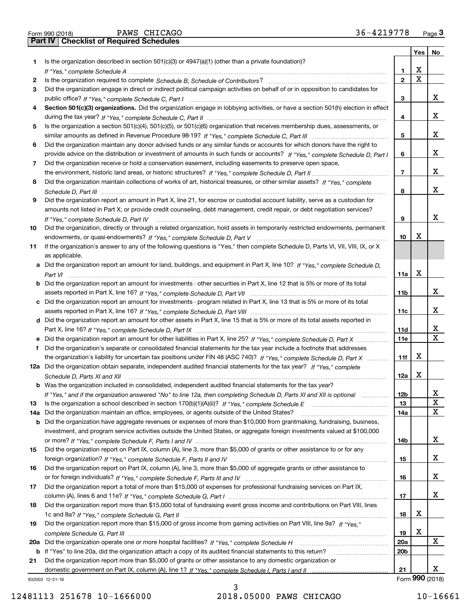|  | Form 990 (2018) |
|--|-----------------|
|  |                 |

Form 990 (2018) Page **3Part IV Checklist of Required Schedules** PAWS CHICAGO 36-4219778

|     |                                                                                                                                      |                 | Yes | No              |
|-----|--------------------------------------------------------------------------------------------------------------------------------------|-----------------|-----|-----------------|
| 1   | Is the organization described in section $501(c)(3)$ or $4947(a)(1)$ (other than a private foundation)?                              |                 |     |                 |
|     |                                                                                                                                      | 1               | Х   |                 |
| 2   |                                                                                                                                      | $\mathbf{2}$    | X   |                 |
| 3   | Did the organization engage in direct or indirect political campaign activities on behalf of or in opposition to candidates for      |                 |     |                 |
|     |                                                                                                                                      | 3               |     | x               |
| 4   | Section 501(c)(3) organizations. Did the organization engage in lobbying activities, or have a section 501(h) election in effect     |                 |     |                 |
|     |                                                                                                                                      | 4               |     | x               |
| 5   | Is the organization a section 501(c)(4), 501(c)(5), or 501(c)(6) organization that receives membership dues, assessments, or         |                 |     |                 |
|     |                                                                                                                                      | 5               |     | x               |
| 6   | Did the organization maintain any donor advised funds or any similar funds or accounts for which donors have the right to            |                 |     |                 |
|     | provide advice on the distribution or investment of amounts in such funds or accounts? If "Yes," complete Schedule D, Part I         | 6               |     | x               |
| 7   | Did the organization receive or hold a conservation easement, including easements to preserve open space,                            |                 |     |                 |
|     |                                                                                                                                      | $\overline{7}$  |     | x               |
| 8   | Did the organization maintain collections of works of art, historical treasures, or other similar assets? If "Yes," complete         |                 |     |                 |
|     |                                                                                                                                      | 8               |     | x               |
|     | Did the organization report an amount in Part X, line 21, for escrow or custodial account liability, serve as a custodian for        |                 |     |                 |
| 9   |                                                                                                                                      |                 |     |                 |
|     | amounts not listed in Part X; or provide credit counseling, debt management, credit repair, or debt negotiation services?            |                 |     | x               |
|     | If "Yes." complete Schedule D, Part IV                                                                                               | 9               |     |                 |
| 10  | Did the organization, directly or through a related organization, hold assets in temporarily restricted endowments, permanent        |                 |     |                 |
|     |                                                                                                                                      | 10              | X   |                 |
| 11  | If the organization's answer to any of the following questions is "Yes," then complete Schedule D, Parts VI, VII, VIII, IX, or X     |                 |     |                 |
|     | as applicable.                                                                                                                       |                 |     |                 |
|     | a Did the organization report an amount for land, buildings, and equipment in Part X, line 10? If "Yes," complete Schedule D,        |                 |     |                 |
|     |                                                                                                                                      | 11a             | х   |                 |
|     | <b>b</b> Did the organization report an amount for investments - other securities in Part X, line 12 that is 5% or more of its total |                 |     |                 |
|     |                                                                                                                                      | 11 <sub>b</sub> |     | x               |
|     | c Did the organization report an amount for investments - program related in Part X, line 13 that is 5% or more of its total         |                 |     |                 |
|     |                                                                                                                                      | 11c             |     | х               |
|     | d Did the organization report an amount for other assets in Part X, line 15 that is 5% or more of its total assets reported in       |                 |     |                 |
|     |                                                                                                                                      | 11d             |     | x               |
|     |                                                                                                                                      | <b>11e</b>      |     | $\mathbf X$     |
| f   | Did the organization's separate or consolidated financial statements for the tax year include a footnote that addresses              |                 |     |                 |
|     | the organization's liability for uncertain tax positions under FIN 48 (ASC 740)? If "Yes," complete Schedule D, Part X               | 11f             | x   |                 |
|     | 12a Did the organization obtain separate, independent audited financial statements for the tax year? If "Yes," complete              |                 |     |                 |
|     | Schedule D. Parts XI and XII                                                                                                         | 12a             | x   |                 |
|     | <b>b</b> Was the organization included in consolidated, independent audited financial statements for the tax year?                   |                 |     |                 |
|     | If "Yes," and if the organization answered "No" to line 12a, then completing Schedule D, Parts XI and XII is optional                | 12 <sub>b</sub> |     | х               |
| 13  | Is the organization a school described in section $170(b)(1)(A)(ii)?$ If "Yes," complete Schedule E                                  | 13              |     | X               |
| 14a | Did the organization maintain an office, employees, or agents outside of the United States?                                          | 14a             |     | х               |
| b   | Did the organization have aggregate revenues or expenses of more than \$10,000 from grantmaking, fundraising, business,              |                 |     |                 |
|     | investment, and program service activities outside the United States, or aggregate foreign investments valued at \$100,000           |                 |     |                 |
|     |                                                                                                                                      | 14b             |     | x               |
| 15  | Did the organization report on Part IX, column (A), line 3, more than \$5,000 of grants or other assistance to or for any            |                 |     |                 |
|     |                                                                                                                                      | 15              |     | X               |
|     |                                                                                                                                      |                 |     |                 |
| 16  | Did the organization report on Part IX, column (A), line 3, more than \$5,000 of aggregate grants or other assistance to             |                 |     | X               |
|     |                                                                                                                                      | 16              |     |                 |
| 17  | Did the organization report a total of more than \$15,000 of expenses for professional fundraising services on Part IX,              |                 |     |                 |
|     |                                                                                                                                      | 17              |     | x               |
| 18  | Did the organization report more than \$15,000 total of fundraising event gross income and contributions on Part VIII, lines         |                 |     |                 |
|     |                                                                                                                                      | 18              | х   |                 |
| 19  | Did the organization report more than \$15,000 of gross income from gaming activities on Part VIII, line 9a? If "Yes."               |                 |     |                 |
|     |                                                                                                                                      | 19              | х   |                 |
|     | 20a Did the organization operate one or more hospital facilities? If "Yes," complete Schedule H                                      | <b>20a</b>      |     | X               |
| b   | If "Yes" to line 20a, did the organization attach a copy of its audited financial statements to this return?                         | 20 <sub>b</sub> |     |                 |
| 21  | Did the organization report more than \$5,000 of grants or other assistance to any domestic organization or                          |                 |     |                 |
|     |                                                                                                                                      | 21              |     | X               |
|     | 832003 12-31-18                                                                                                                      |                 |     | Form 990 (2018) |

3 12481113 251678 10-1666000 2018.05000 PAWS CHICAGO 10-16661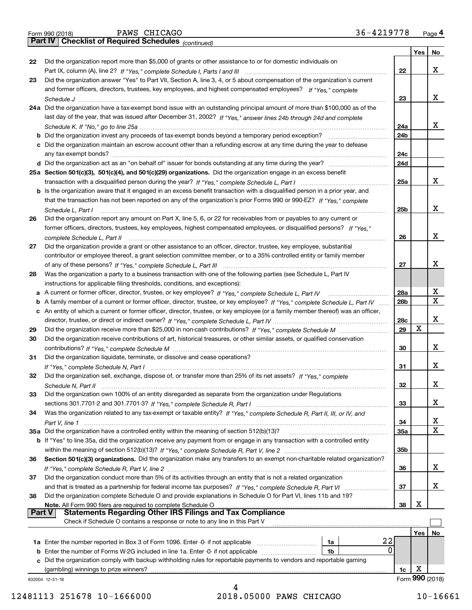|  | Form 990 (2018) |  |
|--|-----------------|--|
|  |                 |  |

*(continued)*

|        |                                                                                                                                   |                 | Yes | No              |
|--------|-----------------------------------------------------------------------------------------------------------------------------------|-----------------|-----|-----------------|
| 22     | Did the organization report more than \$5,000 of grants or other assistance to or for domestic individuals on                     |                 |     |                 |
|        |                                                                                                                                   | 22              |     | x               |
| 23     | Did the organization answer "Yes" to Part VII, Section A, line 3, 4, or 5 about compensation of the organization's current        |                 |     |                 |
|        | and former officers, directors, trustees, key employees, and highest compensated employees? If "Yes," complete                    |                 |     |                 |
|        |                                                                                                                                   | 23              |     | x               |
|        | 24a Did the organization have a tax-exempt bond issue with an outstanding principal amount of more than \$100,000 as of the       |                 |     |                 |
|        | last day of the year, that was issued after December 31, 2002? If "Yes," answer lines 24b through 24d and complete                |                 |     |                 |
|        |                                                                                                                                   | 24a             |     | x               |
|        |                                                                                                                                   | 24 <sub>b</sub> |     |                 |
|        | c Did the organization maintain an escrow account other than a refunding escrow at any time during the year to defease            |                 |     |                 |
|        |                                                                                                                                   | 24c<br>24d      |     |                 |
|        |                                                                                                                                   |                 |     |                 |
|        | 25a Section 501(c)(3), 501(c)(4), and 501(c)(29) organizations. Did the organization engage in an excess benefit                  | 25a             |     | x               |
|        | b Is the organization aware that it engaged in an excess benefit transaction with a disqualified person in a prior year, and      |                 |     |                 |
|        | that the transaction has not been reported on any of the organization's prior Forms 990 or 990-EZ? If "Yes," complete             |                 |     |                 |
|        | Schedule L. Part I                                                                                                                | 25 <sub>b</sub> |     | x               |
| 26     | Did the organization report any amount on Part X, line 5, 6, or 22 for receivables from or payables to any current or             |                 |     |                 |
|        | former officers, directors, trustees, key employees, highest compensated employees, or disqualified persons? If "Yes."            |                 |     |                 |
|        | complete Schedule L, Part II                                                                                                      | 26              |     | x               |
| 27     | Did the organization provide a grant or other assistance to an officer, director, trustee, key employee, substantial              |                 |     |                 |
|        | contributor or employee thereof, a grant selection committee member, or to a 35% controlled entity or family member               |                 |     |                 |
|        |                                                                                                                                   | 27              |     | x               |
| 28     | Was the organization a party to a business transaction with one of the following parties (see Schedule L, Part IV                 |                 |     |                 |
|        | instructions for applicable filing thresholds, conditions, and exceptions):                                                       |                 |     |                 |
| a      | A current or former officer, director, trustee, or key employee? If "Yes," complete Schedule L, Part IV                           | 28a             |     | х               |
| b      | A family member of a current or former officer, director, trustee, or key employee? If "Yes," complete Schedule L, Part IV        | 28b             |     | X               |
|        | c An entity of which a current or former officer, director, trustee, or key employee (or a family member thereof) was an officer, |                 |     |                 |
|        |                                                                                                                                   | 28c             |     | x               |
| 29     |                                                                                                                                   | 29              | X   |                 |
| 30     | Did the organization receive contributions of art, historical treasures, or other similar assets, or qualified conservation       |                 |     |                 |
|        |                                                                                                                                   | 30              |     | x               |
| 31     | Did the organization liquidate, terminate, or dissolve and cease operations?                                                      |                 |     |                 |
|        |                                                                                                                                   | 31              |     | x               |
| 32     | Did the organization sell, exchange, dispose of, or transfer more than 25% of its net assets? If "Yes," complete                  |                 |     | x               |
|        | Schedule N. Part II (et al., et al., et al., et al., et al., et al., et al., et al., et al., et al., et al., e                    | 32              |     |                 |
| 33     | Did the organization own 100% of an entity disregarded as separate from the organization under Regulations                        | 33              |     | x               |
| 34     |                                                                                                                                   |                 |     |                 |
|        | Was the organization related to any tax-exempt or taxable entity? If "Yes," complete Schedule R, Part II, III, or IV, and         | 34              |     | X               |
|        | 35a Did the organization have a controlled entity within the meaning of section 512(b)(13)?                                       | 35a             |     | x               |
|        | b If "Yes" to line 35a, did the organization receive any payment from or engage in any transaction with a controlled entity       |                 |     |                 |
|        |                                                                                                                                   | 35b             |     |                 |
| 36     | Section 501(c)(3) organizations. Did the organization make any transfers to an exempt non-charitable related organization?        |                 |     |                 |
|        |                                                                                                                                   | 36              |     | x               |
| 37     | Did the organization conduct more than 5% of its activities through an entity that is not a related organization                  |                 |     |                 |
|        | and that is treated as a partnership for federal income tax purposes? If "Yes," complete Schedule R, Part VI                      | 37              |     | x               |
| 38     | Did the organization complete Schedule O and provide explanations in Schedule O for Part VI, lines 11b and 19?                    |                 |     |                 |
|        | Note. All Form 990 filers are required to complete Schedule O                                                                     | 38              | х   |                 |
| Part V | <b>Statements Regarding Other IRS Filings and Tax Compliance</b>                                                                  |                 |     |                 |
|        | Check if Schedule O contains a response or note to any line in this Part V                                                        |                 |     |                 |
|        |                                                                                                                                   |                 | Yes | No              |
|        | 22<br>1a                                                                                                                          |                 |     |                 |
| b      | 0<br>Enter the number of Forms W-2G included in line 1a. Enter -0- if not applicable<br>1b                                        |                 |     |                 |
|        | Did the organization comply with backup withholding rules for reportable payments to vendors and reportable gaming                |                 |     |                 |
|        |                                                                                                                                   | 1c              | х   |                 |
|        | 832004 12-31-18                                                                                                                   |                 |     | Form 990 (2018) |

4 12481113 251678 10-1666000 2018.05000 PAWS CHICAGO 10-16661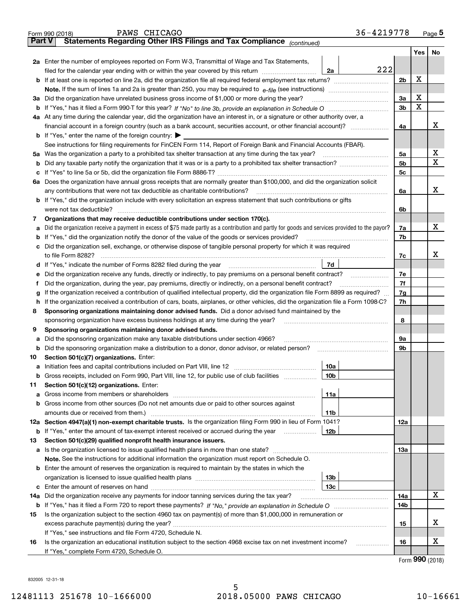|               | 36-4219778<br>PAWS CHICAGO<br>Form 990 (2018)                                                                                                          |                |       | $Page$ <sup>5</sup> |
|---------------|--------------------------------------------------------------------------------------------------------------------------------------------------------|----------------|-------|---------------------|
| <b>Part V</b> | Statements Regarding Other IRS Filings and Tax Compliance (continued)                                                                                  |                |       |                     |
|               |                                                                                                                                                        |                | Yes l | No.                 |
|               | 2a Enter the number of employees reported on Form W-3, Transmittal of Wage and Tax Statements,                                                         |                |       |                     |
|               | 222<br>filed for the calendar year ending with or within the year covered by this return <i>manumumumum</i><br>2a                                      |                |       |                     |
|               |                                                                                                                                                        | 2 <sub>b</sub> | х     |                     |
|               |                                                                                                                                                        |                |       |                     |
| за            | Did the organization have unrelated business gross income of \$1,000 or more during the year?                                                          | 3a             | х     |                     |
|               |                                                                                                                                                        | 3 <sub>b</sub> | х     |                     |
|               | 4a At any time during the calendar year, did the organization have an interest in, or a signature or other authority over, a                           |                |       |                     |
|               |                                                                                                                                                        | 4a             |       | х                   |
|               | <b>b</b> If "Yes," enter the name of the foreign country: $\blacktriangleright$                                                                        |                |       |                     |
|               | See instructions for filing requirements for FinCEN Form 114, Report of Foreign Bank and Financial Accounts (FBAR).                                    |                |       |                     |
|               |                                                                                                                                                        | 5a             |       | х                   |
| b             |                                                                                                                                                        | 5b             |       | х                   |
|               |                                                                                                                                                        | 5c             |       |                     |
|               | 6a Does the organization have annual gross receipts that are normally greater than \$100,000, and did the organization solicit                         |                |       |                     |
|               | any contributions that were not tax deductible as charitable contributions?                                                                            | 6a             |       | x                   |
|               | <b>b</b> If "Yes," did the organization include with every solicitation an express statement that such contributions or gifts                          |                |       |                     |
|               | were not tax deductible?                                                                                                                               | 6b             |       |                     |
| 7             | Organizations that may receive deductible contributions under section 170(c).                                                                          |                |       |                     |
| a             | Did the organization receive a payment in excess of \$75 made partly as a contribution and partly for goods and services provided to the payor?        | 7a             |       | х                   |
|               | <b>b</b> If "Yes," did the organization notify the donor of the value of the goods or services provided?                                               | 7b             |       |                     |
|               | c Did the organization sell, exchange, or otherwise dispose of tangible personal property for which it was required                                    |                |       |                     |
|               |                                                                                                                                                        | 7c             |       | x                   |
|               | 7d<br>d If "Yes," indicate the number of Forms 8282 filed during the year [11] [11] The S, The Indicate the number of Forms 8282 filed during the year |                |       |                     |
| е             | Did the organization receive any funds, directly or indirectly, to pay premiums on a personal benefit contract?                                        | 7e             |       |                     |
| f             | Did the organization, during the year, pay premiums, directly or indirectly, on a personal benefit contract?                                           | 7f             |       |                     |
| g             | If the organization received a contribution of qualified intellectual property, did the organization file Form 8899 as required?                       |                |       |                     |
| h.            | If the organization received a contribution of cars, boats, airplanes, or other vehicles, did the organization file a Form 1098-C?                     |                |       |                     |
| 8             | Sponsoring organizations maintaining donor advised funds. Did a donor advised fund maintained by the                                                   |                |       |                     |
|               | sponsoring organization have excess business holdings at any time during the year?                                                                     | 8              |       |                     |
| 9             | Sponsoring organizations maintaining donor advised funds.                                                                                              |                |       |                     |
| а             | Did the sponsoring organization make any taxable distributions under section 4966?                                                                     | 9а             |       |                     |
|               | <b>b</b> Did the sponsoring organization make a distribution to a donor, donor advisor, or related person?                                             | 9b             |       |                     |
| 10            | Section 501(c)(7) organizations. Enter:                                                                                                                |                |       |                     |
|               | 10a                                                                                                                                                    |                |       |                     |
|               | 10b<br>Gross receipts, included on Form 990, Part VIII, line 12, for public use of club facilities                                                     |                |       |                     |
| 11            | Section 501(c)(12) organizations. Enter:                                                                                                               |                |       |                     |
|               | 11a                                                                                                                                                    |                |       |                     |
|               | b Gross income from other sources (Do not net amounts due or paid to other sources against                                                             |                |       |                     |
|               | 11b                                                                                                                                                    |                |       |                     |
|               | 12a Section 4947(a)(1) non-exempt charitable trusts. Is the organization filing Form 990 in lieu of Form 1041?                                         | 12a            |       |                     |
|               | 12b<br><b>b</b> If "Yes," enter the amount of tax-exempt interest received or accrued during the year <i>manument</i>                                  |                |       |                     |
| 13            | Section 501(c)(29) qualified nonprofit health insurance issuers.                                                                                       |                |       |                     |
|               | a Is the organization licensed to issue qualified health plans in more than one state?                                                                 | 13а            |       |                     |
|               | Note. See the instructions for additional information the organization must report on Schedule O.                                                      |                |       |                     |
|               | <b>b</b> Enter the amount of reserves the organization is required to maintain by the states in which the                                              |                |       |                     |
|               | 13b                                                                                                                                                    |                |       |                     |
|               | 13c                                                                                                                                                    |                |       |                     |
| 14a           | Did the organization receive any payments for indoor tanning services during the tax year?                                                             | 14a            |       | x                   |
|               |                                                                                                                                                        | 14b            |       |                     |
| 15            | Is the organization subject to the section 4960 tax on payment(s) of more than \$1,000,000 in remuneration or                                          |                |       |                     |
|               |                                                                                                                                                        | 15             |       | X                   |
|               | If "Yes," see instructions and file Form 4720, Schedule N.                                                                                             |                |       |                     |
| 16            | Is the organization an educational institution subject to the section 4968 excise tax on net investment income?                                        | 16             |       | х                   |
|               | If "Yes," complete Form 4720, Schedule O.                                                                                                              |                |       |                     |

|  |  | Form 990 (2018) |
|--|--|-----------------|
|--|--|-----------------|

832005 12-31-18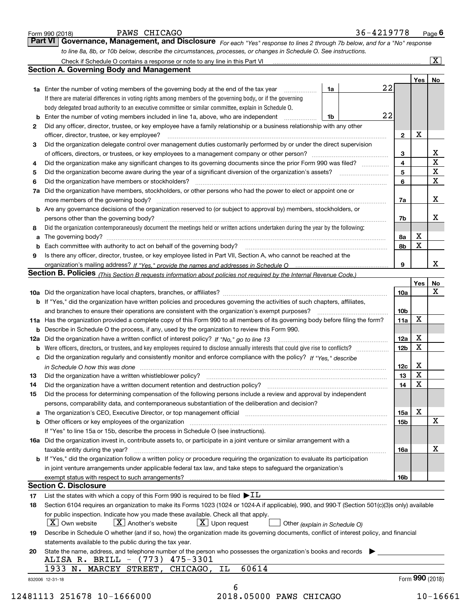|     | to line 8a, 8b, or 10b below, describe the circumstances, processes, or changes in Schedule O. See instructions.                                                                                                    |    |                 |             | $\overline{\mathbf{x}}$ |
|-----|---------------------------------------------------------------------------------------------------------------------------------------------------------------------------------------------------------------------|----|-----------------|-------------|-------------------------|
|     | <b>Section A. Governing Body and Management</b>                                                                                                                                                                     |    |                 |             |                         |
|     |                                                                                                                                                                                                                     |    |                 | Yes   No    |                         |
|     | 1a<br><b>1a</b> Enter the number of voting members of the governing body at the end of the tax year                                                                                                                 | 22 |                 |             |                         |
|     | If there are material differences in voting rights among members of the governing body, or if the governing                                                                                                         |    |                 |             |                         |
|     | body delegated broad authority to an executive committee or similar committee, explain in Schedule O.                                                                                                               |    |                 |             |                         |
|     | Enter the number of voting members included in line 1a, above, who are independent <i>manumum</i><br>1b                                                                                                             | 22 |                 |             |                         |
| 2   | Did any officer, director, trustee, or key employee have a family relationship or a business relationship with any other                                                                                            |    |                 |             |                         |
|     | officer, director, trustee, or key employee?                                                                                                                                                                        | .  | $\mathbf{2}$    | X           |                         |
| з   | Did the organization delegate control over management duties customarily performed by or under the direct supervision                                                                                               |    |                 |             |                         |
|     |                                                                                                                                                                                                                     |    | 3               |             | $\overline{\mathbf{X}}$ |
| 4   | Did the organization make any significant changes to its governing documents since the prior Form 990 was filed?                                                                                                    |    | 4               |             | $\overline{\mathtt{x}}$ |
| 5   | Did the organization become aware during the year of a significant diversion of the organization's assets? <i>managener</i>                                                                                         |    | 5               |             | $\mathbf X$             |
| 6   |                                                                                                                                                                                                                     |    | 6               |             | $\mathbf X$             |
| 7a  | Did the organization have members, stockholders, or other persons who had the power to elect or appoint one or                                                                                                      |    |                 |             |                         |
|     |                                                                                                                                                                                                                     |    | 7a              |             | X                       |
|     | <b>b</b> Are any governance decisions of the organization reserved to (or subject to approval by) members, stockholders, or                                                                                         |    |                 |             |                         |
|     | persons other than the governing body?                                                                                                                                                                              |    | 7b              |             | х                       |
| 8   | Did the organization contemporaneously document the meetings held or written actions undertaken during the vear by the following:                                                                                   |    |                 |             |                         |
| a   |                                                                                                                                                                                                                     |    | 8a              | Х           |                         |
| b   |                                                                                                                                                                                                                     |    | 8b              | X           |                         |
| 9   | Is there any officer, director, trustee, or key employee listed in Part VII, Section A, who cannot be reached at the                                                                                                |    |                 |             |                         |
|     |                                                                                                                                                                                                                     |    | 9               |             | x                       |
|     | Section B. Policies (This Section B requests information about policies not required by the Internal Revenue Code.)                                                                                                 |    |                 |             |                         |
|     |                                                                                                                                                                                                                     |    |                 | Yes         | No                      |
|     |                                                                                                                                                                                                                     |    | 10a             |             | X                       |
|     | <b>b</b> If "Yes," did the organization have written policies and procedures governing the activities of such chapters, affiliates,                                                                                 |    |                 |             |                         |
|     | and branches to ensure their operations are consistent with the organization's exempt purposes?                                                                                                                     |    | 10 <sub>b</sub> |             |                         |
|     | 11a Has the organization provided a complete copy of this Form 990 to all members of its governing body before filing the form?                                                                                     |    | 11a             | х           |                         |
|     | <b>b</b> Describe in Schedule O the process, if any, used by the organization to review this Form 990.                                                                                                              |    |                 |             |                         |
| 12a | Did the organization have a written conflict of interest policy? If "No," go to line 13                                                                                                                             |    | 12a             | x<br>x      |                         |
| b   | Were officers, directors, or trustees, and key employees required to disclose annually interests that could give rise to conflicts?                                                                                 |    | 12 <sub>b</sub> |             |                         |
| с   | Did the organization regularly and consistently monitor and enforce compliance with the policy? If "Yes," describe                                                                                                  |    |                 | x           |                         |
|     | in Schedule O how this was done measured and contain an account of the state of the state of the state of the                                                                                                       |    | 12c<br>13       | $\mathbf X$ |                         |
|     | Did the organization have a written document retention and destruction policy? [11] manufaction policy?                                                                                                             |    | 14              | X           |                         |
| 14  | Did the process for determining compensation of the following persons include a review and approval by independent                                                                                                  |    |                 |             |                         |
| 15  |                                                                                                                                                                                                                     |    |                 |             |                         |
|     | persons, comparability data, and contemporaneous substantiation of the deliberation and decision?<br>a The organization's CEO, Executive Director, or top management official [111] [11] manument material manument |    | 15a             | x           |                         |
|     |                                                                                                                                                                                                                     |    | 15 <sub>b</sub> |             | $\mathbf X$             |
|     |                                                                                                                                                                                                                     |    |                 |             |                         |
|     |                                                                                                                                                                                                                     |    |                 |             |                         |
|     | If "Yes" to line 15a or 15b, describe the process in Schedule O (see instructions).                                                                                                                                 |    |                 |             |                         |
|     | 16a Did the organization invest in, contribute assets to, or participate in a joint venture or similar arrangement with a                                                                                           |    |                 |             |                         |
|     | taxable entity during the year?                                                                                                                                                                                     |    | 16a             |             | х                       |
|     | b If "Yes," did the organization follow a written policy or procedure requiring the organization to evaluate its participation                                                                                      |    |                 |             |                         |
|     | in joint venture arrangements under applicable federal tax law, and take steps to safequard the organization's                                                                                                      |    |                 |             |                         |
|     |                                                                                                                                                                                                                     |    | 16b             |             |                         |
|     | <b>Section C. Disclosure</b>                                                                                                                                                                                        |    |                 |             |                         |
| 17  | List the states with which a copy of this Form 990 is required to be filed $\blacktriangleright$ IL                                                                                                                 |    |                 |             |                         |
| 18  | Section 6104 requires an organization to make its Forms 1023 (1024 or 1024 A if applicable), 990, and 990-T (Section 501(c)(3)s only) available                                                                     |    |                 |             |                         |
|     | for public inspection. Indicate how you made these available. Check all that apply.<br>$ X $ Own website                                                                                                            |    |                 |             |                         |
| 19  | $X$ Another's website<br>$\lfloor x \rfloor$ Upon request<br>Other (explain in Schedule O)                                                                                                                          |    |                 |             |                         |
|     | Describe in Schedule O whether (and if so, how) the organization made its governing documents, conflict of interest policy, and financial                                                                           |    |                 |             |                         |
| 20  | statements available to the public during the tax year.                                                                                                                                                             |    |                 |             |                         |
|     | State the name, address, and telephone number of the person who possesses the organization's books and records<br>ALISA R. BRILL - (773) 475-3301                                                                   |    |                 |             |                         |
|     | 60614<br>1933 N. MARCEY STREET, CHICAGO, IL                                                                                                                                                                         |    |                 |             |                         |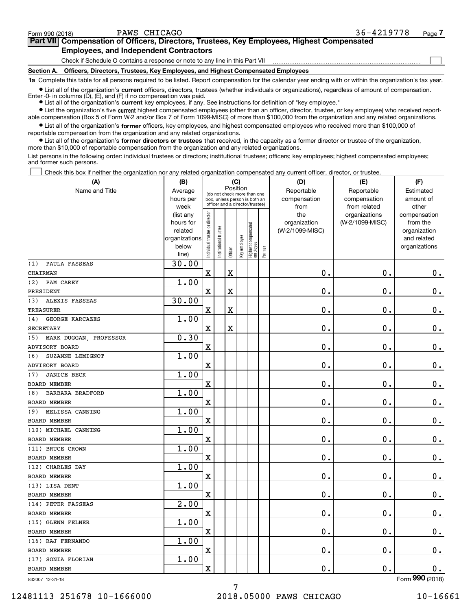$\mathcal{L}^{\text{max}}$ 

| orm 990 (2018) <sup>.</sup> | PAWS CHICAGO                                                                               | 36-4219778 | Page $\prime$ |
|-----------------------------|--------------------------------------------------------------------------------------------|------------|---------------|
|                             | Part VII Compensation of Officers, Directors, Trustees, Key Employees, Highest Compensated |            |               |
|                             | <b>Employees, and Independent Contractors</b>                                              |            |               |

Check if Schedule O contains a response or note to any line in this Part VII

**Section A. Officers, Directors, Trustees, Key Employees, and Highest Compensated Employees**

**1a**  Complete this table for all persons required to be listed. Report compensation for the calendar year ending with or within the organization's tax year.

**•** List all of the organization's current officers, directors, trustees (whether individuals or organizations), regardless of amount of compensation. Enter -0- in columns  $(D)$ ,  $(E)$ , and  $(F)$  if no compensation was paid.

● List all of the organization's **current** key employees, if any. See instructions for definition of "key employee."

**•** List the organization's five current highest compensated employees (other than an officer, director, trustee, or key employee) who received reportable compensation (Box 5 of Form W-2 and/or Box 7 of Form 1099-MISC) of more than \$100,000 from the organization and any related organizations.

 $\bullet$  List all of the organization's **former** officers, key employees, and highest compensated employees who received more than \$100,000 of reportable compensation from the organization and any related organizations.

**•** List all of the organization's former directors or trustees that received, in the capacity as a former director or trustee of the organization, more than \$10,000 of reportable compensation from the organization and any related organizations.

List persons in the following order: individual trustees or directors; institutional trustees; officers; key employees; highest compensated employees; and former such persons.

Check this box if neither the organization nor any related organization compensated any current officer, director, or trustee.  $\mathcal{L}^{\text{max}}$ 

| (A)                           | (C)<br>(B)               |                                |                       |          |              |                                  |        | (D)             | (E)             | (F)                         |  |  |
|-------------------------------|--------------------------|--------------------------------|-----------------------|----------|--------------|----------------------------------|--------|-----------------|-----------------|-----------------------------|--|--|
| Name and Title                | Average                  |                                |                       | Position |              | (do not check more than one      |        | Reportable      | Reportable      | Estimated                   |  |  |
|                               | hours per                |                                |                       |          |              | box, unless person is both an    |        | compensation    | compensation    | amount of                   |  |  |
|                               | week                     |                                |                       |          |              | officer and a director/trustee)  |        | from            | from related    | other                       |  |  |
|                               | (list any                |                                |                       |          |              |                                  |        | the             | organizations   | compensation                |  |  |
|                               | hours for                |                                |                       |          |              |                                  |        | organization    | (W-2/1099-MISC) | from the                    |  |  |
|                               | related<br>organizations |                                |                       |          |              |                                  |        | (W-2/1099-MISC) |                 | organization<br>and related |  |  |
|                               | below                    |                                |                       |          |              |                                  |        |                 |                 | organizations               |  |  |
|                               | line)                    | Individual trustee or director | Institutional trustee | Officer  | Key employee | Highest compensated<br> employee | Former |                 |                 |                             |  |  |
| PAULA FASSEAS<br>(1)          | 30.00                    |                                |                       |          |              |                                  |        |                 |                 |                             |  |  |
| CHAIRMAN                      |                          | X                              |                       | X        |              |                                  |        | 0.              | $\mathbf 0$ .   | 0.                          |  |  |
| PAM CAREY<br>(2)              | 1.00                     |                                |                       |          |              |                                  |        |                 |                 |                             |  |  |
| PRESIDENT                     |                          | X                              |                       | X        |              |                                  |        | 0.              | $\mathbf 0$ .   | $\mathbf 0$ .               |  |  |
| (3)<br>ALEXIS FASSEAS         | 30.00                    |                                |                       |          |              |                                  |        |                 |                 |                             |  |  |
| TREASURER                     |                          | X                              |                       | X        |              |                                  |        | 0.              | $\mathbf 0$ .   | $\mathbf 0$ .               |  |  |
| <b>GEORGE KARCAZES</b><br>(4) | 1.00                     |                                |                       |          |              |                                  |        |                 |                 |                             |  |  |
| <b>SECRETARY</b>              |                          | X                              |                       | X        |              |                                  |        | 0.              | $\mathbf 0$ .   | $\mathbf 0$ .               |  |  |
| MARK DUGGAN, PROFESSOR<br>(5) | 0.30                     |                                |                       |          |              |                                  |        |                 |                 |                             |  |  |
| ADVISORY BOARD                |                          | X                              |                       |          |              |                                  |        | 0.              | $\mathbf 0$ .   | $\mathbf 0$ .               |  |  |
| SUZANNE LEMIGNOT<br>(6)       | 1.00                     |                                |                       |          |              |                                  |        |                 |                 |                             |  |  |
| ADVISORY BOARD                |                          | X                              |                       |          |              |                                  |        | 0.              | $\mathbf 0$ .   | $\mathbf 0$ .               |  |  |
| <b>JANICE BECK</b><br>(7)     | 1.00                     |                                |                       |          |              |                                  |        |                 |                 |                             |  |  |
| <b>BOARD MEMBER</b>           |                          | X                              |                       |          |              |                                  |        | 0.              | $\mathbf 0$ .   | $\mathbf 0$ .               |  |  |
| BARBARA BRADFORD<br>(8)       | 1.00                     |                                |                       |          |              |                                  |        |                 |                 |                             |  |  |
| <b>BOARD MEMBER</b>           |                          | X                              |                       |          |              |                                  |        | 0.              | $\mathbf 0$ .   | $\mathbf 0$ .               |  |  |
| MELISSA CANNING<br>(9)        | 1.00                     |                                |                       |          |              |                                  |        |                 |                 |                             |  |  |
| BOARD MEMBER                  |                          | X                              |                       |          |              |                                  |        | 0.              | 0.              | $\mathbf 0$ .               |  |  |
| (10) MICHAEL CANNING          | 1.00                     |                                |                       |          |              |                                  |        |                 |                 |                             |  |  |
| <b>BOARD MEMBER</b>           |                          | X                              |                       |          |              |                                  |        | 0.              | 0.              | $\mathbf 0$ .               |  |  |
| (11) BRUCE CROWN              | 1.00                     |                                |                       |          |              |                                  |        |                 |                 |                             |  |  |
| <b>BOARD MEMBER</b>           |                          | X                              |                       |          |              |                                  |        | 0.              | 0.              | $\mathbf 0$ .               |  |  |
| (12) CHARLES DAY              | 1.00                     |                                |                       |          |              |                                  |        |                 |                 |                             |  |  |
| <b>BOARD MEMBER</b>           |                          | X                              |                       |          |              |                                  |        | 0.              | 0.              | 0.                          |  |  |
| (13) LISA DENT                | 1.00                     |                                |                       |          |              |                                  |        |                 |                 |                             |  |  |
| BOARD MEMBER                  |                          | X                              |                       |          |              |                                  |        | 0.              | 0.              | 0.                          |  |  |
| (14) PETER FASSEAS            | 2.00                     |                                |                       |          |              |                                  |        |                 |                 |                             |  |  |
| BOARD MEMBER                  |                          | X                              |                       |          |              |                                  |        | 0.              | 0.              | 0.                          |  |  |
| (15) GLENN FELNER             | 1.00                     |                                |                       |          |              |                                  |        |                 |                 |                             |  |  |
| BOARD MEMBER                  |                          | X                              |                       |          |              |                                  |        | $\mathbf 0$ .   | $\mathbf 0$ .   | 0.                          |  |  |
| (16) RAJ FERNANDO             | 1.00                     |                                |                       |          |              |                                  |        |                 |                 |                             |  |  |
| BOARD MEMBER                  |                          | x                              |                       |          |              |                                  |        | 0.              | $\mathbf 0$ .   | $0_{.}$                     |  |  |
| (17) SONIA FLORIAN            | 1.00                     |                                |                       |          |              |                                  |        |                 |                 |                             |  |  |
| BOARD MEMBER                  |                          | x                              |                       |          |              |                                  |        | 0.              | $\mathbf 0$ .   | 0.                          |  |  |
| 832007 12-31-18               |                          |                                |                       |          |              |                                  |        |                 |                 | Form 990 (2018)             |  |  |

832007 12-31-18

12481113 251678 10-1666000 2018.05000 PAWS CHICAGO 10-16661

7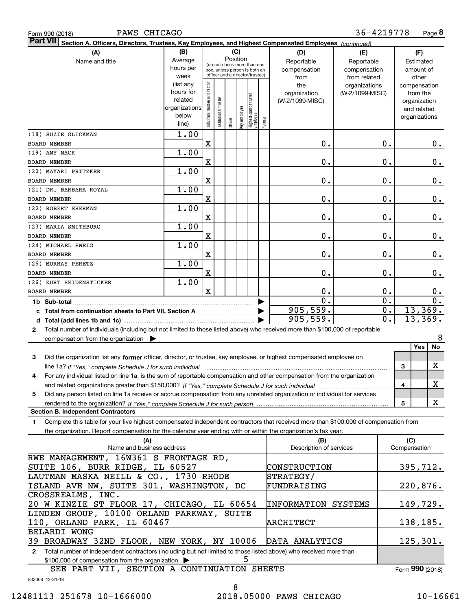| PAWS CHICAGO<br>Form 990 (2018)                                                                                                                 |               |                                |                       |                                                              |              |                                   |          |                         | 36-4219778      |                  |              | Page 8        |
|-------------------------------------------------------------------------------------------------------------------------------------------------|---------------|--------------------------------|-----------------------|--------------------------------------------------------------|--------------|-----------------------------------|----------|-------------------------|-----------------|------------------|--------------|---------------|
| <b>Part VII</b><br>Section A. Officers, Directors, Trustees, Key Employees, and Highest Compensated Employees (continued)                       |               |                                |                       |                                                              |              |                                   |          |                         |                 |                  |              |               |
| (A)                                                                                                                                             | (B)           |                                |                       | (C)                                                          |              |                                   |          | (D)                     | (E)             |                  |              | (F)           |
| Name and title                                                                                                                                  | Average       |                                |                       | Position                                                     |              |                                   |          | Reportable              | Reportable      |                  |              | Estimated     |
|                                                                                                                                                 | hours per     |                                |                       | (do not check more than one<br>box, unless person is both an |              |                                   |          | compensation            | compensation    |                  | amount of    |               |
|                                                                                                                                                 | week          |                                |                       | officer and a director/trustee)                              |              |                                   |          | from                    | from related    |                  |              | other         |
|                                                                                                                                                 | (list any     |                                |                       |                                                              |              |                                   |          | the                     | organizations   |                  |              | compensation  |
|                                                                                                                                                 | hours for     |                                |                       |                                                              |              |                                   |          | organization            | (W-2/1099-MISC) |                  |              | from the      |
|                                                                                                                                                 | related       |                                |                       |                                                              |              |                                   |          | (W-2/1099-MISC)         |                 |                  |              | organization  |
|                                                                                                                                                 | organizations |                                |                       |                                                              |              |                                   |          |                         |                 |                  |              | and related   |
|                                                                                                                                                 | below         | Individual trustee or director | Institutional trustee |                                                              |              |                                   |          |                         |                 |                  |              | organizations |
|                                                                                                                                                 | line)         |                                |                       | Officer                                                      | Key employee | Highest compensated<br>  employee | Former   |                         |                 |                  |              |               |
| (18) SUZIE GLICKMAN                                                                                                                             | 1.00          |                                |                       |                                                              |              |                                   |          |                         |                 |                  |              |               |
| <b>BOARD MEMBER</b>                                                                                                                             |               | $\mathbf X$                    |                       |                                                              |              |                                   |          | 0.                      |                 | 0.               |              | 0.            |
| (19) AMY MACK                                                                                                                                   | 1.00          |                                |                       |                                                              |              |                                   |          |                         |                 |                  |              |               |
| BOARD MEMBER                                                                                                                                    |               | X                              |                       |                                                              |              |                                   |          | 0.                      |                 | 0.               |              | 0.            |
| (20) MAYARI PRITZKER                                                                                                                            | 1.00          |                                |                       |                                                              |              |                                   |          |                         |                 |                  |              |               |
|                                                                                                                                                 |               |                                |                       |                                                              |              |                                   |          |                         |                 |                  |              |               |
| BOARD MEMBER                                                                                                                                    |               | X                              |                       |                                                              |              |                                   |          | 0.                      |                 | 0.               |              | 0.            |
| (21) DR. BARBARA ROYAL                                                                                                                          | 1.00          |                                |                       |                                                              |              |                                   |          |                         |                 |                  |              |               |
| <b>BOARD MEMBER</b>                                                                                                                             |               | X                              |                       |                                                              |              |                                   |          | 0.                      |                 | 0.               |              | 0.            |
| (22) ROBERT SHERMAN                                                                                                                             | 1.00          |                                |                       |                                                              |              |                                   |          |                         |                 |                  |              |               |
| <b>BOARD MEMBER</b>                                                                                                                             |               | X                              |                       |                                                              |              |                                   |          | 0.                      |                 | 0.               |              | 0.            |
| (23) MARIA SMITHBURG                                                                                                                            | 1.00          |                                |                       |                                                              |              |                                   |          |                         |                 |                  |              |               |
| <b>BOARD MEMBER</b>                                                                                                                             |               | X                              |                       |                                                              |              |                                   |          | 0.                      |                 | 0.               |              | 0.            |
| (24) MICHAEL SWEIG                                                                                                                              | 1.00          |                                |                       |                                                              |              |                                   |          |                         |                 |                  |              |               |
| <b>BOARD MEMBER</b>                                                                                                                             |               | X                              |                       |                                                              |              |                                   |          | 0.                      |                 | 0.               |              | 0.            |
| (25) MURRAY PERETZ                                                                                                                              | 1.00          |                                |                       |                                                              |              |                                   |          |                         |                 |                  |              |               |
|                                                                                                                                                 |               |                                |                       |                                                              |              |                                   |          |                         |                 |                  |              |               |
| <b>BOARD MEMBER</b>                                                                                                                             |               | X                              |                       |                                                              |              |                                   |          | 0.                      |                 | 0.               |              | 0.            |
| (26) KURT SEIDENSTICKER                                                                                                                         | 1.00          |                                |                       |                                                              |              |                                   |          |                         |                 |                  |              |               |
| BOARD MEMBER                                                                                                                                    |               | $\mathbf x$                    |                       |                                                              |              |                                   |          | 0.                      |                 | 0.               |              | 0.            |
|                                                                                                                                                 |               |                                |                       |                                                              |              |                                   |          | $\overline{0}$ .        |                 | $\overline{0}$ . |              | 0.            |
| c Total from continuation sheets to Part VII, Section A                                                                                         |               |                                |                       |                                                              |              |                                   |          | 905, 559.               |                 | $\overline{0}$ . |              | 13,369.       |
|                                                                                                                                                 |               |                                |                       |                                                              |              |                                   |          | 905,559.                |                 | $\overline{0}$ . |              | 13,369.       |
| Total number of individuals (including but not limited to those listed above) who received more than \$100,000 of reportable<br>$\mathbf{2}$    |               |                                |                       |                                                              |              |                                   |          |                         |                 |                  |              |               |
| compensation from the organization $\blacktriangleright$                                                                                        |               |                                |                       |                                                              |              |                                   |          |                         |                 |                  |              | 8             |
|                                                                                                                                                 |               |                                |                       |                                                              |              |                                   |          |                         |                 |                  |              | Yes<br>No     |
| 3<br>Did the organization list any former officer, director, or trustee, key employee, or highest compensated employee on                       |               |                                |                       |                                                              |              |                                   |          |                         |                 |                  |              |               |
|                                                                                                                                                 |               |                                |                       |                                                              |              |                                   |          |                         |                 |                  |              | х             |
| line 1a? If "Yes," complete Schedule J for such individual manufactured contained and the 1a? If "Yes," complete Schedule J for such individual |               |                                |                       |                                                              |              |                                   |          |                         |                 |                  | 3            |               |
| For any individual listed on line 1a, is the sum of reportable compensation and other compensation from the organization                        |               |                                |                       |                                                              |              |                                   |          |                         |                 |                  |              |               |
|                                                                                                                                                 |               |                                |                       |                                                              |              |                                   |          |                         |                 |                  | 4            | х             |
| Did any person listed on line 1a receive or accrue compensation from any unrelated organization or individual for services<br>5                 |               |                                |                       |                                                              |              |                                   |          |                         |                 |                  |              |               |
| rendered to the organization? If "Yes." complete Schedule J for such person                                                                     |               |                                |                       |                                                              |              |                                   |          |                         |                 |                  | 5            | X             |
| <b>Section B. Independent Contractors</b>                                                                                                       |               |                                |                       |                                                              |              |                                   |          |                         |                 |                  |              |               |
| Complete this table for your five highest compensated independent contractors that received more than \$100,000 of compensation from<br>1.      |               |                                |                       |                                                              |              |                                   |          |                         |                 |                  |              |               |
| the organization. Report compensation for the calendar year ending with or within the organization's tax year.                                  |               |                                |                       |                                                              |              |                                   |          |                         |                 |                  |              |               |
| (A)                                                                                                                                             |               |                                |                       |                                                              |              |                                   |          | (B)                     |                 |                  | (C)          |               |
| Name and business address                                                                                                                       |               |                                |                       |                                                              |              |                                   |          | Description of services |                 |                  | Compensation |               |
| RWE MANAGEMENT, 16W361 S FRONTAGE RD,                                                                                                           |               |                                |                       |                                                              |              |                                   |          |                         |                 |                  |              |               |
| SUITE 106, BURR RIDGE, IL 60527                                                                                                                 |               |                                |                       |                                                              |              |                                   |          | CONSTRUCTION            |                 |                  |              | 395,712.      |
|                                                                                                                                                 |               |                                |                       |                                                              |              |                                   |          |                         |                 |                  |              |               |
| LAUTMAN MASKA NEILL & CO., 1730 RHODE                                                                                                           |               |                                |                       |                                                              |              |                                   |          | STRATEGY/               |                 |                  |              |               |
| ISLAND AVE NW, SUITE 301, WASHINGTON, DC                                                                                                        |               |                                |                       |                                                              |              |                                   |          | FUNDRAISING             |                 |                  |              | 220,876.      |
| CROSSREALMS, INC.                                                                                                                               |               |                                |                       |                                                              |              |                                   |          |                         |                 |                  |              |               |
| 20 W KINZIE ST FLOOR 17, CHICAGO, IL 60654<br><b>INFORMATION SYSTEMS</b>                                                                        |               |                                |                       |                                                              |              |                                   | 149,729. |                         |                 |                  |              |               |
| LINDEN GROUP, 10100 ORLAND PARKWAY, SUITE                                                                                                       |               |                                |                       |                                                              |              |                                   |          |                         |                 |                  |              |               |
| 110, ORLAND PARK, IL 60467                                                                                                                      |               |                                |                       |                                                              |              |                                   |          | ARCHITECT               |                 |                  |              | 138,185.      |
| BELARDI WONG                                                                                                                                    |               |                                |                       |                                                              |              |                                   |          |                         |                 |                  |              |               |
| 39 BROADWAY 32ND FLOOR, NEW YORK, NY 10006                                                                                                      |               |                                |                       |                                                              |              |                                   |          | DATA ANALYTICS          |                 |                  |              | 125,301.      |
| Total number of independent contractors (including but not limited to those listed above) who received more than<br>$\mathbf{2}$                |               |                                |                       |                                                              |              |                                   |          |                         |                 |                  |              |               |
| \$100,000 of compensation from the organization >                                                                                               |               |                                |                       |                                                              | 5            |                                   |          |                         |                 |                  |              |               |
|                                                                                                                                                 |               |                                |                       |                                                              |              |                                   |          |                         |                 |                  |              |               |

SEE PART VII, SECTION A CONTINUATION SHEETS

Form (2018) **990**

832008 12-31-18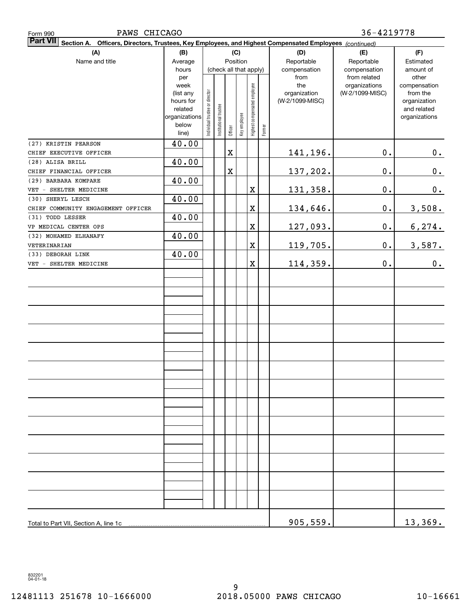| PAWS CHICAGO<br>Form 990                                                                                        |                   |                                             |                       |         |              |                              | 36-4219778 |                 |                                  |                          |  |  |  |
|-----------------------------------------------------------------------------------------------------------------|-------------------|---------------------------------------------|-----------------------|---------|--------------|------------------------------|------------|-----------------|----------------------------------|--------------------------|--|--|--|
| Part VII Section A. Officers, Directors, Trustees, Key Employees, and Highest Compensated Employees (continued) |                   |                                             |                       |         |              |                              |            |                 |                                  |                          |  |  |  |
| (A)                                                                                                             | (B)               | (C)                                         |                       |         |              |                              |            | (D)             | (E)                              | (F)                      |  |  |  |
| Name and title                                                                                                  | Average           | Position<br>(check all that apply)<br>hours |                       |         |              |                              |            | Reportable      | Reportable                       | Estimated                |  |  |  |
|                                                                                                                 |                   |                                             |                       |         |              |                              |            | compensation    | compensation                     | amount of                |  |  |  |
|                                                                                                                 | per               |                                             |                       |         |              |                              |            | from<br>the     | from related                     | other                    |  |  |  |
|                                                                                                                 | week<br>(list any |                                             |                       |         |              |                              |            | organization    | organizations<br>(W-2/1099-MISC) | compensation<br>from the |  |  |  |
|                                                                                                                 | hours for         |                                             |                       |         |              |                              |            | (W-2/1099-MISC) |                                  | organization             |  |  |  |
|                                                                                                                 | related           |                                             |                       |         |              |                              |            |                 |                                  | and related              |  |  |  |
|                                                                                                                 | organizations     |                                             |                       |         |              |                              |            |                 |                                  | organizations            |  |  |  |
|                                                                                                                 | below             | Individual trustee or director              | Institutional trustee | Officer | Key employee | Highest compensated employee | Former     |                 |                                  |                          |  |  |  |
|                                                                                                                 | line)             |                                             |                       |         |              |                              |            |                 |                                  |                          |  |  |  |
| (27) KRISTIN PEARSON                                                                                            | 40.00             |                                             |                       |         |              |                              |            |                 |                                  |                          |  |  |  |
| CHIEF EXECUTIVE OFFICER<br>(28) ALISA BRILL                                                                     |                   |                                             |                       | X       |              |                              |            | <u>141,196.</u> | 0.                               | 0.                       |  |  |  |
| CHIEF FINANCIAL OFFICER                                                                                         | 40.00             |                                             |                       | X       |              |                              |            |                 | 0.                               |                          |  |  |  |
| (29) BARBARA KOMPARE                                                                                            | 40.00             |                                             |                       |         |              |                              |            | <u>137,202.</u> |                                  | $0_{.}$                  |  |  |  |
| VET - SHELTER MEDICINE                                                                                          |                   |                                             |                       |         |              | $\mathbf X$                  |            | <u>131,358.</u> | 0.                               | 0.                       |  |  |  |
| (30) SHERYL LESCH                                                                                               | 40.00             |                                             |                       |         |              |                              |            |                 |                                  |                          |  |  |  |
| CHIEF COMMUNITY ENGAGEMENT OFFICER                                                                              |                   |                                             |                       |         |              | $\mathbf X$                  |            | 134,646.        | 0.                               | 3,508.                   |  |  |  |
| (31) TODD LESSER                                                                                                | 40.00             |                                             |                       |         |              |                              |            |                 |                                  |                          |  |  |  |
| VP MEDICAL CENTER OPS                                                                                           |                   |                                             |                       |         |              | X                            |            | 127,093.        | 0.                               | 6, 274.                  |  |  |  |
| (32) MOHAMED ELHANAFY                                                                                           | 40.00             |                                             |                       |         |              |                              |            |                 |                                  |                          |  |  |  |
| VETERINARIAN                                                                                                    |                   |                                             |                       |         |              | X                            |            | 119,705.        | 0.                               | 3,587.                   |  |  |  |
| (33) DEBORAH LINK                                                                                               | 40.00             |                                             |                       |         |              |                              |            |                 |                                  |                          |  |  |  |
| VET - SHELTER MEDICINE                                                                                          |                   |                                             |                       |         |              | X                            |            | 114,359.        | 0.                               | 0.                       |  |  |  |
|                                                                                                                 |                   |                                             |                       |         |              |                              |            |                 |                                  |                          |  |  |  |
|                                                                                                                 |                   |                                             |                       |         |              |                              |            |                 |                                  |                          |  |  |  |
|                                                                                                                 |                   |                                             |                       |         |              |                              |            |                 |                                  |                          |  |  |  |
|                                                                                                                 |                   |                                             |                       |         |              |                              |            |                 |                                  |                          |  |  |  |
|                                                                                                                 |                   |                                             |                       |         |              |                              |            |                 |                                  |                          |  |  |  |
|                                                                                                                 |                   |                                             |                       |         |              |                              |            |                 |                                  |                          |  |  |  |
|                                                                                                                 |                   |                                             |                       |         |              |                              |            |                 |                                  |                          |  |  |  |
|                                                                                                                 |                   |                                             |                       |         |              |                              |            |                 |                                  |                          |  |  |  |
|                                                                                                                 |                   |                                             |                       |         |              |                              |            |                 |                                  |                          |  |  |  |
|                                                                                                                 |                   |                                             |                       |         |              |                              |            |                 |                                  |                          |  |  |  |
|                                                                                                                 |                   |                                             |                       |         |              |                              |            |                 |                                  |                          |  |  |  |
|                                                                                                                 |                   |                                             |                       |         |              |                              |            |                 |                                  |                          |  |  |  |
|                                                                                                                 |                   |                                             |                       |         |              |                              |            |                 |                                  |                          |  |  |  |
|                                                                                                                 |                   |                                             |                       |         |              |                              |            |                 |                                  |                          |  |  |  |
|                                                                                                                 |                   |                                             |                       |         |              |                              |            |                 |                                  |                          |  |  |  |
|                                                                                                                 |                   |                                             |                       |         |              |                              |            |                 |                                  |                          |  |  |  |
|                                                                                                                 |                   |                                             |                       |         |              |                              |            |                 |                                  |                          |  |  |  |
|                                                                                                                 |                   |                                             |                       |         |              |                              |            |                 |                                  |                          |  |  |  |
|                                                                                                                 |                   |                                             |                       |         |              |                              |            |                 |                                  |                          |  |  |  |
|                                                                                                                 |                   |                                             |                       |         |              |                              |            |                 |                                  |                          |  |  |  |
|                                                                                                                 |                   |                                             |                       |         |              |                              |            |                 |                                  |                          |  |  |  |
|                                                                                                                 |                   |                                             |                       |         |              |                              |            |                 |                                  |                          |  |  |  |
|                                                                                                                 |                   |                                             |                       |         |              |                              |            |                 |                                  |                          |  |  |  |
|                                                                                                                 |                   |                                             |                       |         |              |                              |            |                 |                                  |                          |  |  |  |
|                                                                                                                 |                   |                                             |                       |         |              |                              |            |                 |                                  |                          |  |  |  |
| Total to Part VII, Section A, line 1c                                                                           |                   |                                             |                       |         |              |                              |            | 905, 559.       |                                  | 13,369.                  |  |  |  |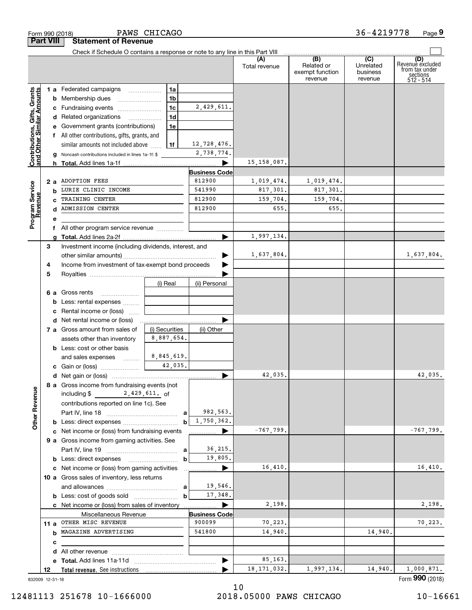|                                                           | <b>Part VIII</b> | <b>Statement of Revenue</b>                                                   |                |                      |                      |                                          |                                  |                                                                    |
|-----------------------------------------------------------|------------------|-------------------------------------------------------------------------------|----------------|----------------------|----------------------|------------------------------------------|----------------------------------|--------------------------------------------------------------------|
|                                                           |                  | Check if Schedule O contains a response or note to any line in this Part VIII |                |                      |                      | $\overline{(B)}$                         | $\overline{C}$                   |                                                                    |
|                                                           |                  |                                                                               |                |                      | (A)<br>Total revenue | Related or<br>exempt function<br>revenue | Unrelated<br>business<br>revenue | (D)<br>Revenuè excluded<br>from tax under<br>sections<br>512 - 514 |
|                                                           |                  | 1 a Federated campaigns                                                       | 1a             |                      |                      |                                          |                                  |                                                                    |
|                                                           |                  | <b>b</b> Membership dues                                                      | 1 <sub>b</sub> |                      |                      |                                          |                                  |                                                                    |
|                                                           |                  | c Fundraising events                                                          | 1c             | 2,429,611.           |                      |                                          |                                  |                                                                    |
|                                                           |                  | d Related organizations                                                       | 1 <sub>d</sub> |                      |                      |                                          |                                  |                                                                    |
|                                                           |                  | e Government grants (contributions)                                           | 1e             |                      |                      |                                          |                                  |                                                                    |
|                                                           |                  | f All other contributions, gifts, grants, and                                 |                |                      |                      |                                          |                                  |                                                                    |
|                                                           |                  | similar amounts not included above                                            | 1f             | 12,728,476.          |                      |                                          |                                  |                                                                    |
| Contributions, Gifts, Grants<br>and Other Similar Amounts |                  | Noncash contributions included in lines 1a-1f: \$                             |                | 2,738,774.           |                      |                                          |                                  |                                                                    |
|                                                           |                  |                                                                               |                |                      | 15, 158, 087.        |                                          |                                  |                                                                    |
|                                                           |                  |                                                                               |                | <b>Business Code</b> |                      |                                          |                                  |                                                                    |
|                                                           |                  | 2 a ADOPTION FEES                                                             |                | 812900               | 1,019,474.           | 1,019,474.                               |                                  |                                                                    |
|                                                           | b                | LURIE CLINIC INCOME                                                           |                | 541990               | 817,301.             | 817,301.                                 |                                  |                                                                    |
| Program Service<br>Revenue                                |                  | TRAINING CENTER                                                               |                | 812900               | 159,704.             | 159,704.                                 |                                  |                                                                    |
|                                                           | d                | ADMISSION CENTER                                                              |                | 812900               | 655.                 | 655.                                     |                                  |                                                                    |
|                                                           | е                |                                                                               |                |                      |                      |                                          |                                  |                                                                    |
|                                                           | f                |                                                                               |                |                      |                      |                                          |                                  |                                                                    |
|                                                           | a                |                                                                               |                |                      | 1,997,134.           |                                          |                                  |                                                                    |
|                                                           | З                | Investment income (including dividends, interest, and                         |                |                      |                      |                                          |                                  |                                                                    |
|                                                           |                  |                                                                               |                |                      | 1,637,804.           |                                          |                                  | 1,637,804.                                                         |
|                                                           | 4                | Income from investment of tax-exempt bond proceeds                            |                |                      |                      |                                          |                                  |                                                                    |
|                                                           | 5                |                                                                               |                |                      |                      |                                          |                                  |                                                                    |
|                                                           |                  |                                                                               | (i) Real       | (ii) Personal        |                      |                                          |                                  |                                                                    |
|                                                           |                  | 6 a Gross rents                                                               |                |                      |                      |                                          |                                  |                                                                    |
|                                                           |                  | <b>b</b> Less: rental expenses                                                |                |                      |                      |                                          |                                  |                                                                    |
|                                                           | c                | Rental income or (loss)                                                       |                |                      |                      |                                          |                                  |                                                                    |
|                                                           |                  |                                                                               |                |                      |                      |                                          |                                  |                                                                    |
|                                                           |                  | 7 a Gross amount from sales of                                                | (i) Securities | (ii) Other           |                      |                                          |                                  |                                                                    |
|                                                           |                  | assets other than inventory                                                   | 8,887,654.     |                      |                      |                                          |                                  |                                                                    |
|                                                           |                  | <b>b</b> Less: cost or other basis                                            |                |                      |                      |                                          |                                  |                                                                    |
|                                                           |                  | and sales expenses                                                            | 8,845,619.     |                      |                      |                                          |                                  |                                                                    |
|                                                           |                  |                                                                               | 42,035.        |                      |                      |                                          |                                  |                                                                    |
|                                                           |                  |                                                                               |                |                      | 42,035.              |                                          |                                  | 42,035.                                                            |
|                                                           |                  | 8 a Gross income from fundraising events (not                                 |                |                      |                      |                                          |                                  |                                                                    |
|                                                           |                  | 2,429,611. of<br>including $$$                                                |                |                      |                      |                                          |                                  |                                                                    |
|                                                           |                  | contributions reported on line 1c). See                                       |                |                      |                      |                                          |                                  |                                                                    |
|                                                           |                  |                                                                               |                | 982,563.             |                      |                                          |                                  |                                                                    |
| <b>Other Revenue</b>                                      |                  |                                                                               | $\mathbf{b}$   | 1,750,362.           |                      |                                          |                                  |                                                                    |
|                                                           |                  | c Net income or (loss) from fundraising events                                |                |                      | $-767,799.$          |                                          |                                  | $-767,799.$                                                        |
|                                                           |                  | 9 a Gross income from gaming activities. See                                  |                |                      |                      |                                          |                                  |                                                                    |
|                                                           |                  |                                                                               |                | 36,215.              |                      |                                          |                                  |                                                                    |
|                                                           |                  | <b>b</b> Less: direct expenses <b>contained b</b> Less: direct expenses       | $\mathbf b$    | 19,805.              |                      |                                          |                                  |                                                                    |
|                                                           |                  | c Net income or (loss) from gaming activities                                 |                | … <u>………</u> …… ▶    | 16,410.              |                                          |                                  | 16,410.                                                            |
|                                                           |                  | 10 a Gross sales of inventory, less returns                                   |                |                      |                      |                                          |                                  |                                                                    |
|                                                           |                  |                                                                               |                | 19,546.              |                      |                                          |                                  |                                                                    |
|                                                           |                  |                                                                               | $\mathbf b$    | 17,348.              |                      |                                          |                                  |                                                                    |
|                                                           |                  | c Net income or (loss) from sales of inventory                                |                |                      | 2,198.               |                                          |                                  | 2,198.                                                             |
|                                                           |                  | Miscellaneous Revenue                                                         |                | <b>Business Code</b> |                      |                                          |                                  |                                                                    |
|                                                           |                  | 11 a OTHER MISC REVENUE                                                       |                | 900099               | 70,223.              |                                          |                                  | 70,223.                                                            |
|                                                           |                  | <b>b</b> MAGAZINE ADVERTISING                                                 |                | 541800               | 14,940.              |                                          | 14,940.                          |                                                                    |
|                                                           | c                |                                                                               |                |                      |                      |                                          |                                  |                                                                    |
|                                                           | d                |                                                                               |                |                      |                      |                                          |                                  |                                                                    |
|                                                           |                  |                                                                               |                |                      | 85,163.              |                                          |                                  |                                                                    |
|                                                           | 12               |                                                                               |                |                      | 18, 171, 032.        | 1,997,134.                               | 14,940.                          | 1,000,871.<br>Form 990 (2018)                                      |
|                                                           | 832009 12-31-18  |                                                                               |                |                      |                      |                                          |                                  |                                                                    |

832009 12-31-18

### 10 12481113 251678 10-1666000 2018.05000 PAWS CHICAGO 10-16661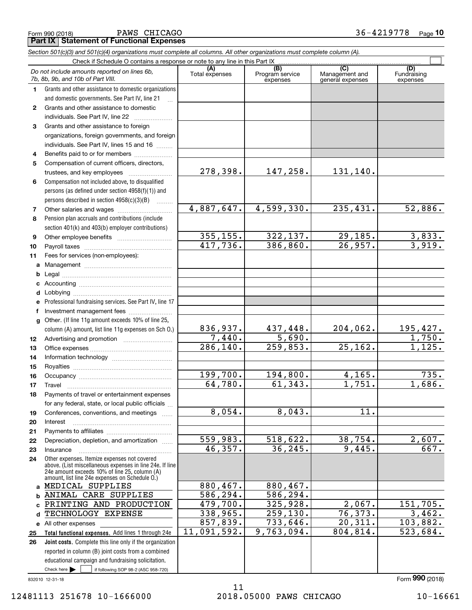Form 990 (2018) Page **Part IX Statement of Functional Expenses** PAWS CHICAGO 36-4219778

*Section 501(c)(3) and 501(c)(4) organizations must complete all columns. All other organizations must complete column (A).*

|              | Do not include amounts reported on lines 6b,<br>7b, 8b, 9b, and 10b of Part VIII.               | (A)<br>Total expenses | (B)<br>Program service<br>expenses | $\overline{C}$<br>Management and<br>general expenses | (D)<br>Fundraising<br>expenses |
|--------------|-------------------------------------------------------------------------------------------------|-----------------------|------------------------------------|------------------------------------------------------|--------------------------------|
| 1.           | Grants and other assistance to domestic organizations                                           |                       |                                    |                                                      |                                |
|              | and domestic governments. See Part IV, line 21                                                  |                       |                                    |                                                      |                                |
| $\mathbf{2}$ | Grants and other assistance to domestic                                                         |                       |                                    |                                                      |                                |
|              | individuals. See Part IV, line 22                                                               |                       |                                    |                                                      |                                |
| 3            | Grants and other assistance to foreign                                                          |                       |                                    |                                                      |                                |
|              | organizations, foreign governments, and foreign                                                 |                       |                                    |                                                      |                                |
|              | individuals. See Part IV, lines 15 and 16                                                       |                       |                                    |                                                      |                                |
| 4            | Benefits paid to or for members                                                                 |                       |                                    |                                                      |                                |
| 5            | Compensation of current officers, directors,                                                    |                       |                                    |                                                      |                                |
|              | trustees, and key employees                                                                     | 278, 398.             | 147,258.                           | 131,140.                                             |                                |
| 6            | Compensation not included above, to disqualified                                                |                       |                                    |                                                      |                                |
|              | persons (as defined under section 4958(f)(1)) and                                               |                       |                                    |                                                      |                                |
|              | persons described in section 4958(c)(3)(B)<br>1.1.1.1.1.1.1                                     |                       |                                    |                                                      |                                |
| 7            | Other salaries and wages                                                                        | 4,887,647.            | 4,599,330.                         | 235,431.                                             | 52,886.                        |
| 8            | Pension plan accruals and contributions (include                                                |                       |                                    |                                                      |                                |
|              | section 401(k) and 403(b) employer contributions)                                               |                       |                                    |                                                      |                                |
| 9            |                                                                                                 | 355, 155.             | 322,137.                           | 29,185.                                              | $\frac{3,833}{3,919}$ .        |
| 10           |                                                                                                 | 417,736.              | 386, 860.                          | $\overline{26,957}$ .                                |                                |
| 11           | Fees for services (non-employees):                                                              |                       |                                    |                                                      |                                |
| a            |                                                                                                 |                       |                                    |                                                      |                                |
| b            |                                                                                                 |                       |                                    |                                                      |                                |
| c            |                                                                                                 |                       |                                    |                                                      |                                |
| d            |                                                                                                 |                       |                                    |                                                      |                                |
| e            | Professional fundraising services. See Part IV, line 17                                         |                       |                                    |                                                      |                                |
| f            | Investment management fees                                                                      |                       |                                    |                                                      |                                |
| $\mathbf{q}$ | Other. (If line 11g amount exceeds 10% of line 25,                                              |                       |                                    |                                                      |                                |
|              | column (A) amount, list line 11g expenses on Sch O.)                                            | 836,937.              | 437,448.                           | 204,062.                                             | <u>195,427.</u>                |
| 12           |                                                                                                 | 7,440.<br>286, 140.   | $\overline{5,690}$ .               |                                                      | 1,750.<br>$\overline{1,125.}$  |
| 13           |                                                                                                 |                       | 259,853.                           | 25, 162.                                             |                                |
| 14           |                                                                                                 |                       |                                    |                                                      |                                |
| 15           |                                                                                                 |                       |                                    |                                                      | 735.                           |
| 16           |                                                                                                 | 199,700.<br>64,780.   | 194,800.<br>61, 343.               | 4, 165.<br>1,751.                                    | 1,686.                         |
| 17           | Travel                                                                                          |                       |                                    |                                                      |                                |
| 18           | Payments of travel or entertainment expenses                                                    |                       |                                    |                                                      |                                |
|              | for any federal, state, or local public officials                                               | 8,054.                | 8,043.                             | 11.                                                  |                                |
| 19           | Conferences, conventions, and meetings                                                          |                       |                                    |                                                      |                                |
| 20           | Interest                                                                                        |                       |                                    |                                                      |                                |
| 21<br>22     | Depreciation, depletion, and amortization                                                       | 559,983.              | 518,622.                           | 38,754.                                              | 2,607.                         |
| 23           | Insurance                                                                                       | 46, 357.              | 36, 245.                           | 9,445.                                               | 667.                           |
| 24           | Other expenses. Itemize expenses not covered                                                    |                       |                                    |                                                      |                                |
|              | above. (List miscellaneous expenses in line 24e. If line                                        |                       |                                    |                                                      |                                |
|              | 24e amount exceeds 10% of line 25, column (A)<br>amount, list line 24e expenses on Schedule O.) |                       |                                    |                                                      |                                |
| a            | MEDICAL SUPPLIES                                                                                | 880,467.              | 880,467.                           |                                                      |                                |
| b            | ANIMAL CARE SUPPLIES                                                                            | 586, 294.             | 586, 294.                          |                                                      |                                |
| C            | PRINTING AND PRODUCTION                                                                         | 479,700.              | 325,928.                           | 2,067.                                               | 151,705.                       |
| d            | TECHNOLOGY EXPENSE                                                                              | 338,965.              | 259, 130.                          | 76, 373.                                             | 3,462.                         |
|              | e All other expenses                                                                            | 857,839.              | 733,646.                           | 20,311.                                              | 103,882.                       |
| 25           | Total functional expenses. Add lines 1 through 24e                                              | 11,091,592.           | 9,763,094.                         | 804,814.                                             | 523,684.                       |
| 26           | <b>Joint costs.</b> Complete this line only if the organization                                 |                       |                                    |                                                      |                                |
|              | reported in column (B) joint costs from a combined                                              |                       |                                    |                                                      |                                |
|              | educational campaign and fundraising solicitation.                                              |                       |                                    |                                                      |                                |
|              | Check here $\blacktriangleright$<br>if following SOP 98-2 (ASC 958-720)                         |                       |                                    |                                                      |                                |

832010 12-31-18

Form (2018) **990**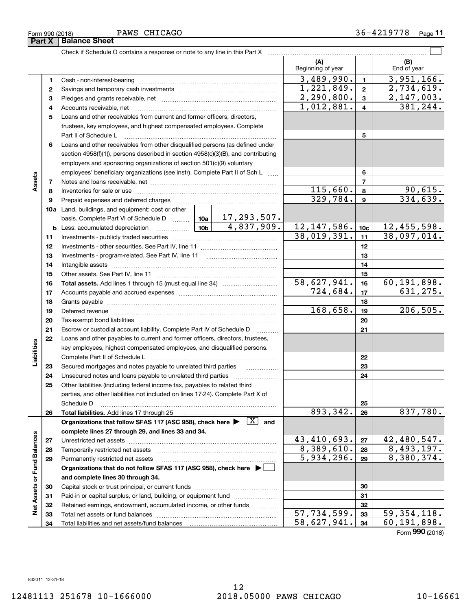$\mathcal{L}^{\text{max}}$ 

**(A) (B)**

Beginning of year | | End of year

**1**

3,489,990. 1 3,951,166.

| contains a response or note to any line in this Part X | $\cdots$ |
|--------------------------------------------------------|----------|
|                                                        |          |

| 2  |                                                                                                                                                                                                                                | 1,221,849.                | $\mathbf{2}$    | 2,734,619.                          |
|----|--------------------------------------------------------------------------------------------------------------------------------------------------------------------------------------------------------------------------------|---------------------------|-----------------|-------------------------------------|
| з  |                                                                                                                                                                                                                                | $\overline{2,290,800}$ .  | 3               | $\overline{2,147,003}$ .            |
| 4  |                                                                                                                                                                                                                                | 1,012,881.                | $\overline{4}$  | 381,244.                            |
| 5  | Loans and other receivables from current and former officers, directors,                                                                                                                                                       |                           |                 |                                     |
|    | trustees, key employees, and highest compensated employees. Complete                                                                                                                                                           |                           |                 |                                     |
|    | Part II of Schedule L                                                                                                                                                                                                          |                           | 5               |                                     |
| 6  | Loans and other receivables from other disqualified persons (as defined under                                                                                                                                                  |                           |                 |                                     |
|    | section 4958(f)(1)), persons described in section 4958(c)(3)(B), and contributing                                                                                                                                              |                           |                 |                                     |
|    | employers and sponsoring organizations of section 501(c)(9) voluntary                                                                                                                                                          |                           |                 |                                     |
|    | employees' beneficiary organizations (see instr). Complete Part II of Sch L                                                                                                                                                    |                           | 6               |                                     |
| 7  |                                                                                                                                                                                                                                |                           | $\overline{7}$  |                                     |
| 8  |                                                                                                                                                                                                                                | 115,660.                  | 8               | 90,615.                             |
| 9  | Prepaid expenses and deferred charges                                                                                                                                                                                          | 329,784.                  | 9               | 334,639.                            |
|    | 10a Land, buildings, and equipment: cost or other                                                                                                                                                                              |                           |                 |                                     |
|    |                                                                                                                                                                                                                                |                           |                 |                                     |
|    | <b>b</b> Less: accumulated depreciation                                                                                                                                                                                        | 12, 147, 586.             | 10 <sub>c</sub> | <u>12,455,598.</u>                  |
| 11 |                                                                                                                                                                                                                                | 38,019,391.               | 11              | 38,097,014.                         |
| 12 |                                                                                                                                                                                                                                |                           | 12              |                                     |
| 13 |                                                                                                                                                                                                                                |                           | 13              |                                     |
| 14 |                                                                                                                                                                                                                                |                           | 14              |                                     |
| 15 |                                                                                                                                                                                                                                |                           | 15              |                                     |
| 16 |                                                                                                                                                                                                                                | 58,627,941.               | 16              | $\overline{60}$ , 1 <u>91, 898.</u> |
| 17 |                                                                                                                                                                                                                                | 724,684.                  | 17              | 631, 275.                           |
| 18 |                                                                                                                                                                                                                                |                           | 18              |                                     |
| 19 | Deferred revenue manual contracts and contracts are contracted and contract and contract are contracted and contract are contracted and contract are contracted and contract are contracted and contract are contracted and co | 168,658.                  | 19              | 206, 505.                           |
| 20 |                                                                                                                                                                                                                                |                           | 20              |                                     |
| 21 | Escrow or custodial account liability. Complete Part IV of Schedule D<br>1.1.1.1.1.1.1.1.1.1                                                                                                                                   |                           | 21              |                                     |
| 22 | Loans and other payables to current and former officers, directors, trustees,                                                                                                                                                  |                           |                 |                                     |
|    | key employees, highest compensated employees, and disqualified persons.                                                                                                                                                        |                           |                 |                                     |
|    | Complete Part II of Schedule L                                                                                                                                                                                                 |                           | 22              |                                     |
| 23 | Secured mortgages and notes payable to unrelated third parties                                                                                                                                                                 |                           | 23              |                                     |
| 24 |                                                                                                                                                                                                                                |                           | 24              |                                     |
| 25 | Other liabilities (including federal income tax, payables to related third                                                                                                                                                     |                           |                 |                                     |
|    | parties, and other liabilities not included on lines 17-24). Complete Part X of                                                                                                                                                |                           |                 |                                     |
|    | Schedule D                                                                                                                                                                                                                     |                           | 25              |                                     |
| 26 |                                                                                                                                                                                                                                | 893,342.                  | 26              | 837,780.                            |
|    | Organizations that follow SFAS 117 (ASC 958), check here $\blacktriangleright \;  X $ and                                                                                                                                      |                           |                 |                                     |
|    | complete lines 27 through 29, and lines 33 and 34.                                                                                                                                                                             |                           |                 |                                     |
| 27 |                                                                                                                                                                                                                                | 43,410,693.<br>8,389,610. | 27              | 42,480,547.<br>8,493,197.           |
| 28 |                                                                                                                                                                                                                                | 5,934,296.                | 28              | 8,380,374.                          |
| 29 | Permanently restricted net assets                                                                                                                                                                                              |                           | 29              |                                     |
|    | Organizations that do not follow SFAS 117 (ASC 958), check here ▶                                                                                                                                                              |                           |                 |                                     |
|    | and complete lines 30 through 34.                                                                                                                                                                                              |                           |                 |                                     |
| 30 |                                                                                                                                                                                                                                |                           | 30              |                                     |
| 31 | Paid-in or capital surplus, or land, building, or equipment fund                                                                                                                                                               |                           | 31              |                                     |
| 32 | Retained earnings, endowment, accumulated income, or other funds                                                                                                                                                               |                           | 32              |                                     |

Form (2018) **990**

**3334**

57,734,599. 59,354,118. 58,627,941. 60,191,898.

Total net assets or fund balances ~~~~~~~~~~~~~~~~~~~~~~

Total liabilities and net assets/fund balances

**Part X** | Balance Sheet

Check if Schedule O

Cash - non-interest-bearing

**Assets**

**232425**

**Liabilities**

Liabilities

**26**

**272829**

**Net Assets or Fund Balances**

Net Assets or Fund Balances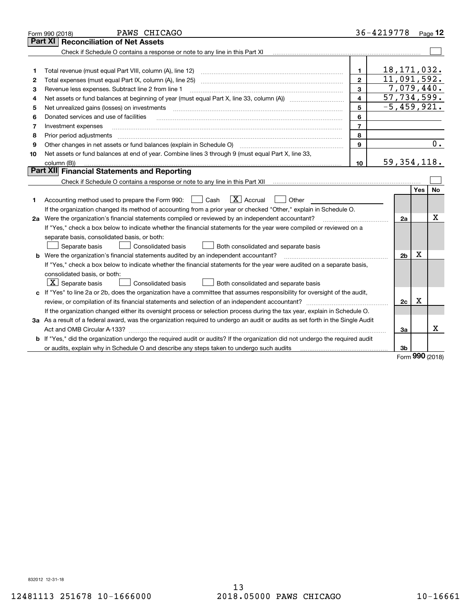|    | PAWS CHICAGO<br>Form 990 (2018)                                                                                                 |                         | 36-4219778     |             | Page 12          |
|----|---------------------------------------------------------------------------------------------------------------------------------|-------------------------|----------------|-------------|------------------|
|    | <b>Part XI</b><br><b>Reconciliation of Net Assets</b>                                                                           |                         |                |             |                  |
|    | Check if Schedule O contains a response or note to any line in this Part XI [11] [12] [2] [2] [2] [2] [2] [2] [                 |                         |                |             |                  |
|    |                                                                                                                                 |                         |                |             |                  |
| 1  | Total revenue (must equal Part VIII, column (A), line 12)                                                                       | $\mathbf{1}$            | 18, 171, 032.  |             |                  |
| 2  |                                                                                                                                 | $\mathbf{2}$            | 11,091,592.    |             |                  |
| 3  | Revenue less expenses. Subtract line 2 from line 1                                                                              | 3                       | 7,079,440.     |             |                  |
| 4  |                                                                                                                                 | $\overline{\mathbf{4}}$ | 57,734,599.    |             |                  |
| 5  | Net unrealized gains (losses) on investments                                                                                    | 5                       | $-5,459,921.$  |             |                  |
| 6  | Donated services and use of facilities                                                                                          | 6                       |                |             |                  |
| 7  | Investment expenses                                                                                                             | $\overline{7}$          |                |             |                  |
| 8  | Prior period adjustments                                                                                                        | 8                       |                |             |                  |
| 9  | Other changes in net assets or fund balances (explain in Schedule O) [11] [2000] [2000] [2000] [2000] [2000] [                  | 9                       |                |             | $\overline{0}$ . |
| 10 | Net assets or fund balances at end of year. Combine lines 3 through 9 (must equal Part X, line 33,                              |                         |                |             |                  |
|    | column (B))                                                                                                                     | 10                      | 59, 354, 118.  |             |                  |
|    | Part XII Financial Statements and Reporting                                                                                     |                         |                |             |                  |
|    |                                                                                                                                 |                         |                |             |                  |
|    |                                                                                                                                 |                         |                | <b>Yes</b>  | <b>No</b>        |
| 1  | $\boxed{\mathbf{X}}$ Accrual<br>Accounting method used to prepare the Form 990: <u>[</u> Cash<br>Other                          |                         |                |             |                  |
|    | If the organization changed its method of accounting from a prior year or checked "Other," explain in Schedule O.               |                         |                |             |                  |
|    | 2a Were the organization's financial statements compiled or reviewed by an independent accountant?                              |                         | 2a             |             | х                |
|    | If "Yes," check a box below to indicate whether the financial statements for the year were compiled or reviewed on a            |                         |                |             |                  |
|    | separate basis, consolidated basis, or both:                                                                                    |                         |                |             |                  |
|    | Separate basis<br>Consolidated basis<br>Both consolidated and separate basis                                                    |                         |                |             |                  |
|    | <b>b</b> Were the organization's financial statements audited by an independent accountant?                                     |                         | 2 <sub>b</sub> | $\mathbf X$ |                  |
|    | If "Yes," check a box below to indicate whether the financial statements for the year were audited on a separate basis,         |                         |                |             |                  |
|    | consolidated basis, or both:                                                                                                    |                         |                |             |                  |
|    | $ \mathbf{X} $ Separate basis<br><b>Consolidated basis</b><br>Both consolidated and separate basis                              |                         |                |             |                  |
|    | c If "Yes" to line 2a or 2b, does the organization have a committee that assumes responsibility for oversight of the audit,     |                         |                |             |                  |
|    |                                                                                                                                 |                         | 2c             | х           |                  |
|    | If the organization changed either its oversight process or selection process during the tax year, explain in Schedule O.       |                         |                |             |                  |
|    | 3a As a result of a federal award, was the organization required to undergo an audit or audits as set forth in the Single Audit |                         |                |             |                  |
|    | Act and OMB Circular A-133?                                                                                                     |                         | 3a             |             | x                |
|    | b If "Yes," did the organization undergo the required audit or audits? If the organization did not undergo the required audit   |                         |                |             |                  |
|    | or audits, explain why in Schedule O and describe any steps taken to undergo such audits                                        |                         | 3 <sub>b</sub> | 000         |                  |

Form (2018) **990**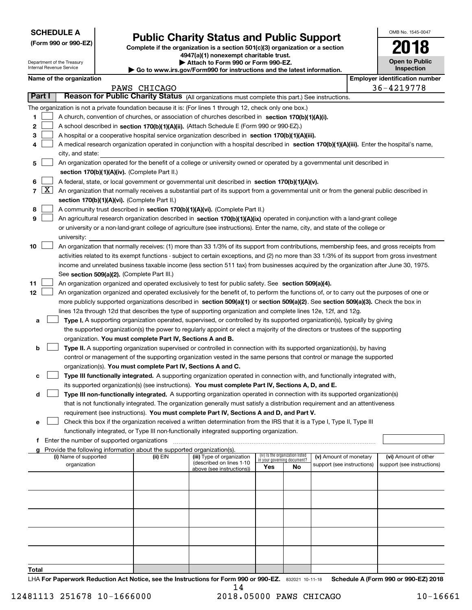| <b>SCHEDULE A</b> |  |
|-------------------|--|
|-------------------|--|

**(Form 990 or 990-EZ)**

## **Public Charity Status and Public Support**

**Complete if the organization is a section 501(c)(3) organization or a section 4947(a)(1) nonexempt charitable trust. | Attach to Form 990 or Form 990-EZ.** 

| ⋅ Go to www.irs.gov/Form990 for instructions and the latest information. |  |
|--------------------------------------------------------------------------|--|
|--------------------------------------------------------------------------|--|

| OMB No. 1545-0047     |
|-----------------------|
| 2018                  |
| <b>Open to Public</b> |

| Department of the Treasury<br>▶ Attach to Form 990 or Form 990-EZ.<br>Internal Revenue Service<br>Go to www.irs.gov/Form990 for instructions and the latest information. |                    |                                                                                                                                            |                                             |                                                                        |                                                                                                                                               |                                       |                                 | <b>Open to Public</b><br><b>Inspection</b> |  |                            |
|--------------------------------------------------------------------------------------------------------------------------------------------------------------------------|--------------------|--------------------------------------------------------------------------------------------------------------------------------------------|---------------------------------------------|------------------------------------------------------------------------|-----------------------------------------------------------------------------------------------------------------------------------------------|---------------------------------------|---------------------------------|--------------------------------------------|--|----------------------------|
|                                                                                                                                                                          |                    | Name of the organization                                                                                                                   |                                             |                                                                        |                                                                                                                                               | <b>Employer identification number</b> |                                 |                                            |  |                            |
|                                                                                                                                                                          |                    |                                                                                                                                            |                                             | PAWS CHICAGO                                                           |                                                                                                                                               |                                       |                                 |                                            |  | 36-4219778                 |
| <b>Part I</b>                                                                                                                                                            |                    |                                                                                                                                            |                                             |                                                                        | Reason for Public Charity Status (All organizations must complete this part.) See instructions.                                               |                                       |                                 |                                            |  |                            |
|                                                                                                                                                                          |                    |                                                                                                                                            |                                             |                                                                        |                                                                                                                                               |                                       |                                 |                                            |  |                            |
|                                                                                                                                                                          |                    |                                                                                                                                            |                                             |                                                                        | The organization is not a private foundation because it is: (For lines 1 through 12, check only one box.)                                     |                                       |                                 |                                            |  |                            |
| 1                                                                                                                                                                        |                    |                                                                                                                                            |                                             |                                                                        | A church, convention of churches, or association of churches described in section 170(b)(1)(A)(i).                                            |                                       |                                 |                                            |  |                            |
| 2                                                                                                                                                                        |                    | A school described in section 170(b)(1)(A)(ii). (Attach Schedule E (Form 990 or 990-EZ).)                                                  |                                             |                                                                        |                                                                                                                                               |                                       |                                 |                                            |  |                            |
| з                                                                                                                                                                        |                    | A hospital or a cooperative hospital service organization described in section 170(b)(1)(A)(iii).                                          |                                             |                                                                        |                                                                                                                                               |                                       |                                 |                                            |  |                            |
| 4                                                                                                                                                                        |                    | A medical research organization operated in conjunction with a hospital described in section 170(b)(1)(A)(iii). Enter the hospital's name, |                                             |                                                                        |                                                                                                                                               |                                       |                                 |                                            |  |                            |
|                                                                                                                                                                          |                    | city, and state:                                                                                                                           |                                             |                                                                        |                                                                                                                                               |                                       |                                 |                                            |  |                            |
| 5                                                                                                                                                                        |                    | An organization operated for the benefit of a college or university owned or operated by a governmental unit described in                  |                                             |                                                                        |                                                                                                                                               |                                       |                                 |                                            |  |                            |
|                                                                                                                                                                          |                    | section 170(b)(1)(A)(iv). (Complete Part II.)                                                                                              |                                             |                                                                        |                                                                                                                                               |                                       |                                 |                                            |  |                            |
| 6                                                                                                                                                                        |                    |                                                                                                                                            |                                             |                                                                        | A federal, state, or local government or governmental unit described in section 170(b)(1)(A)(v).                                              |                                       |                                 |                                            |  |                            |
| 7                                                                                                                                                                        | $\boxed{\text{X}}$ |                                                                                                                                            |                                             |                                                                        | An organization that normally receives a substantial part of its support from a governmental unit or from the general public described in     |                                       |                                 |                                            |  |                            |
|                                                                                                                                                                          |                    |                                                                                                                                            |                                             | section 170(b)(1)(A)(vi). (Complete Part II.)                          |                                                                                                                                               |                                       |                                 |                                            |  |                            |
| 8                                                                                                                                                                        |                    |                                                                                                                                            |                                             |                                                                        | A community trust described in section 170(b)(1)(A)(vi). (Complete Part II.)                                                                  |                                       |                                 |                                            |  |                            |
| 9                                                                                                                                                                        |                    |                                                                                                                                            |                                             |                                                                        | An agricultural research organization described in section 170(b)(1)(A)(ix) operated in conjunction with a land-grant college                 |                                       |                                 |                                            |  |                            |
|                                                                                                                                                                          |                    |                                                                                                                                            |                                             |                                                                        | or university or a non-land-grant college of agriculture (see instructions). Enter the name, city, and state of the college or                |                                       |                                 |                                            |  |                            |
|                                                                                                                                                                          |                    | university:                                                                                                                                |                                             |                                                                        |                                                                                                                                               |                                       |                                 |                                            |  |                            |
| 10                                                                                                                                                                       |                    |                                                                                                                                            |                                             |                                                                        | An organization that normally receives: (1) more than 33 1/3% of its support from contributions, membership fees, and gross receipts from     |                                       |                                 |                                            |  |                            |
|                                                                                                                                                                          |                    |                                                                                                                                            |                                             |                                                                        | activities related to its exempt functions - subject to certain exceptions, and (2) no more than 33 1/3% of its support from gross investment |                                       |                                 |                                            |  |                            |
|                                                                                                                                                                          |                    |                                                                                                                                            |                                             |                                                                        | income and unrelated business taxable income (less section 511 tax) from businesses acquired by the organization after June 30, 1975.         |                                       |                                 |                                            |  |                            |
|                                                                                                                                                                          |                    |                                                                                                                                            |                                             | See section 509(a)(2). (Complete Part III.)                            |                                                                                                                                               |                                       |                                 |                                            |  |                            |
| 11                                                                                                                                                                       |                    |                                                                                                                                            |                                             |                                                                        | An organization organized and operated exclusively to test for public safety. See section 509(a)(4).                                          |                                       |                                 |                                            |  |                            |
| 12                                                                                                                                                                       |                    |                                                                                                                                            |                                             |                                                                        | An organization organized and operated exclusively for the benefit of, to perform the functions of, or to carry out the purposes of one or    |                                       |                                 |                                            |  |                            |
|                                                                                                                                                                          |                    |                                                                                                                                            |                                             |                                                                        | more publicly supported organizations described in section 509(a)(1) or section 509(a)(2). See section 509(a)(3). Check the box in            |                                       |                                 |                                            |  |                            |
|                                                                                                                                                                          |                    |                                                                                                                                            |                                             |                                                                        | lines 12a through 12d that describes the type of supporting organization and complete lines 12e, 12f, and 12g.                                |                                       |                                 |                                            |  |                            |
| а                                                                                                                                                                        |                    |                                                                                                                                            |                                             |                                                                        | Type I. A supporting organization operated, supervised, or controlled by its supported organization(s), typically by giving                   |                                       |                                 |                                            |  |                            |
|                                                                                                                                                                          |                    |                                                                                                                                            |                                             |                                                                        | the supported organization(s) the power to regularly appoint or elect a majority of the directors or trustees of the supporting               |                                       |                                 |                                            |  |                            |
|                                                                                                                                                                          |                    |                                                                                                                                            |                                             | organization. You must complete Part IV, Sections A and B.             |                                                                                                                                               |                                       |                                 |                                            |  |                            |
| b                                                                                                                                                                        |                    |                                                                                                                                            |                                             |                                                                        | Type II. A supporting organization supervised or controlled in connection with its supported organization(s), by having                       |                                       |                                 |                                            |  |                            |
|                                                                                                                                                                          |                    |                                                                                                                                            |                                             |                                                                        | control or management of the supporting organization vested in the same persons that control or manage the supported                          |                                       |                                 |                                            |  |                            |
|                                                                                                                                                                          |                    |                                                                                                                                            |                                             | organization(s). You must complete Part IV, Sections A and C.          |                                                                                                                                               |                                       |                                 |                                            |  |                            |
| c                                                                                                                                                                        |                    |                                                                                                                                            |                                             |                                                                        | Type III functionally integrated. A supporting organization operated in connection with, and functionally integrated with,                    |                                       |                                 |                                            |  |                            |
|                                                                                                                                                                          |                    |                                                                                                                                            |                                             |                                                                        | its supported organization(s) (see instructions). You must complete Part IV, Sections A, D, and E.                                            |                                       |                                 |                                            |  |                            |
| d                                                                                                                                                                        |                    |                                                                                                                                            |                                             |                                                                        | Type III non-functionally integrated. A supporting organization operated in connection with its supported organization(s)                     |                                       |                                 |                                            |  |                            |
|                                                                                                                                                                          |                    |                                                                                                                                            |                                             |                                                                        | that is not functionally integrated. The organization generally must satisfy a distribution requirement and an attentiveness                  |                                       |                                 |                                            |  |                            |
|                                                                                                                                                                          |                    |                                                                                                                                            |                                             |                                                                        | requirement (see instructions). You must complete Part IV, Sections A and D, and Part V.                                                      |                                       |                                 |                                            |  |                            |
| е                                                                                                                                                                        |                    |                                                                                                                                            |                                             |                                                                        | Check this box if the organization received a written determination from the IRS that it is a Type I, Type II, Type III                       |                                       |                                 |                                            |  |                            |
|                                                                                                                                                                          |                    |                                                                                                                                            |                                             |                                                                        | functionally integrated, or Type III non-functionally integrated supporting organization.                                                     |                                       |                                 |                                            |  |                            |
| f                                                                                                                                                                        |                    |                                                                                                                                            | Enter the number of supported organizations |                                                                        |                                                                                                                                               |                                       |                                 |                                            |  |                            |
|                                                                                                                                                                          |                    |                                                                                                                                            |                                             | Provide the following information about the supported organization(s). |                                                                                                                                               |                                       |                                 |                                            |  |                            |
|                                                                                                                                                                          |                    | (i) Name of supported                                                                                                                      |                                             | (ii) EIN                                                               | (iii) Type of organization                                                                                                                    |                                       | (iv) Is the organization listed | (v) Amount of monetary                     |  | (vi) Amount of other       |
|                                                                                                                                                                          |                    | organization                                                                                                                               |                                             |                                                                        | (described on lines 1-10                                                                                                                      | in your governing document?<br>Yes    | No                              | support (see instructions)                 |  | support (see instructions) |
|                                                                                                                                                                          |                    |                                                                                                                                            |                                             |                                                                        | above (see instructions))                                                                                                                     |                                       |                                 |                                            |  |                            |
|                                                                                                                                                                          |                    |                                                                                                                                            |                                             |                                                                        |                                                                                                                                               |                                       |                                 |                                            |  |                            |
|                                                                                                                                                                          |                    |                                                                                                                                            |                                             |                                                                        |                                                                                                                                               |                                       |                                 |                                            |  |                            |
|                                                                                                                                                                          |                    |                                                                                                                                            |                                             |                                                                        |                                                                                                                                               |                                       |                                 |                                            |  |                            |
|                                                                                                                                                                          |                    |                                                                                                                                            |                                             |                                                                        |                                                                                                                                               |                                       |                                 |                                            |  |                            |
|                                                                                                                                                                          |                    |                                                                                                                                            |                                             |                                                                        |                                                                                                                                               |                                       |                                 |                                            |  |                            |
|                                                                                                                                                                          |                    |                                                                                                                                            |                                             |                                                                        |                                                                                                                                               |                                       |                                 |                                            |  |                            |
|                                                                                                                                                                          |                    |                                                                                                                                            |                                             |                                                                        |                                                                                                                                               |                                       |                                 |                                            |  |                            |
|                                                                                                                                                                          |                    |                                                                                                                                            |                                             |                                                                        |                                                                                                                                               |                                       |                                 |                                            |  |                            |
|                                                                                                                                                                          |                    |                                                                                                                                            |                                             |                                                                        |                                                                                                                                               |                                       |                                 |                                            |  |                            |
|                                                                                                                                                                          |                    |                                                                                                                                            |                                             |                                                                        |                                                                                                                                               |                                       |                                 |                                            |  |                            |

LHA For Paperwork Reduction Act Notice, see the Instructions for Form 990 or 990-EZ. 832021 10-11-18 Schedule A (Form 990 or 990-EZ) 2018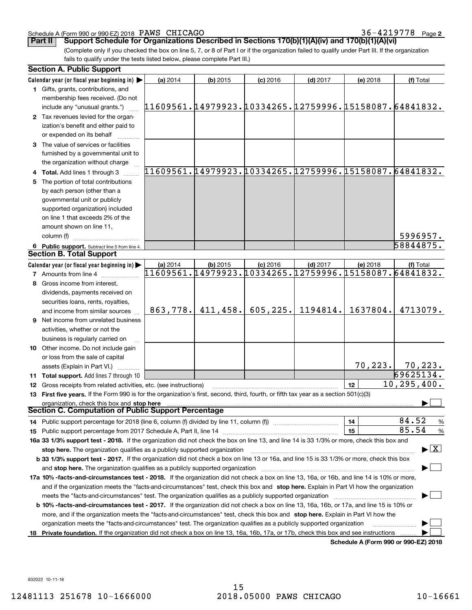### Schedule A (Form 990 or 990-EZ) 2018 Page PAWS CHICAGO 36-4219778

(Complete only if you checked the box on line 5, 7, or 8 of Part I or if the organization failed to qualify under Part III. If the organization fails to qualify under the tests listed below, please complete Part III.) **Part II Support Schedule for Organizations Described in Sections 170(b)(1)(A)(iv) and 170(b)(1)(A)(vi)**

| Calendar year (or fiscal year beginning in)<br>(a) 2014<br>$(b)$ 2015<br>$(c)$ 2016<br>$(d)$ 2017<br>(e) 2018<br>(f) Total<br>1 Gifts, grants, contributions, and<br>membership fees received. (Do not<br>11609561.14979923.10334265.12759996.15158087.64841832.<br>include any "unusual grants.")<br>2 Tax revenues levied for the organ-<br>ization's benefit and either paid to<br>or expended on its behalf<br>3 The value of services or facilities<br>furnished by a governmental unit to<br>the organization without charge<br>11609561.14979923.10334265.12759996.15158087.64841832.<br>4 Total. Add lines 1 through 3<br>The portion of total contributions<br>by each person (other than a<br>governmental unit or publicly<br>supported organization) included<br>on line 1 that exceeds 2% of the<br>amount shown on line 11,<br>5996957.<br>column (f)<br>58844875.<br>6 Public support. Subtract line 5 from line 4.<br><b>Section B. Total Support</b><br>Calendar year (or fiscal year beginning in)<br>(a) 2014<br>(b) 2015<br>$(c)$ 2016<br>$(d)$ 2017<br>(e) 2018<br>(f) Total<br>11609561.14979923.10334265.12759996.15158087.64841832.<br><b>7</b> Amounts from line 4<br>Gross income from interest,<br>8<br>dividends, payments received on<br>securities loans, rents, royalties,<br>1194814.<br>605, 225.<br>1637804.<br>411,458.<br>4713079.<br>863,778.<br>and income from similar sources<br>Net income from unrelated business<br>9<br>activities, whether or not the<br>business is regularly carried on<br><b>10</b> Other income. Do not include gain<br>or loss from the sale of capital<br>70, 223.<br>70,223.<br>assets (Explain in Part VI.)<br>69625134.<br>11 Total support. Add lines 7 through 10<br>10, 295, 400.<br>12<br><b>12</b> Gross receipts from related activities, etc. (see instructions)<br>13 First five years. If the Form 990 is for the organization's first, second, third, fourth, or fifth tax year as a section 501(c)(3)<br>organization, check this box and stop here<br><b>Section C. Computation of Public Support Percentage</b><br>84.52<br>14<br>$\frac{9}{6}$<br>14 Public support percentage for 2018 (line 6, column (f) divided by line 11, column (f) <i>mummumumum</i><br>85.54<br>15<br>$\frac{9}{6}$<br>16a 33 1/3% support test - 2018. If the organization did not check the box on line 13, and line 14 is 33 1/3% or more, check this box and<br>$\blacktriangleright$ $\boxed{\text{X}}$<br>stop here. The organization qualifies as a publicly supported organization<br>b 33 1/3% support test - 2017. If the organization did not check a box on line 13 or 16a, and line 15 is 33 1/3% or more, check this box<br>and stop here. The organization qualifies as a publicly supported organization<br>17a 10% -facts-and-circumstances test - 2018. If the organization did not check a box on line 13, 16a, or 16b, and line 14 is 10% or more,<br>and if the organization meets the "facts-and-circumstances" test, check this box and stop here. Explain in Part VI how the organization<br>meets the "facts-and-circumstances" test. The organization qualifies as a publicly supported organization<br><b>b 10% -facts-and-circumstances test - 2017.</b> If the organization did not check a box on line 13, 16a, 16b, or 17a, and line 15 is 10% or<br>more, and if the organization meets the "facts-and-circumstances" test, check this box and stop here. Explain in Part VI how the<br>organization meets the "facts-and-circumstances" test. The organization qualifies as a publicly supported organization<br>18 Private foundation. If the organization did not check a box on line 13, 16a, 16b, 17a, or 17b, check this box and see instructions | <b>Section A. Public Support</b> |  |  |  |
|------------------------------------------------------------------------------------------------------------------------------------------------------------------------------------------------------------------------------------------------------------------------------------------------------------------------------------------------------------------------------------------------------------------------------------------------------------------------------------------------------------------------------------------------------------------------------------------------------------------------------------------------------------------------------------------------------------------------------------------------------------------------------------------------------------------------------------------------------------------------------------------------------------------------------------------------------------------------------------------------------------------------------------------------------------------------------------------------------------------------------------------------------------------------------------------------------------------------------------------------------------------------------------------------------------------------------------------------------------------------------------------------------------------------------------------------------------------------------------------------------------------------------------------------------------------------------------------------------------------------------------------------------------------------------------------------------------------------------------------------------------------------------------------------------------------------------------------------------------------------------------------------------------------------------------------------------------------------------------------------------------------------------------------------------------------------------------------------------------------------------------------------------------------------------------------------------------------------------------------------------------------------------------------------------------------------------------------------------------------------------------------------------------------------------------------------------------------------------------------------------------------------------------------------------------------------------------------------------------------------------------------------------------------------------------------------------------------------------------------------------------------------------------------------------------------------------------------------------------------------------------------------------------------------------------------------------------------------------------------------------------------------------------------------------------------------------------------------------------------------------------------------------------------------------------------------------------------------------------------------------------------------------------------------------------------------------------------------------------------------------------------------------------------------------------------------------------------------------------------------------------------------------------------------------------------------------------------------------------------------------------------------------------------------------------------------------------------------------------------------------|----------------------------------|--|--|--|
|                                                                                                                                                                                                                                                                                                                                                                                                                                                                                                                                                                                                                                                                                                                                                                                                                                                                                                                                                                                                                                                                                                                                                                                                                                                                                                                                                                                                                                                                                                                                                                                                                                                                                                                                                                                                                                                                                                                                                                                                                                                                                                                                                                                                                                                                                                                                                                                                                                                                                                                                                                                                                                                                                                                                                                                                                                                                                                                                                                                                                                                                                                                                                                                                                                                                                                                                                                                                                                                                                                                                                                                                                                                                                                                                                      |                                  |  |  |  |
|                                                                                                                                                                                                                                                                                                                                                                                                                                                                                                                                                                                                                                                                                                                                                                                                                                                                                                                                                                                                                                                                                                                                                                                                                                                                                                                                                                                                                                                                                                                                                                                                                                                                                                                                                                                                                                                                                                                                                                                                                                                                                                                                                                                                                                                                                                                                                                                                                                                                                                                                                                                                                                                                                                                                                                                                                                                                                                                                                                                                                                                                                                                                                                                                                                                                                                                                                                                                                                                                                                                                                                                                                                                                                                                                                      |                                  |  |  |  |
|                                                                                                                                                                                                                                                                                                                                                                                                                                                                                                                                                                                                                                                                                                                                                                                                                                                                                                                                                                                                                                                                                                                                                                                                                                                                                                                                                                                                                                                                                                                                                                                                                                                                                                                                                                                                                                                                                                                                                                                                                                                                                                                                                                                                                                                                                                                                                                                                                                                                                                                                                                                                                                                                                                                                                                                                                                                                                                                                                                                                                                                                                                                                                                                                                                                                                                                                                                                                                                                                                                                                                                                                                                                                                                                                                      |                                  |  |  |  |
|                                                                                                                                                                                                                                                                                                                                                                                                                                                                                                                                                                                                                                                                                                                                                                                                                                                                                                                                                                                                                                                                                                                                                                                                                                                                                                                                                                                                                                                                                                                                                                                                                                                                                                                                                                                                                                                                                                                                                                                                                                                                                                                                                                                                                                                                                                                                                                                                                                                                                                                                                                                                                                                                                                                                                                                                                                                                                                                                                                                                                                                                                                                                                                                                                                                                                                                                                                                                                                                                                                                                                                                                                                                                                                                                                      |                                  |  |  |  |
|                                                                                                                                                                                                                                                                                                                                                                                                                                                                                                                                                                                                                                                                                                                                                                                                                                                                                                                                                                                                                                                                                                                                                                                                                                                                                                                                                                                                                                                                                                                                                                                                                                                                                                                                                                                                                                                                                                                                                                                                                                                                                                                                                                                                                                                                                                                                                                                                                                                                                                                                                                                                                                                                                                                                                                                                                                                                                                                                                                                                                                                                                                                                                                                                                                                                                                                                                                                                                                                                                                                                                                                                                                                                                                                                                      |                                  |  |  |  |
|                                                                                                                                                                                                                                                                                                                                                                                                                                                                                                                                                                                                                                                                                                                                                                                                                                                                                                                                                                                                                                                                                                                                                                                                                                                                                                                                                                                                                                                                                                                                                                                                                                                                                                                                                                                                                                                                                                                                                                                                                                                                                                                                                                                                                                                                                                                                                                                                                                                                                                                                                                                                                                                                                                                                                                                                                                                                                                                                                                                                                                                                                                                                                                                                                                                                                                                                                                                                                                                                                                                                                                                                                                                                                                                                                      |                                  |  |  |  |
|                                                                                                                                                                                                                                                                                                                                                                                                                                                                                                                                                                                                                                                                                                                                                                                                                                                                                                                                                                                                                                                                                                                                                                                                                                                                                                                                                                                                                                                                                                                                                                                                                                                                                                                                                                                                                                                                                                                                                                                                                                                                                                                                                                                                                                                                                                                                                                                                                                                                                                                                                                                                                                                                                                                                                                                                                                                                                                                                                                                                                                                                                                                                                                                                                                                                                                                                                                                                                                                                                                                                                                                                                                                                                                                                                      |                                  |  |  |  |
|                                                                                                                                                                                                                                                                                                                                                                                                                                                                                                                                                                                                                                                                                                                                                                                                                                                                                                                                                                                                                                                                                                                                                                                                                                                                                                                                                                                                                                                                                                                                                                                                                                                                                                                                                                                                                                                                                                                                                                                                                                                                                                                                                                                                                                                                                                                                                                                                                                                                                                                                                                                                                                                                                                                                                                                                                                                                                                                                                                                                                                                                                                                                                                                                                                                                                                                                                                                                                                                                                                                                                                                                                                                                                                                                                      |                                  |  |  |  |
|                                                                                                                                                                                                                                                                                                                                                                                                                                                                                                                                                                                                                                                                                                                                                                                                                                                                                                                                                                                                                                                                                                                                                                                                                                                                                                                                                                                                                                                                                                                                                                                                                                                                                                                                                                                                                                                                                                                                                                                                                                                                                                                                                                                                                                                                                                                                                                                                                                                                                                                                                                                                                                                                                                                                                                                                                                                                                                                                                                                                                                                                                                                                                                                                                                                                                                                                                                                                                                                                                                                                                                                                                                                                                                                                                      |                                  |  |  |  |
|                                                                                                                                                                                                                                                                                                                                                                                                                                                                                                                                                                                                                                                                                                                                                                                                                                                                                                                                                                                                                                                                                                                                                                                                                                                                                                                                                                                                                                                                                                                                                                                                                                                                                                                                                                                                                                                                                                                                                                                                                                                                                                                                                                                                                                                                                                                                                                                                                                                                                                                                                                                                                                                                                                                                                                                                                                                                                                                                                                                                                                                                                                                                                                                                                                                                                                                                                                                                                                                                                                                                                                                                                                                                                                                                                      |                                  |  |  |  |
|                                                                                                                                                                                                                                                                                                                                                                                                                                                                                                                                                                                                                                                                                                                                                                                                                                                                                                                                                                                                                                                                                                                                                                                                                                                                                                                                                                                                                                                                                                                                                                                                                                                                                                                                                                                                                                                                                                                                                                                                                                                                                                                                                                                                                                                                                                                                                                                                                                                                                                                                                                                                                                                                                                                                                                                                                                                                                                                                                                                                                                                                                                                                                                                                                                                                                                                                                                                                                                                                                                                                                                                                                                                                                                                                                      |                                  |  |  |  |
|                                                                                                                                                                                                                                                                                                                                                                                                                                                                                                                                                                                                                                                                                                                                                                                                                                                                                                                                                                                                                                                                                                                                                                                                                                                                                                                                                                                                                                                                                                                                                                                                                                                                                                                                                                                                                                                                                                                                                                                                                                                                                                                                                                                                                                                                                                                                                                                                                                                                                                                                                                                                                                                                                                                                                                                                                                                                                                                                                                                                                                                                                                                                                                                                                                                                                                                                                                                                                                                                                                                                                                                                                                                                                                                                                      |                                  |  |  |  |
|                                                                                                                                                                                                                                                                                                                                                                                                                                                                                                                                                                                                                                                                                                                                                                                                                                                                                                                                                                                                                                                                                                                                                                                                                                                                                                                                                                                                                                                                                                                                                                                                                                                                                                                                                                                                                                                                                                                                                                                                                                                                                                                                                                                                                                                                                                                                                                                                                                                                                                                                                                                                                                                                                                                                                                                                                                                                                                                                                                                                                                                                                                                                                                                                                                                                                                                                                                                                                                                                                                                                                                                                                                                                                                                                                      |                                  |  |  |  |
|                                                                                                                                                                                                                                                                                                                                                                                                                                                                                                                                                                                                                                                                                                                                                                                                                                                                                                                                                                                                                                                                                                                                                                                                                                                                                                                                                                                                                                                                                                                                                                                                                                                                                                                                                                                                                                                                                                                                                                                                                                                                                                                                                                                                                                                                                                                                                                                                                                                                                                                                                                                                                                                                                                                                                                                                                                                                                                                                                                                                                                                                                                                                                                                                                                                                                                                                                                                                                                                                                                                                                                                                                                                                                                                                                      |                                  |  |  |  |
|                                                                                                                                                                                                                                                                                                                                                                                                                                                                                                                                                                                                                                                                                                                                                                                                                                                                                                                                                                                                                                                                                                                                                                                                                                                                                                                                                                                                                                                                                                                                                                                                                                                                                                                                                                                                                                                                                                                                                                                                                                                                                                                                                                                                                                                                                                                                                                                                                                                                                                                                                                                                                                                                                                                                                                                                                                                                                                                                                                                                                                                                                                                                                                                                                                                                                                                                                                                                                                                                                                                                                                                                                                                                                                                                                      |                                  |  |  |  |
|                                                                                                                                                                                                                                                                                                                                                                                                                                                                                                                                                                                                                                                                                                                                                                                                                                                                                                                                                                                                                                                                                                                                                                                                                                                                                                                                                                                                                                                                                                                                                                                                                                                                                                                                                                                                                                                                                                                                                                                                                                                                                                                                                                                                                                                                                                                                                                                                                                                                                                                                                                                                                                                                                                                                                                                                                                                                                                                                                                                                                                                                                                                                                                                                                                                                                                                                                                                                                                                                                                                                                                                                                                                                                                                                                      |                                  |  |  |  |
|                                                                                                                                                                                                                                                                                                                                                                                                                                                                                                                                                                                                                                                                                                                                                                                                                                                                                                                                                                                                                                                                                                                                                                                                                                                                                                                                                                                                                                                                                                                                                                                                                                                                                                                                                                                                                                                                                                                                                                                                                                                                                                                                                                                                                                                                                                                                                                                                                                                                                                                                                                                                                                                                                                                                                                                                                                                                                                                                                                                                                                                                                                                                                                                                                                                                                                                                                                                                                                                                                                                                                                                                                                                                                                                                                      |                                  |  |  |  |
|                                                                                                                                                                                                                                                                                                                                                                                                                                                                                                                                                                                                                                                                                                                                                                                                                                                                                                                                                                                                                                                                                                                                                                                                                                                                                                                                                                                                                                                                                                                                                                                                                                                                                                                                                                                                                                                                                                                                                                                                                                                                                                                                                                                                                                                                                                                                                                                                                                                                                                                                                                                                                                                                                                                                                                                                                                                                                                                                                                                                                                                                                                                                                                                                                                                                                                                                                                                                                                                                                                                                                                                                                                                                                                                                                      |                                  |  |  |  |
|                                                                                                                                                                                                                                                                                                                                                                                                                                                                                                                                                                                                                                                                                                                                                                                                                                                                                                                                                                                                                                                                                                                                                                                                                                                                                                                                                                                                                                                                                                                                                                                                                                                                                                                                                                                                                                                                                                                                                                                                                                                                                                                                                                                                                                                                                                                                                                                                                                                                                                                                                                                                                                                                                                                                                                                                                                                                                                                                                                                                                                                                                                                                                                                                                                                                                                                                                                                                                                                                                                                                                                                                                                                                                                                                                      |                                  |  |  |  |
|                                                                                                                                                                                                                                                                                                                                                                                                                                                                                                                                                                                                                                                                                                                                                                                                                                                                                                                                                                                                                                                                                                                                                                                                                                                                                                                                                                                                                                                                                                                                                                                                                                                                                                                                                                                                                                                                                                                                                                                                                                                                                                                                                                                                                                                                                                                                                                                                                                                                                                                                                                                                                                                                                                                                                                                                                                                                                                                                                                                                                                                                                                                                                                                                                                                                                                                                                                                                                                                                                                                                                                                                                                                                                                                                                      |                                  |  |  |  |
|                                                                                                                                                                                                                                                                                                                                                                                                                                                                                                                                                                                                                                                                                                                                                                                                                                                                                                                                                                                                                                                                                                                                                                                                                                                                                                                                                                                                                                                                                                                                                                                                                                                                                                                                                                                                                                                                                                                                                                                                                                                                                                                                                                                                                                                                                                                                                                                                                                                                                                                                                                                                                                                                                                                                                                                                                                                                                                                                                                                                                                                                                                                                                                                                                                                                                                                                                                                                                                                                                                                                                                                                                                                                                                                                                      |                                  |  |  |  |
|                                                                                                                                                                                                                                                                                                                                                                                                                                                                                                                                                                                                                                                                                                                                                                                                                                                                                                                                                                                                                                                                                                                                                                                                                                                                                                                                                                                                                                                                                                                                                                                                                                                                                                                                                                                                                                                                                                                                                                                                                                                                                                                                                                                                                                                                                                                                                                                                                                                                                                                                                                                                                                                                                                                                                                                                                                                                                                                                                                                                                                                                                                                                                                                                                                                                                                                                                                                                                                                                                                                                                                                                                                                                                                                                                      |                                  |  |  |  |
|                                                                                                                                                                                                                                                                                                                                                                                                                                                                                                                                                                                                                                                                                                                                                                                                                                                                                                                                                                                                                                                                                                                                                                                                                                                                                                                                                                                                                                                                                                                                                                                                                                                                                                                                                                                                                                                                                                                                                                                                                                                                                                                                                                                                                                                                                                                                                                                                                                                                                                                                                                                                                                                                                                                                                                                                                                                                                                                                                                                                                                                                                                                                                                                                                                                                                                                                                                                                                                                                                                                                                                                                                                                                                                                                                      |                                  |  |  |  |
|                                                                                                                                                                                                                                                                                                                                                                                                                                                                                                                                                                                                                                                                                                                                                                                                                                                                                                                                                                                                                                                                                                                                                                                                                                                                                                                                                                                                                                                                                                                                                                                                                                                                                                                                                                                                                                                                                                                                                                                                                                                                                                                                                                                                                                                                                                                                                                                                                                                                                                                                                                                                                                                                                                                                                                                                                                                                                                                                                                                                                                                                                                                                                                                                                                                                                                                                                                                                                                                                                                                                                                                                                                                                                                                                                      |                                  |  |  |  |
|                                                                                                                                                                                                                                                                                                                                                                                                                                                                                                                                                                                                                                                                                                                                                                                                                                                                                                                                                                                                                                                                                                                                                                                                                                                                                                                                                                                                                                                                                                                                                                                                                                                                                                                                                                                                                                                                                                                                                                                                                                                                                                                                                                                                                                                                                                                                                                                                                                                                                                                                                                                                                                                                                                                                                                                                                                                                                                                                                                                                                                                                                                                                                                                                                                                                                                                                                                                                                                                                                                                                                                                                                                                                                                                                                      |                                  |  |  |  |
|                                                                                                                                                                                                                                                                                                                                                                                                                                                                                                                                                                                                                                                                                                                                                                                                                                                                                                                                                                                                                                                                                                                                                                                                                                                                                                                                                                                                                                                                                                                                                                                                                                                                                                                                                                                                                                                                                                                                                                                                                                                                                                                                                                                                                                                                                                                                                                                                                                                                                                                                                                                                                                                                                                                                                                                                                                                                                                                                                                                                                                                                                                                                                                                                                                                                                                                                                                                                                                                                                                                                                                                                                                                                                                                                                      |                                  |  |  |  |
|                                                                                                                                                                                                                                                                                                                                                                                                                                                                                                                                                                                                                                                                                                                                                                                                                                                                                                                                                                                                                                                                                                                                                                                                                                                                                                                                                                                                                                                                                                                                                                                                                                                                                                                                                                                                                                                                                                                                                                                                                                                                                                                                                                                                                                                                                                                                                                                                                                                                                                                                                                                                                                                                                                                                                                                                                                                                                                                                                                                                                                                                                                                                                                                                                                                                                                                                                                                                                                                                                                                                                                                                                                                                                                                                                      |                                  |  |  |  |
|                                                                                                                                                                                                                                                                                                                                                                                                                                                                                                                                                                                                                                                                                                                                                                                                                                                                                                                                                                                                                                                                                                                                                                                                                                                                                                                                                                                                                                                                                                                                                                                                                                                                                                                                                                                                                                                                                                                                                                                                                                                                                                                                                                                                                                                                                                                                                                                                                                                                                                                                                                                                                                                                                                                                                                                                                                                                                                                                                                                                                                                                                                                                                                                                                                                                                                                                                                                                                                                                                                                                                                                                                                                                                                                                                      |                                  |  |  |  |
|                                                                                                                                                                                                                                                                                                                                                                                                                                                                                                                                                                                                                                                                                                                                                                                                                                                                                                                                                                                                                                                                                                                                                                                                                                                                                                                                                                                                                                                                                                                                                                                                                                                                                                                                                                                                                                                                                                                                                                                                                                                                                                                                                                                                                                                                                                                                                                                                                                                                                                                                                                                                                                                                                                                                                                                                                                                                                                                                                                                                                                                                                                                                                                                                                                                                                                                                                                                                                                                                                                                                                                                                                                                                                                                                                      |                                  |  |  |  |
|                                                                                                                                                                                                                                                                                                                                                                                                                                                                                                                                                                                                                                                                                                                                                                                                                                                                                                                                                                                                                                                                                                                                                                                                                                                                                                                                                                                                                                                                                                                                                                                                                                                                                                                                                                                                                                                                                                                                                                                                                                                                                                                                                                                                                                                                                                                                                                                                                                                                                                                                                                                                                                                                                                                                                                                                                                                                                                                                                                                                                                                                                                                                                                                                                                                                                                                                                                                                                                                                                                                                                                                                                                                                                                                                                      |                                  |  |  |  |
|                                                                                                                                                                                                                                                                                                                                                                                                                                                                                                                                                                                                                                                                                                                                                                                                                                                                                                                                                                                                                                                                                                                                                                                                                                                                                                                                                                                                                                                                                                                                                                                                                                                                                                                                                                                                                                                                                                                                                                                                                                                                                                                                                                                                                                                                                                                                                                                                                                                                                                                                                                                                                                                                                                                                                                                                                                                                                                                                                                                                                                                                                                                                                                                                                                                                                                                                                                                                                                                                                                                                                                                                                                                                                                                                                      |                                  |  |  |  |
|                                                                                                                                                                                                                                                                                                                                                                                                                                                                                                                                                                                                                                                                                                                                                                                                                                                                                                                                                                                                                                                                                                                                                                                                                                                                                                                                                                                                                                                                                                                                                                                                                                                                                                                                                                                                                                                                                                                                                                                                                                                                                                                                                                                                                                                                                                                                                                                                                                                                                                                                                                                                                                                                                                                                                                                                                                                                                                                                                                                                                                                                                                                                                                                                                                                                                                                                                                                                                                                                                                                                                                                                                                                                                                                                                      |                                  |  |  |  |
|                                                                                                                                                                                                                                                                                                                                                                                                                                                                                                                                                                                                                                                                                                                                                                                                                                                                                                                                                                                                                                                                                                                                                                                                                                                                                                                                                                                                                                                                                                                                                                                                                                                                                                                                                                                                                                                                                                                                                                                                                                                                                                                                                                                                                                                                                                                                                                                                                                                                                                                                                                                                                                                                                                                                                                                                                                                                                                                                                                                                                                                                                                                                                                                                                                                                                                                                                                                                                                                                                                                                                                                                                                                                                                                                                      |                                  |  |  |  |
|                                                                                                                                                                                                                                                                                                                                                                                                                                                                                                                                                                                                                                                                                                                                                                                                                                                                                                                                                                                                                                                                                                                                                                                                                                                                                                                                                                                                                                                                                                                                                                                                                                                                                                                                                                                                                                                                                                                                                                                                                                                                                                                                                                                                                                                                                                                                                                                                                                                                                                                                                                                                                                                                                                                                                                                                                                                                                                                                                                                                                                                                                                                                                                                                                                                                                                                                                                                                                                                                                                                                                                                                                                                                                                                                                      |                                  |  |  |  |
|                                                                                                                                                                                                                                                                                                                                                                                                                                                                                                                                                                                                                                                                                                                                                                                                                                                                                                                                                                                                                                                                                                                                                                                                                                                                                                                                                                                                                                                                                                                                                                                                                                                                                                                                                                                                                                                                                                                                                                                                                                                                                                                                                                                                                                                                                                                                                                                                                                                                                                                                                                                                                                                                                                                                                                                                                                                                                                                                                                                                                                                                                                                                                                                                                                                                                                                                                                                                                                                                                                                                                                                                                                                                                                                                                      |                                  |  |  |  |
|                                                                                                                                                                                                                                                                                                                                                                                                                                                                                                                                                                                                                                                                                                                                                                                                                                                                                                                                                                                                                                                                                                                                                                                                                                                                                                                                                                                                                                                                                                                                                                                                                                                                                                                                                                                                                                                                                                                                                                                                                                                                                                                                                                                                                                                                                                                                                                                                                                                                                                                                                                                                                                                                                                                                                                                                                                                                                                                                                                                                                                                                                                                                                                                                                                                                                                                                                                                                                                                                                                                                                                                                                                                                                                                                                      |                                  |  |  |  |
|                                                                                                                                                                                                                                                                                                                                                                                                                                                                                                                                                                                                                                                                                                                                                                                                                                                                                                                                                                                                                                                                                                                                                                                                                                                                                                                                                                                                                                                                                                                                                                                                                                                                                                                                                                                                                                                                                                                                                                                                                                                                                                                                                                                                                                                                                                                                                                                                                                                                                                                                                                                                                                                                                                                                                                                                                                                                                                                                                                                                                                                                                                                                                                                                                                                                                                                                                                                                                                                                                                                                                                                                                                                                                                                                                      |                                  |  |  |  |
|                                                                                                                                                                                                                                                                                                                                                                                                                                                                                                                                                                                                                                                                                                                                                                                                                                                                                                                                                                                                                                                                                                                                                                                                                                                                                                                                                                                                                                                                                                                                                                                                                                                                                                                                                                                                                                                                                                                                                                                                                                                                                                                                                                                                                                                                                                                                                                                                                                                                                                                                                                                                                                                                                                                                                                                                                                                                                                                                                                                                                                                                                                                                                                                                                                                                                                                                                                                                                                                                                                                                                                                                                                                                                                                                                      |                                  |  |  |  |
|                                                                                                                                                                                                                                                                                                                                                                                                                                                                                                                                                                                                                                                                                                                                                                                                                                                                                                                                                                                                                                                                                                                                                                                                                                                                                                                                                                                                                                                                                                                                                                                                                                                                                                                                                                                                                                                                                                                                                                                                                                                                                                                                                                                                                                                                                                                                                                                                                                                                                                                                                                                                                                                                                                                                                                                                                                                                                                                                                                                                                                                                                                                                                                                                                                                                                                                                                                                                                                                                                                                                                                                                                                                                                                                                                      |                                  |  |  |  |
|                                                                                                                                                                                                                                                                                                                                                                                                                                                                                                                                                                                                                                                                                                                                                                                                                                                                                                                                                                                                                                                                                                                                                                                                                                                                                                                                                                                                                                                                                                                                                                                                                                                                                                                                                                                                                                                                                                                                                                                                                                                                                                                                                                                                                                                                                                                                                                                                                                                                                                                                                                                                                                                                                                                                                                                                                                                                                                                                                                                                                                                                                                                                                                                                                                                                                                                                                                                                                                                                                                                                                                                                                                                                                                                                                      |                                  |  |  |  |
|                                                                                                                                                                                                                                                                                                                                                                                                                                                                                                                                                                                                                                                                                                                                                                                                                                                                                                                                                                                                                                                                                                                                                                                                                                                                                                                                                                                                                                                                                                                                                                                                                                                                                                                                                                                                                                                                                                                                                                                                                                                                                                                                                                                                                                                                                                                                                                                                                                                                                                                                                                                                                                                                                                                                                                                                                                                                                                                                                                                                                                                                                                                                                                                                                                                                                                                                                                                                                                                                                                                                                                                                                                                                                                                                                      |                                  |  |  |  |
|                                                                                                                                                                                                                                                                                                                                                                                                                                                                                                                                                                                                                                                                                                                                                                                                                                                                                                                                                                                                                                                                                                                                                                                                                                                                                                                                                                                                                                                                                                                                                                                                                                                                                                                                                                                                                                                                                                                                                                                                                                                                                                                                                                                                                                                                                                                                                                                                                                                                                                                                                                                                                                                                                                                                                                                                                                                                                                                                                                                                                                                                                                                                                                                                                                                                                                                                                                                                                                                                                                                                                                                                                                                                                                                                                      |                                  |  |  |  |
|                                                                                                                                                                                                                                                                                                                                                                                                                                                                                                                                                                                                                                                                                                                                                                                                                                                                                                                                                                                                                                                                                                                                                                                                                                                                                                                                                                                                                                                                                                                                                                                                                                                                                                                                                                                                                                                                                                                                                                                                                                                                                                                                                                                                                                                                                                                                                                                                                                                                                                                                                                                                                                                                                                                                                                                                                                                                                                                                                                                                                                                                                                                                                                                                                                                                                                                                                                                                                                                                                                                                                                                                                                                                                                                                                      |                                  |  |  |  |
|                                                                                                                                                                                                                                                                                                                                                                                                                                                                                                                                                                                                                                                                                                                                                                                                                                                                                                                                                                                                                                                                                                                                                                                                                                                                                                                                                                                                                                                                                                                                                                                                                                                                                                                                                                                                                                                                                                                                                                                                                                                                                                                                                                                                                                                                                                                                                                                                                                                                                                                                                                                                                                                                                                                                                                                                                                                                                                                                                                                                                                                                                                                                                                                                                                                                                                                                                                                                                                                                                                                                                                                                                                                                                                                                                      |                                  |  |  |  |
|                                                                                                                                                                                                                                                                                                                                                                                                                                                                                                                                                                                                                                                                                                                                                                                                                                                                                                                                                                                                                                                                                                                                                                                                                                                                                                                                                                                                                                                                                                                                                                                                                                                                                                                                                                                                                                                                                                                                                                                                                                                                                                                                                                                                                                                                                                                                                                                                                                                                                                                                                                                                                                                                                                                                                                                                                                                                                                                                                                                                                                                                                                                                                                                                                                                                                                                                                                                                                                                                                                                                                                                                                                                                                                                                                      |                                  |  |  |  |
|                                                                                                                                                                                                                                                                                                                                                                                                                                                                                                                                                                                                                                                                                                                                                                                                                                                                                                                                                                                                                                                                                                                                                                                                                                                                                                                                                                                                                                                                                                                                                                                                                                                                                                                                                                                                                                                                                                                                                                                                                                                                                                                                                                                                                                                                                                                                                                                                                                                                                                                                                                                                                                                                                                                                                                                                                                                                                                                                                                                                                                                                                                                                                                                                                                                                                                                                                                                                                                                                                                                                                                                                                                                                                                                                                      |                                  |  |  |  |
|                                                                                                                                                                                                                                                                                                                                                                                                                                                                                                                                                                                                                                                                                                                                                                                                                                                                                                                                                                                                                                                                                                                                                                                                                                                                                                                                                                                                                                                                                                                                                                                                                                                                                                                                                                                                                                                                                                                                                                                                                                                                                                                                                                                                                                                                                                                                                                                                                                                                                                                                                                                                                                                                                                                                                                                                                                                                                                                                                                                                                                                                                                                                                                                                                                                                                                                                                                                                                                                                                                                                                                                                                                                                                                                                                      |                                  |  |  |  |
|                                                                                                                                                                                                                                                                                                                                                                                                                                                                                                                                                                                                                                                                                                                                                                                                                                                                                                                                                                                                                                                                                                                                                                                                                                                                                                                                                                                                                                                                                                                                                                                                                                                                                                                                                                                                                                                                                                                                                                                                                                                                                                                                                                                                                                                                                                                                                                                                                                                                                                                                                                                                                                                                                                                                                                                                                                                                                                                                                                                                                                                                                                                                                                                                                                                                                                                                                                                                                                                                                                                                                                                                                                                                                                                                                      |                                  |  |  |  |
|                                                                                                                                                                                                                                                                                                                                                                                                                                                                                                                                                                                                                                                                                                                                                                                                                                                                                                                                                                                                                                                                                                                                                                                                                                                                                                                                                                                                                                                                                                                                                                                                                                                                                                                                                                                                                                                                                                                                                                                                                                                                                                                                                                                                                                                                                                                                                                                                                                                                                                                                                                                                                                                                                                                                                                                                                                                                                                                                                                                                                                                                                                                                                                                                                                                                                                                                                                                                                                                                                                                                                                                                                                                                                                                                                      |                                  |  |  |  |
|                                                                                                                                                                                                                                                                                                                                                                                                                                                                                                                                                                                                                                                                                                                                                                                                                                                                                                                                                                                                                                                                                                                                                                                                                                                                                                                                                                                                                                                                                                                                                                                                                                                                                                                                                                                                                                                                                                                                                                                                                                                                                                                                                                                                                                                                                                                                                                                                                                                                                                                                                                                                                                                                                                                                                                                                                                                                                                                                                                                                                                                                                                                                                                                                                                                                                                                                                                                                                                                                                                                                                                                                                                                                                                                                                      |                                  |  |  |  |
|                                                                                                                                                                                                                                                                                                                                                                                                                                                                                                                                                                                                                                                                                                                                                                                                                                                                                                                                                                                                                                                                                                                                                                                                                                                                                                                                                                                                                                                                                                                                                                                                                                                                                                                                                                                                                                                                                                                                                                                                                                                                                                                                                                                                                                                                                                                                                                                                                                                                                                                                                                                                                                                                                                                                                                                                                                                                                                                                                                                                                                                                                                                                                                                                                                                                                                                                                                                                                                                                                                                                                                                                                                                                                                                                                      |                                  |  |  |  |
| 000.520040                                                                                                                                                                                                                                                                                                                                                                                                                                                                                                                                                                                                                                                                                                                                                                                                                                                                                                                                                                                                                                                                                                                                                                                                                                                                                                                                                                                                                                                                                                                                                                                                                                                                                                                                                                                                                                                                                                                                                                                                                                                                                                                                                                                                                                                                                                                                                                                                                                                                                                                                                                                                                                                                                                                                                                                                                                                                                                                                                                                                                                                                                                                                                                                                                                                                                                                                                                                                                                                                                                                                                                                                                                                                                                                                           |                                  |  |  |  |

**Schedule A (Form 990 or 990-EZ) 2018**

832022 10-11-18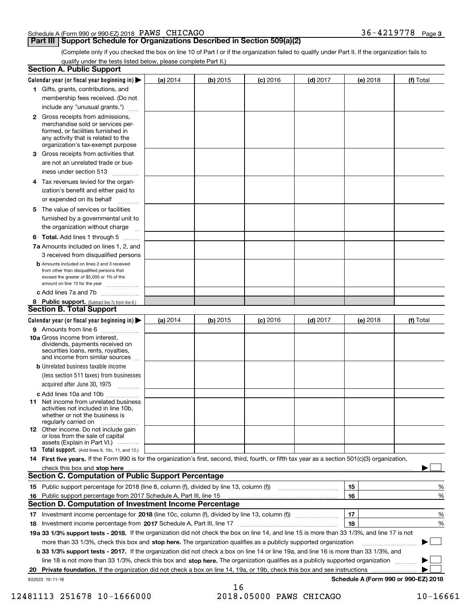### Schedule A (Form 990 or 990-EZ) 2018 Page PAWS CHICAGO 36-4219778

### **Part III Support Schedule for Organizations Described in Section 509(a)(2)**

(Complete only if you checked the box on line 10 of Part I or if the organization failed to qualify under Part II. If the organization fails to qualify under the tests listed below, please complete Part II.)

|    | <b>Section A. Public Support</b>                                                                                                                                                                                               |          |          |                 |            |          |                                      |
|----|--------------------------------------------------------------------------------------------------------------------------------------------------------------------------------------------------------------------------------|----------|----------|-----------------|------------|----------|--------------------------------------|
|    | Calendar year (or fiscal year beginning in) $\blacktriangleright$                                                                                                                                                              | (a) 2014 | (b) 2015 | <b>(c)</b> 2016 | $(d)$ 2017 | (e) 2018 | (f) Total                            |
|    | 1 Gifts, grants, contributions, and                                                                                                                                                                                            |          |          |                 |            |          |                                      |
|    | membership fees received. (Do not                                                                                                                                                                                              |          |          |                 |            |          |                                      |
|    | include any "unusual grants.")                                                                                                                                                                                                 |          |          |                 |            |          |                                      |
|    | <b>2</b> Gross receipts from admissions,<br>merchandise sold or services per-<br>formed, or facilities furnished in<br>any activity that is related to the<br>organization's tax-exempt purpose                                |          |          |                 |            |          |                                      |
|    | 3 Gross receipts from activities that<br>are not an unrelated trade or bus-                                                                                                                                                    |          |          |                 |            |          |                                      |
|    | iness under section 513                                                                                                                                                                                                        |          |          |                 |            |          |                                      |
|    | 4 Tax revenues levied for the organ-<br>ization's benefit and either paid to                                                                                                                                                   |          |          |                 |            |          |                                      |
|    | or expended on its behalf<br>.                                                                                                                                                                                                 |          |          |                 |            |          |                                      |
|    | 5 The value of services or facilities<br>furnished by a governmental unit to<br>the organization without charge                                                                                                                |          |          |                 |            |          |                                      |
|    | <b>6 Total.</b> Add lines 1 through 5                                                                                                                                                                                          |          |          |                 |            |          |                                      |
|    | 7a Amounts included on lines 1, 2, and<br>3 received from disqualified persons                                                                                                                                                 |          |          |                 |            |          |                                      |
|    | <b>b</b> Amounts included on lines 2 and 3 received<br>from other than disqualified persons that<br>exceed the greater of \$5,000 or 1% of the<br>amount on line 13 for the year                                               |          |          |                 |            |          |                                      |
|    | c Add lines 7a and 7b                                                                                                                                                                                                          |          |          |                 |            |          |                                      |
|    | 8 Public support. (Subtract line 7c from line 6.)<br><b>Section B. Total Support</b>                                                                                                                                           |          |          |                 |            |          |                                      |
|    | Calendar year (or fiscal year beginning in)                                                                                                                                                                                    | (a) 2014 | (b) 2015 | <b>(c)</b> 2016 | $(d)$ 2017 | (e) 2018 | (f) Total                            |
|    | 9 Amounts from line 6                                                                                                                                                                                                          |          |          |                 |            |          |                                      |
|    | 10a Gross income from interest,<br>dividends, payments received on<br>securities loans, rents, royalties,<br>and income from similar sources                                                                                   |          |          |                 |            |          |                                      |
|    | <b>b</b> Unrelated business taxable income<br>(less section 511 taxes) from businesses<br>acquired after June 30, 1975 [10001]                                                                                                 |          |          |                 |            |          |                                      |
|    | c Add lines 10a and 10b                                                                                                                                                                                                        |          |          |                 |            |          |                                      |
|    | 11 Net income from unrelated business<br>activities not included in line 10b,<br>whether or not the business is<br>regularly carried on                                                                                        |          |          |                 |            |          |                                      |
|    | <b>12</b> Other income. Do not include gain<br>or loss from the sale of capital<br>assets (Explain in Part VI.)                                                                                                                |          |          |                 |            |          |                                      |
|    | 13 Total support. (Add lines 9, 10c, 11, and 12.)                                                                                                                                                                              |          |          |                 |            |          |                                      |
|    | 14 First five years. If the Form 990 is for the organization's first, second, third, fourth, or fifth tax year as a section 501(c)(3) organization,                                                                            |          |          |                 |            |          |                                      |
|    | check this box and stop here communication and content to the state of the state of the state of the state of the state of the state of the state of the state of the state of the state of the state of the state of the stat |          |          |                 |            |          |                                      |
|    | <b>Section C. Computation of Public Support Percentage</b>                                                                                                                                                                     |          |          |                 |            |          |                                      |
|    |                                                                                                                                                                                                                                |          |          |                 |            | 15       | %                                    |
| 16 | Public support percentage from 2017 Schedule A, Part III, line 15                                                                                                                                                              |          |          |                 |            | 16       | %                                    |
|    | <b>Section D. Computation of Investment Income Percentage</b>                                                                                                                                                                  |          |          |                 |            |          |                                      |
|    | 17 Investment income percentage for 2018 (line 10c, column (f), divided by line 13, column (f))                                                                                                                                |          |          |                 |            | 17       | %                                    |
|    | 18 Investment income percentage from 2017 Schedule A, Part III, line 17                                                                                                                                                        |          |          |                 |            | 18       | %                                    |
|    | 19a 33 1/3% support tests - 2018. If the organization did not check the box on line 14, and line 15 is more than 33 1/3%, and line 17 is not                                                                                   |          |          |                 |            |          |                                      |
|    | more than 33 1/3%, check this box and stop here. The organization qualifies as a publicly supported organization                                                                                                               |          |          |                 |            |          | $\sim$ 1                             |
|    | b 33 1/3% support tests - 2017. If the organization did not check a box on line 14 or line 19a, and line 16 is more than 33 1/3%, and                                                                                          |          |          |                 |            |          |                                      |
|    | line 18 is not more than 33 1/3%, check this box and stop here. The organization qualifies as a publicly supported organization                                                                                                |          |          |                 |            |          |                                      |
| 20 | Private foundation. If the organization did not check a box on line 14, 19a, or 19b, check this box and see instructions                                                                                                       |          |          |                 |            |          | Schedule A (Form 990 or 990-EZ) 2018 |
|    | 832023 10-11-18                                                                                                                                                                                                                |          | 16       |                 |            |          |                                      |

 <sup>12481113 251678 10-1666000 2018.05000</sup> PAWS CHICAGO 10-16661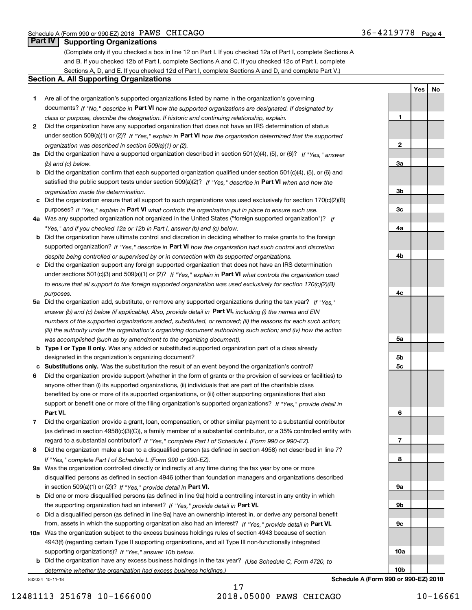**1**

**2**

**3a**

**3b**

**3c**

**4a**

**4b**

**4c**

**5a**

**5b5c**

**6**

**7**

**8**

**9a**

**9b**

**9c**

**10a**

**YesNo**

## **Part IV Supporting Organizations**

(Complete only if you checked a box in line 12 on Part I. If you checked 12a of Part I, complete Sections A and B. If you checked 12b of Part I, complete Sections A and C. If you checked 12c of Part I, complete Sections A, D, and E. If you checked 12d of Part I, complete Sections A and D, and complete Part V.)

### **Section A. All Supporting Organizations**

- **1** Are all of the organization's supported organizations listed by name in the organization's governing documents? If "No," describe in **Part VI** how the supported organizations are designated. If designated by *class or purpose, describe the designation. If historic and continuing relationship, explain.*
- **2** Did the organization have any supported organization that does not have an IRS determination of status under section 509(a)(1) or (2)? If "Yes," explain in Part VI how the organization determined that the supported *organization was described in section 509(a)(1) or (2).*
- **3a** Did the organization have a supported organization described in section 501(c)(4), (5), or (6)? If "Yes," answer *(b) and (c) below.*
- **b** Did the organization confirm that each supported organization qualified under section 501(c)(4), (5), or (6) and satisfied the public support tests under section 509(a)(2)? If "Yes," describe in **Part VI** when and how the *organization made the determination.*
- **c**Did the organization ensure that all support to such organizations was used exclusively for section 170(c)(2)(B) purposes? If "Yes," explain in **Part VI** what controls the organization put in place to ensure such use.
- **4a***If* Was any supported organization not organized in the United States ("foreign supported organization")? *"Yes," and if you checked 12a or 12b in Part I, answer (b) and (c) below.*
- **b** Did the organization have ultimate control and discretion in deciding whether to make grants to the foreign supported organization? If "Yes," describe in **Part VI** how the organization had such control and discretion *despite being controlled or supervised by or in connection with its supported organizations.*
- **c** Did the organization support any foreign supported organization that does not have an IRS determination under sections 501(c)(3) and 509(a)(1) or (2)? If "Yes," explain in **Part VI** what controls the organization used *to ensure that all support to the foreign supported organization was used exclusively for section 170(c)(2)(B) purposes.*
- **5a** Did the organization add, substitute, or remove any supported organizations during the tax year? If "Yes," answer (b) and (c) below (if applicable). Also, provide detail in **Part VI,** including (i) the names and EIN *numbers of the supported organizations added, substituted, or removed; (ii) the reasons for each such action; (iii) the authority under the organization's organizing document authorizing such action; and (iv) how the action was accomplished (such as by amendment to the organizing document).*
- **b** Type I or Type II only. Was any added or substituted supported organization part of a class already designated in the organization's organizing document?
- **cSubstitutions only.**  Was the substitution the result of an event beyond the organization's control?
- **6** Did the organization provide support (whether in the form of grants or the provision of services or facilities) to **Part VI.** *If "Yes," provide detail in* support or benefit one or more of the filing organization's supported organizations? anyone other than (i) its supported organizations, (ii) individuals that are part of the charitable class benefited by one or more of its supported organizations, or (iii) other supporting organizations that also
- **7**Did the organization provide a grant, loan, compensation, or other similar payment to a substantial contributor *If "Yes," complete Part I of Schedule L (Form 990 or 990-EZ).* regard to a substantial contributor? (as defined in section 4958(c)(3)(C)), a family member of a substantial contributor, or a 35% controlled entity with
- **8** Did the organization make a loan to a disqualified person (as defined in section 4958) not described in line 7? *If "Yes," complete Part I of Schedule L (Form 990 or 990-EZ).*
- **9a** Was the organization controlled directly or indirectly at any time during the tax year by one or more in section 509(a)(1) or (2))? If "Yes," *provide detail in* <code>Part VI.</code> disqualified persons as defined in section 4946 (other than foundation managers and organizations described
- **b** Did one or more disqualified persons (as defined in line 9a) hold a controlling interest in any entity in which the supporting organization had an interest? If "Yes," provide detail in P**art VI**.
- **c**Did a disqualified person (as defined in line 9a) have an ownership interest in, or derive any personal benefit from, assets in which the supporting organization also had an interest? If "Yes," provide detail in P**art VI.**
- **10a** Was the organization subject to the excess business holdings rules of section 4943 because of section supporting organizations)? If "Yes," answer 10b below. 4943(f) (regarding certain Type II supporting organizations, and all Type III non-functionally integrated
- **b** Did the organization have any excess business holdings in the tax year? (Use Schedule C, Form 4720, to *determine whether the organization had excess business holdings.)*

832024 10-11-18

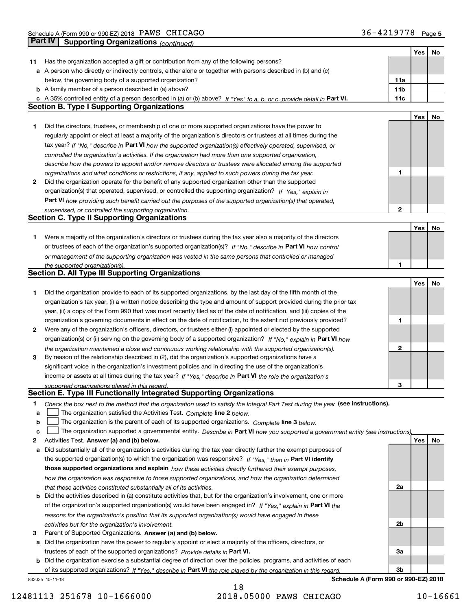|    |                                                                                                                                   |                 | Yes | No |
|----|-----------------------------------------------------------------------------------------------------------------------------------|-----------------|-----|----|
| 11 | Has the organization accepted a gift or contribution from any of the following persons?                                           |                 |     |    |
|    | a A person who directly or indirectly controls, either alone or together with persons described in (b) and (c)                    |                 |     |    |
|    | below, the governing body of a supported organization?                                                                            | 11a             |     |    |
|    | <b>b</b> A family member of a person described in (a) above?                                                                      | 11 <sub>b</sub> |     |    |
|    | c A 35% controlled entity of a person described in (a) or (b) above? If "Yes" to a, b, or c, provide detail in Part VI.           | 11c             |     |    |
|    | <b>Section B. Type I Supporting Organizations</b>                                                                                 |                 |     |    |
|    |                                                                                                                                   |                 | Yes | No |
| 1  | Did the directors, trustees, or membership of one or more supported organizations have the power to                               |                 |     |    |
|    | regularly appoint or elect at least a majority of the organization's directors or trustees at all times during the                |                 |     |    |
|    | tax year? If "No," describe in Part VI how the supported organization(s) effectively operated, supervised, or                     |                 |     |    |
|    | controlled the organization's activities. If the organization had more than one supported organization,                           |                 |     |    |
|    | describe how the powers to appoint and/or remove directors or trustees were allocated among the supported                         |                 |     |    |
|    | organizations and what conditions or restrictions, if any, applied to such powers during the tax year.                            | 1               |     |    |
| 2  | Did the organization operate for the benefit of any supported organization other than the supported                               |                 |     |    |
|    | organization(s) that operated, supervised, or controlled the supporting organization? If "Yes," explain in                        |                 |     |    |
|    | Part VI how providing such benefit carried out the purposes of the supported organization(s) that operated,                       |                 |     |    |
|    | supervised, or controlled the supporting organization.                                                                            | 2               |     |    |
|    | <b>Section C. Type II Supporting Organizations</b>                                                                                |                 |     |    |
|    |                                                                                                                                   |                 | Yes | No |
| 1  | Were a majority of the organization's directors or trustees during the tax year also a majority of the directors                  |                 |     |    |
|    | or trustees of each of the organization's supported organization(s)? If "No," describe in Part VI how control                     |                 |     |    |
|    | or management of the supporting organization was vested in the same persons that controlled or managed                            |                 |     |    |
|    | the supported organization(s).                                                                                                    | 1               |     |    |
|    | Section D. All Type III Supporting Organizations                                                                                  |                 |     |    |
|    |                                                                                                                                   |                 | Yes | No |
| 1  | Did the organization provide to each of its supported organizations, by the last day of the fifth month of the                    |                 |     |    |
|    | organization's tax year, (i) a written notice describing the type and amount of support provided during the prior tax             |                 |     |    |
|    | year, (ii) a copy of the Form 990 that was most recently filed as of the date of notification, and (iii) copies of the            |                 |     |    |
|    | organization's governing documents in effect on the date of notification, to the extent not previously provided?                  | 1               |     |    |
| 2  | Were any of the organization's officers, directors, or trustees either (i) appointed or elected by the supported                  |                 |     |    |
|    | organization(s) or (ii) serving on the governing body of a supported organization? If "No," explain in Part VI how                |                 |     |    |
|    | the organization maintained a close and continuous working relationship with the supported organization(s).                       | 2               |     |    |
| 3  | By reason of the relationship described in (2), did the organization's supported organizations have a                             |                 |     |    |
|    | significant voice in the organization's investment policies and in directing the use of the organization's                        |                 |     |    |
|    | income or assets at all times during the tax year? If "Yes," describe in Part VI the role the organization's                      |                 |     |    |
|    | supported organizations played in this regard.                                                                                    | з               |     |    |
|    | Section E. Type III Functionally Integrated Supporting Organizations                                                              |                 |     |    |
| 1  | Check the box next to the method that the organization used to satisfy the Integral Part Test during the year (see instructions). |                 |     |    |
| a  | The organization satisfied the Activities Test. Complete line 2 below.                                                            |                 |     |    |
| b  | The organization is the parent of each of its supported organizations. Complete line 3 below.                                     |                 |     |    |
| c  | The organization supported a governmental entity. Describe in Part VI how you supported a government entity (see instructions),   |                 |     |    |
| 2  | Activities Test. Answer (a) and (b) below.                                                                                        |                 | Yes | No |
| a  | Did substantially all of the organization's activities during the tax year directly further the exempt purposes of                |                 |     |    |
|    | the supported organization(s) to which the organization was responsive? If "Yes." then in Part VI identify                        |                 |     |    |
|    | those supported organizations and explain how these activities directly furthered their exempt purposes,                          |                 |     |    |
|    | how the organization was responsive to those supported organizations, and how the organization determined                         |                 |     |    |
|    | that these activities constituted substantially all of its activities.                                                            | 2a              |     |    |
|    | <b>b</b> Did the activities described in (a) constitute activities that, but for the organization's involvement, one or more      |                 |     |    |
|    | of the organization's supported organization(s) would have been engaged in? If "Yes," explain in Part VI the                      |                 |     |    |
|    | reasons for the organization's position that its supported organization(s) would have engaged in these                            |                 |     |    |
|    | activities but for the organization's involvement.                                                                                | 2b              |     |    |
| з  | Parent of Supported Organizations. Answer (a) and (b) below.                                                                      |                 |     |    |
| а  | Did the organization have the power to regularly appoint or elect a majority of the officers, directors, or                       |                 |     |    |
|    | trustees of each of the supported organizations? Provide details in Part VI.                                                      | За              |     |    |
|    | <b>b</b> Did the organization exercise a substantial degree of direction over the policies, programs, and activities of each      |                 |     |    |
|    | of its supported organizations? If "Yes," describe in Part VI the role played by the organization in this regard                  | 3b              |     |    |
|    | Schedule A (Form 990 or 990-EZ) 2018<br>832025 10-11-18                                                                           |                 |     |    |

12481113 251678 10-1666000 2018.05000 PAWS CHICAGO 10-16661

18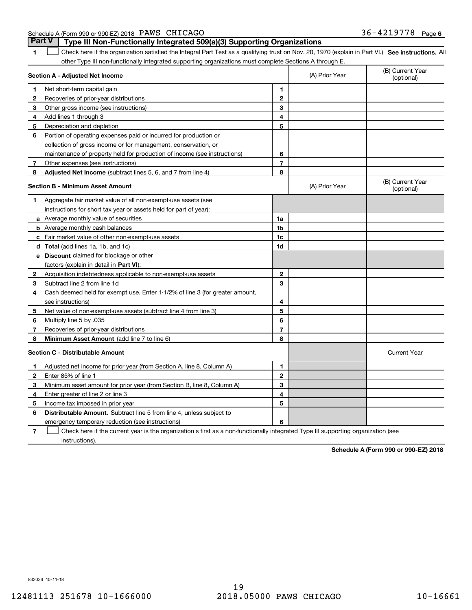| Schedule A (Form 990 or 990-EZ) 2018 PAWS CHICAGO                                     |  | 36-4219778 <sub>Page</sub> |  |
|---------------------------------------------------------------------------------------|--|----------------------------|--|
| <b>Part V</b> Type III Non-Functionally Integrated 509(a)(3) Supporting Organizations |  |                            |  |

| 1              | Check here if the organization satisfied the Integral Part Test as a qualifying trust on Nov. 20, 1970 (explain in Part VI.) See instructions. All |                |                |                                |
|----------------|----------------------------------------------------------------------------------------------------------------------------------------------------|----------------|----------------|--------------------------------|
|                | other Type III non-functionally integrated supporting organizations must complete Sections A through E.                                            |                |                |                                |
|                | Section A - Adjusted Net Income                                                                                                                    |                | (A) Prior Year | (B) Current Year<br>(optional) |
| 1              | Net short-term capital gain                                                                                                                        | 1              |                |                                |
| 2              | Recoveries of prior-year distributions                                                                                                             | $\mathbf{2}$   |                |                                |
| З              | Other gross income (see instructions)                                                                                                              | 3              |                |                                |
| 4              | Add lines 1 through 3                                                                                                                              | 4              |                |                                |
| 5              | Depreciation and depletion                                                                                                                         | 5              |                |                                |
| 6              | Portion of operating expenses paid or incurred for production or                                                                                   |                |                |                                |
|                | collection of gross income or for management, conservation, or                                                                                     |                |                |                                |
|                | maintenance of property held for production of income (see instructions)                                                                           | 6              |                |                                |
| 7 <sup>7</sup> | Other expenses (see instructions)                                                                                                                  | $\overline{7}$ |                |                                |
| 8              | <b>Adjusted Net Income</b> (subtract lines 5, 6, and 7 from line 4)                                                                                | 8              |                |                                |
|                | <b>Section B - Minimum Asset Amount</b>                                                                                                            |                | (A) Prior Year | (B) Current Year<br>(optional) |
| 1.             | Aggregate fair market value of all non-exempt-use assets (see                                                                                      |                |                |                                |
|                | instructions for short tax year or assets held for part of year):                                                                                  |                |                |                                |
|                | <b>a</b> Average monthly value of securities                                                                                                       | 1a             |                |                                |
|                | <b>b</b> Average monthly cash balances                                                                                                             | 1b             |                |                                |
|                | c Fair market value of other non-exempt-use assets                                                                                                 | 1c             |                |                                |
|                | <b>d</b> Total (add lines 1a, 1b, and 1c)                                                                                                          | 1d             |                |                                |
|                | <b>e</b> Discount claimed for blockage or other                                                                                                    |                |                |                                |
|                | factors (explain in detail in <b>Part VI</b> ):                                                                                                    |                |                |                                |
|                | 2 Acquisition indebtedness applicable to non-exempt-use assets                                                                                     | $\mathbf{2}$   |                |                                |
| 3              | Subtract line 2 from line 1d                                                                                                                       | 3              |                |                                |
| 4              | Cash deemed held for exempt use. Enter 1-1/2% of line 3 (for greater amount,                                                                       |                |                |                                |
|                | see instructions)                                                                                                                                  | 4              |                |                                |
| 5              | Net value of non-exempt-use assets (subtract line 4 from line 3)                                                                                   | 5              |                |                                |
| 6              | 035. Multiply line 5 by                                                                                                                            | 6              |                |                                |
| 7              | Recoveries of prior-year distributions                                                                                                             | $\overline{7}$ |                |                                |
| 8              | <b>Minimum Asset Amount</b> (add line 7 to line 6)                                                                                                 | 8              |                |                                |
|                | <b>Section C - Distributable Amount</b>                                                                                                            |                |                | <b>Current Year</b>            |
| 1              | Adjusted net income for prior year (from Section A, line 8, Column A)                                                                              | 1              |                |                                |
| $\mathbf{2}$   | Enter 85% of line 1                                                                                                                                | $\mathbf{2}$   |                |                                |
| 3              | Minimum asset amount for prior year (from Section B, line 8, Column A)                                                                             | 3              |                |                                |
| 4              | Enter greater of line 2 or line 3                                                                                                                  | 4              |                |                                |
| 5              | Income tax imposed in prior year                                                                                                                   | 5              |                |                                |
| 6              | <b>Distributable Amount.</b> Subtract line 5 from line 4, unless subject to                                                                        |                |                |                                |
|                | emergency temporary reduction (see instructions)                                                                                                   | 6              |                |                                |

**7** Check here if the current year is the organization's first as a non-functionally integrated Type III supporting organization (see instructions).

**Schedule A (Form 990 or 990-EZ) 2018**

832026 10-11-18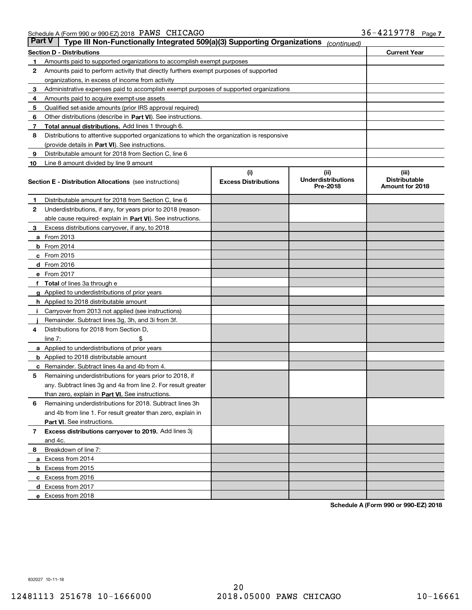| <b>Part V</b>                                                              | Type III Non-Functionally Integrated 509(a)(3) Supporting Organizations                    |                             | (continued)                           |                                         |  |  |  |  |
|----------------------------------------------------------------------------|--------------------------------------------------------------------------------------------|-----------------------------|---------------------------------------|-----------------------------------------|--|--|--|--|
|                                                                            | <b>Section D - Distributions</b>                                                           |                             |                                       | <b>Current Year</b>                     |  |  |  |  |
| Amounts paid to supported organizations to accomplish exempt purposes<br>1 |                                                                                            |                             |                                       |                                         |  |  |  |  |
| 2                                                                          | Amounts paid to perform activity that directly furthers exempt purposes of supported       |                             |                                       |                                         |  |  |  |  |
|                                                                            | organizations, in excess of income from activity                                           |                             |                                       |                                         |  |  |  |  |
| 3                                                                          | Administrative expenses paid to accomplish exempt purposes of supported organizations      |                             |                                       |                                         |  |  |  |  |
| 4                                                                          | Amounts paid to acquire exempt-use assets                                                  |                             |                                       |                                         |  |  |  |  |
| 5                                                                          | Qualified set-aside amounts (prior IRS approval required)                                  |                             |                                       |                                         |  |  |  |  |
| 6                                                                          | Other distributions (describe in Part VI). See instructions.                               |                             |                                       |                                         |  |  |  |  |
| 7                                                                          | <b>Total annual distributions.</b> Add lines 1 through 6.                                  |                             |                                       |                                         |  |  |  |  |
| 8                                                                          | Distributions to attentive supported organizations to which the organization is responsive |                             |                                       |                                         |  |  |  |  |
|                                                                            | (provide details in Part VI). See instructions.                                            |                             |                                       |                                         |  |  |  |  |
| 9                                                                          | Distributable amount for 2018 from Section C, line 6                                       |                             |                                       |                                         |  |  |  |  |
| 10                                                                         | Line 8 amount divided by line 9 amount                                                     |                             |                                       |                                         |  |  |  |  |
|                                                                            |                                                                                            | (i)                         | (iii)                                 | (iii)                                   |  |  |  |  |
|                                                                            | <b>Section E - Distribution Allocations</b> (see instructions)                             | <b>Excess Distributions</b> | <b>Underdistributions</b><br>Pre-2018 | <b>Distributable</b><br>Amount for 2018 |  |  |  |  |
| 1                                                                          | Distributable amount for 2018 from Section C, line 6                                       |                             |                                       |                                         |  |  |  |  |
| 2                                                                          | Underdistributions, if any, for years prior to 2018 (reason-                               |                             |                                       |                                         |  |  |  |  |
|                                                                            | able cause required- explain in Part VI). See instructions.                                |                             |                                       |                                         |  |  |  |  |
| З                                                                          | Excess distributions carryover, if any, to 2018                                            |                             |                                       |                                         |  |  |  |  |
|                                                                            | <b>a</b> From 2013                                                                         |                             |                                       |                                         |  |  |  |  |
|                                                                            | <b>b</b> From 2014                                                                         |                             |                                       |                                         |  |  |  |  |
|                                                                            | $c$ From 2015                                                                              |                             |                                       |                                         |  |  |  |  |
|                                                                            | d From 2016                                                                                |                             |                                       |                                         |  |  |  |  |
|                                                                            | e From 2017                                                                                |                             |                                       |                                         |  |  |  |  |
|                                                                            | Total of lines 3a through e                                                                |                             |                                       |                                         |  |  |  |  |
| g                                                                          | Applied to underdistributions of prior years                                               |                             |                                       |                                         |  |  |  |  |
|                                                                            | <b>h</b> Applied to 2018 distributable amount                                              |                             |                                       |                                         |  |  |  |  |
|                                                                            | Carryover from 2013 not applied (see instructions)                                         |                             |                                       |                                         |  |  |  |  |
|                                                                            | Remainder. Subtract lines 3g, 3h, and 3i from 3f.                                          |                             |                                       |                                         |  |  |  |  |
| 4                                                                          | Distributions for 2018 from Section D,                                                     |                             |                                       |                                         |  |  |  |  |
|                                                                            | line $7:$                                                                                  |                             |                                       |                                         |  |  |  |  |
|                                                                            | <b>a</b> Applied to underdistributions of prior years                                      |                             |                                       |                                         |  |  |  |  |
|                                                                            | <b>b</b> Applied to 2018 distributable amount                                              |                             |                                       |                                         |  |  |  |  |
|                                                                            | c Remainder. Subtract lines 4a and 4b from 4.                                              |                             |                                       |                                         |  |  |  |  |
| 5                                                                          | Remaining underdistributions for years prior to 2018, if                                   |                             |                                       |                                         |  |  |  |  |
|                                                                            | any. Subtract lines 3g and 4a from line 2. For result greater                              |                             |                                       |                                         |  |  |  |  |
|                                                                            | than zero, explain in Part VI. See instructions.                                           |                             |                                       |                                         |  |  |  |  |
| 6                                                                          | Remaining underdistributions for 2018. Subtract lines 3h                                   |                             |                                       |                                         |  |  |  |  |
|                                                                            | and 4b from line 1. For result greater than zero, explain in                               |                             |                                       |                                         |  |  |  |  |
|                                                                            | Part VI. See instructions.                                                                 |                             |                                       |                                         |  |  |  |  |
|                                                                            |                                                                                            |                             |                                       |                                         |  |  |  |  |
| 7                                                                          | Excess distributions carryover to 2019. Add lines 3j                                       |                             |                                       |                                         |  |  |  |  |
|                                                                            | and 4c.                                                                                    |                             |                                       |                                         |  |  |  |  |
| 8                                                                          | Breakdown of line 7:                                                                       |                             |                                       |                                         |  |  |  |  |
|                                                                            | a Excess from 2014                                                                         |                             |                                       |                                         |  |  |  |  |
|                                                                            | <b>b</b> Excess from 2015                                                                  |                             |                                       |                                         |  |  |  |  |
|                                                                            | c Excess from 2016                                                                         |                             |                                       |                                         |  |  |  |  |
|                                                                            | d Excess from 2017                                                                         |                             |                                       |                                         |  |  |  |  |
|                                                                            | e Excess from 2018                                                                         |                             |                                       |                                         |  |  |  |  |

**Schedule A (Form 990 or 990-EZ) 2018**

832027 10-11-18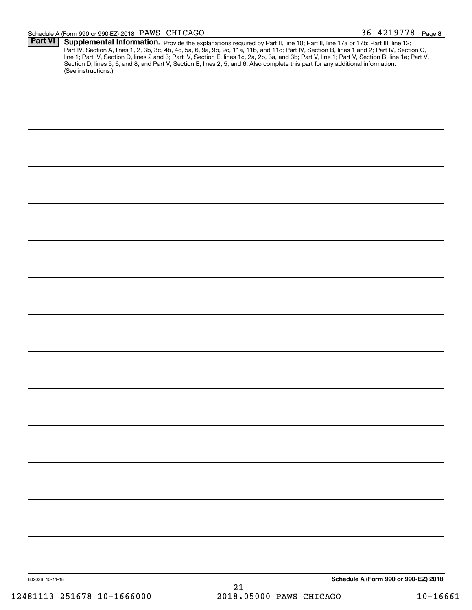### Schedule A (Form 990 or 990-EZ) 2018 Page PAWS CHICAGO 36-4219778

| Part VI         | Supplemental Information. Provide the explanations required by Part II, line 10; Part II, line 17a or 17b; Part III, line 12;<br>Part IV, Section A, lines 1, 2, 3b, 3c, 4b, 4c, 5a, 6, 9a, 9b, 9c, 11a, 11b, and 11c; Part IV, Section B, lines 1 and 2; Part IV, Section C,<br>line 1; Part IV, Section D, lines 2 and 3; Part IV, Section E, lines 1c, 2a, 2b, 3a, and 3b; Part V, line 1; Part V, Section B, line 1e; Part V,<br>Section D, lines 5, 6, and 8; and Part V, Section E, lines 2, 5, and 6. Also complete this part for any additional information.<br>(See instructions.) |
|-----------------|---------------------------------------------------------------------------------------------------------------------------------------------------------------------------------------------------------------------------------------------------------------------------------------------------------------------------------------------------------------------------------------------------------------------------------------------------------------------------------------------------------------------------------------------------------------------------------------------|
|                 |                                                                                                                                                                                                                                                                                                                                                                                                                                                                                                                                                                                             |
|                 |                                                                                                                                                                                                                                                                                                                                                                                                                                                                                                                                                                                             |
|                 |                                                                                                                                                                                                                                                                                                                                                                                                                                                                                                                                                                                             |
|                 |                                                                                                                                                                                                                                                                                                                                                                                                                                                                                                                                                                                             |
|                 |                                                                                                                                                                                                                                                                                                                                                                                                                                                                                                                                                                                             |
|                 |                                                                                                                                                                                                                                                                                                                                                                                                                                                                                                                                                                                             |
|                 |                                                                                                                                                                                                                                                                                                                                                                                                                                                                                                                                                                                             |
|                 |                                                                                                                                                                                                                                                                                                                                                                                                                                                                                                                                                                                             |
|                 |                                                                                                                                                                                                                                                                                                                                                                                                                                                                                                                                                                                             |
|                 |                                                                                                                                                                                                                                                                                                                                                                                                                                                                                                                                                                                             |
|                 |                                                                                                                                                                                                                                                                                                                                                                                                                                                                                                                                                                                             |
|                 |                                                                                                                                                                                                                                                                                                                                                                                                                                                                                                                                                                                             |
|                 |                                                                                                                                                                                                                                                                                                                                                                                                                                                                                                                                                                                             |
|                 |                                                                                                                                                                                                                                                                                                                                                                                                                                                                                                                                                                                             |
|                 |                                                                                                                                                                                                                                                                                                                                                                                                                                                                                                                                                                                             |
|                 |                                                                                                                                                                                                                                                                                                                                                                                                                                                                                                                                                                                             |
|                 |                                                                                                                                                                                                                                                                                                                                                                                                                                                                                                                                                                                             |
|                 |                                                                                                                                                                                                                                                                                                                                                                                                                                                                                                                                                                                             |
|                 |                                                                                                                                                                                                                                                                                                                                                                                                                                                                                                                                                                                             |
|                 |                                                                                                                                                                                                                                                                                                                                                                                                                                                                                                                                                                                             |
|                 |                                                                                                                                                                                                                                                                                                                                                                                                                                                                                                                                                                                             |
|                 |                                                                                                                                                                                                                                                                                                                                                                                                                                                                                                                                                                                             |
|                 |                                                                                                                                                                                                                                                                                                                                                                                                                                                                                                                                                                                             |
|                 |                                                                                                                                                                                                                                                                                                                                                                                                                                                                                                                                                                                             |
|                 |                                                                                                                                                                                                                                                                                                                                                                                                                                                                                                                                                                                             |
|                 |                                                                                                                                                                                                                                                                                                                                                                                                                                                                                                                                                                                             |
|                 |                                                                                                                                                                                                                                                                                                                                                                                                                                                                                                                                                                                             |
|                 |                                                                                                                                                                                                                                                                                                                                                                                                                                                                                                                                                                                             |
|                 |                                                                                                                                                                                                                                                                                                                                                                                                                                                                                                                                                                                             |
|                 |                                                                                                                                                                                                                                                                                                                                                                                                                                                                                                                                                                                             |
|                 |                                                                                                                                                                                                                                                                                                                                                                                                                                                                                                                                                                                             |
|                 |                                                                                                                                                                                                                                                                                                                                                                                                                                                                                                                                                                                             |
|                 |                                                                                                                                                                                                                                                                                                                                                                                                                                                                                                                                                                                             |
|                 |                                                                                                                                                                                                                                                                                                                                                                                                                                                                                                                                                                                             |
| 832028 10-11-18 | Schedule A (Form 990 or 990-EZ) 2018                                                                                                                                                                                                                                                                                                                                                                                                                                                                                                                                                        |
|                 | 21                                                                                                                                                                                                                                                                                                                                                                                                                                                                                                                                                                                          |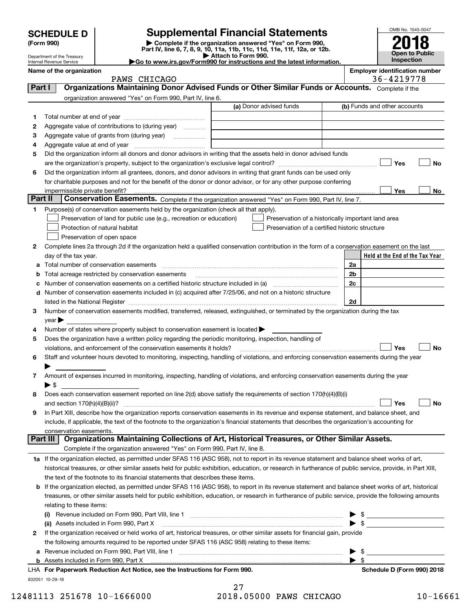| <b>SCHEDULE D</b> |  |
|-------------------|--|
|-------------------|--|

Department of the Treasury Internal Revenue Service

## **SCHEDULE D Supplemental Financial Statements**

(Form 990)<br>
Pepartment of the Treasury<br>
Department of the Treasury<br>
Department of the Treasury<br>
Department of the Treasury<br> **Co to www.irs.gov/Form990 for instructions and the latest information.**<br> **Co to www.irs.gov/Form9** 



|  | Name of the organization |  |
|--|--------------------------|--|

**Name of the oriental conducts of the oriental conducts of the oriental conducts of the oriental conducts of the oriental conducts**  $\vert$  **Employer identification number** 

| Organizations Maintaining Donor Advised Funds or Other Similar Funds or Accounts. Complete if the<br>Part I<br>organization answered "Yes" on Form 990, Part IV, line 6.<br>(a) Donor advised funds<br>(b) Funds and other accounts<br>1<br>Aggregate value of contributions to (during year)<br>2<br>Aggregate value of grants from (during year)<br>з<br>4<br>Did the organization inform all donors and donor advisors in writing that the assets held in donor advised funds<br>5<br>Yes<br>No<br>Did the organization inform all grantees, donors, and donor advisors in writing that grant funds can be used only<br>6<br>for charitable purposes and not for the benefit of the donor or donor advisor, or for any other purpose conferring<br>Yes<br>impermissible private benefit?<br>No<br>Part II<br>Conservation Easements. Complete if the organization answered "Yes" on Form 990, Part IV, line 7.<br>Purpose(s) of conservation easements held by the organization (check all that apply).<br>1<br>Preservation of land for public use (e.g., recreation or education)<br>Preservation of a historically important land area<br>Protection of natural habitat<br>Preservation of a certified historic structure<br>Preservation of open space<br>Complete lines 2a through 2d if the organization held a qualified conservation contribution in the form of a conservation easement on the last<br>2<br>Held at the End of the Tax Year<br>day of the tax year.<br>2a<br>а<br>2 <sub>b</sub><br>Total acreage restricted by conservation easements<br>b<br>2c<br>Number of conservation easements on a certified historic structure included in (a) manufacture included in (a)<br>с<br>d Number of conservation easements included in (c) acquired after 7/25/06, and not on a historic structure<br>2d<br>listed in the National Register [11, 1200] [12] The National Register [11, 1200] [12] The National Register [11, 1200] [12] The National Register [11, 1200] [12] The National Register [11, 1200] [12] The National Register<br>Number of conservation easements modified, transferred, released, extinguished, or terminated by the organization during the tax<br>З.<br>year<br>Number of states where property subject to conservation easement is located ><br>4<br>Does the organization have a written policy regarding the periodic monitoring, inspection, handling of<br>5<br>Yes<br><b>No</b><br>violations, and enforcement of the conservation easements it holds?<br>Staff and volunteer hours devoted to monitoring, inspecting, handling of violations, and enforcing conservation easements during the year<br>6<br>Amount of expenses incurred in monitoring, inspecting, handling of violations, and enforcing conservation easements during the year<br>7<br>$\blacktriangleright$ S<br>Does each conservation easement reported on line 2(d) above satisfy the requirements of section 170(h)(4)(B)(i)<br>8<br>Yes<br>No<br>In Part XIII, describe how the organization reports conservation easements in its revenue and expense statement, and balance sheet, and<br>9<br>include, if applicable, the text of the footnote to the organization's financial statements that describes the organization's accounting for<br>conservation easements.<br>Organizations Maintaining Collections of Art, Historical Treasures, or Other Similar Assets.<br>Part III<br>Complete if the organization answered "Yes" on Form 990, Part IV, line 8.<br>1a If the organization elected, as permitted under SFAS 116 (ASC 958), not to report in its revenue statement and balance sheet works of art,<br>historical treasures, or other similar assets held for public exhibition, education, or research in furtherance of public service, provide, in Part XIII,<br>the text of the footnote to its financial statements that describes these items.<br><b>b</b> If the organization elected, as permitted under SFAS 116 (ASC 958), to report in its revenue statement and balance sheet works of art, historical<br>treasures, or other similar assets held for public exhibition, education, or research in furtherance of public service, provide the following amounts<br>relating to these items:<br>$\triangleright$ \$<br>$\triangleright$ \$<br>(ii) Assets included in Form 990, Part X<br>If the organization received or held works of art, historical treasures, or other similar assets for financial gain, provide<br>2<br>the following amounts required to be reported under SFAS 116 (ASC 958) relating to these items:<br>$\frac{1}{\sqrt{1-\frac{1}{2}}}\frac{1}{\sqrt{1-\frac{1}{2}}}\frac{1}{\sqrt{1-\frac{1}{2}}}\frac{1}{\sqrt{1-\frac{1}{2}}}\frac{1}{\sqrt{1-\frac{1}{2}}}\frac{1}{\sqrt{1-\frac{1}{2}}}\frac{1}{\sqrt{1-\frac{1}{2}}}\frac{1}{\sqrt{1-\frac{1}{2}}}\frac{1}{\sqrt{1-\frac{1}{2}}}\frac{1}{\sqrt{1-\frac{1}{2}}}\frac{1}{\sqrt{1-\frac{1}{2}}}\frac{1}{\sqrt{1-\frac{1}{2}}}\frac{1}{\sqrt{1-\frac{1}{2}}}\frac{1}{\sqrt{1-\frac{$<br>a Revenue included on Form 990, Part VIII, line 1 [2000] [2000] [2000] [2000] [2000] [2000] [2000] [2000] [2000<br>▶<br>$\blacktriangleright$ s<br><b>b</b> Assets included in Form 990, Part X<br>LHA For Paperwork Reduction Act Notice, see the Instructions for Form 990.<br>Schedule D (Form 990) 2018 | PAWS CHICAGO | 36-4219778 |
|----------------------------------------------------------------------------------------------------------------------------------------------------------------------------------------------------------------------------------------------------------------------------------------------------------------------------------------------------------------------------------------------------------------------------------------------------------------------------------------------------------------------------------------------------------------------------------------------------------------------------------------------------------------------------------------------------------------------------------------------------------------------------------------------------------------------------------------------------------------------------------------------------------------------------------------------------------------------------------------------------------------------------------------------------------------------------------------------------------------------------------------------------------------------------------------------------------------------------------------------------------------------------------------------------------------------------------------------------------------------------------------------------------------------------------------------------------------------------------------------------------------------------------------------------------------------------------------------------------------------------------------------------------------------------------------------------------------------------------------------------------------------------------------------------------------------------------------------------------------------------------------------------------------------------------------------------------------------------------------------------------------------------------------------------------------------------------------------------------------------------------------------------------------------------------------------------------------------------------------------------------------------------------------------------------------------------------------------------------------------------------------------------------------------------------------------------------------------------------------------------------------------------------------------------------------------------------------------------------------------------------------------------------------------------------------------------------------------------------------------------------------------------------------------------------------------------------------------------------------------------------------------------------------------------------------------------------------------------------------------------------------------------------------------------------------------------------------------------------------------------------------------------------------------------------------------------------------------------------------------------------------------------------------------------------------------------------------------------------------------------------------------------------------------------------------------------------------------------------------------------------------------------------------------------------------------------------------------------------------------------------------------------------------------------------------------------------------------------------------------------------------------------------------------------------------------------------------------------------------------------------------------------------------------------------------------------------------------------------------------------------------------------------------------------------------------------------------------------------------------------------------------------------------------------------------------------------------------------------------------------------------------------------------------------------------------------------------------------------------------------------------------------------------------------------------------------------------------------------------------------------------------------------------------------------------------------------------------------------------------------------------------------------------------------------------------------------------------------------------------------------------------------------------------------------------------------------------------------------------------------------------------------------------------------------------------------------------------------------------------------------------------------------------------------------------------------------------------------------------------------------------------------------------------------------------------------------------------------------------------------------------------------------------------------------------------------------------|--------------|------------|
|                                                                                                                                                                                                                                                                                                                                                                                                                                                                                                                                                                                                                                                                                                                                                                                                                                                                                                                                                                                                                                                                                                                                                                                                                                                                                                                                                                                                                                                                                                                                                                                                                                                                                                                                                                                                                                                                                                                                                                                                                                                                                                                                                                                                                                                                                                                                                                                                                                                                                                                                                                                                                                                                                                                                                                                                                                                                                                                                                                                                                                                                                                                                                                                                                                                                                                                                                                                                                                                                                                                                                                                                                                                                                                                                                                                                                                                                                                                                                                                                                                                                                                                                                                                                                                                                                                                                                                                                                                                                                                                                                                                                                                                                                                                                                                                                                                                                                                                                                                                                                                                                                                                                                                                                                                                                                                                                        |              |            |
|                                                                                                                                                                                                                                                                                                                                                                                                                                                                                                                                                                                                                                                                                                                                                                                                                                                                                                                                                                                                                                                                                                                                                                                                                                                                                                                                                                                                                                                                                                                                                                                                                                                                                                                                                                                                                                                                                                                                                                                                                                                                                                                                                                                                                                                                                                                                                                                                                                                                                                                                                                                                                                                                                                                                                                                                                                                                                                                                                                                                                                                                                                                                                                                                                                                                                                                                                                                                                                                                                                                                                                                                                                                                                                                                                                                                                                                                                                                                                                                                                                                                                                                                                                                                                                                                                                                                                                                                                                                                                                                                                                                                                                                                                                                                                                                                                                                                                                                                                                                                                                                                                                                                                                                                                                                                                                                                        |              |            |
|                                                                                                                                                                                                                                                                                                                                                                                                                                                                                                                                                                                                                                                                                                                                                                                                                                                                                                                                                                                                                                                                                                                                                                                                                                                                                                                                                                                                                                                                                                                                                                                                                                                                                                                                                                                                                                                                                                                                                                                                                                                                                                                                                                                                                                                                                                                                                                                                                                                                                                                                                                                                                                                                                                                                                                                                                                                                                                                                                                                                                                                                                                                                                                                                                                                                                                                                                                                                                                                                                                                                                                                                                                                                                                                                                                                                                                                                                                                                                                                                                                                                                                                                                                                                                                                                                                                                                                                                                                                                                                                                                                                                                                                                                                                                                                                                                                                                                                                                                                                                                                                                                                                                                                                                                                                                                                                                        |              |            |
|                                                                                                                                                                                                                                                                                                                                                                                                                                                                                                                                                                                                                                                                                                                                                                                                                                                                                                                                                                                                                                                                                                                                                                                                                                                                                                                                                                                                                                                                                                                                                                                                                                                                                                                                                                                                                                                                                                                                                                                                                                                                                                                                                                                                                                                                                                                                                                                                                                                                                                                                                                                                                                                                                                                                                                                                                                                                                                                                                                                                                                                                                                                                                                                                                                                                                                                                                                                                                                                                                                                                                                                                                                                                                                                                                                                                                                                                                                                                                                                                                                                                                                                                                                                                                                                                                                                                                                                                                                                                                                                                                                                                                                                                                                                                                                                                                                                                                                                                                                                                                                                                                                                                                                                                                                                                                                                                        |              |            |
|                                                                                                                                                                                                                                                                                                                                                                                                                                                                                                                                                                                                                                                                                                                                                                                                                                                                                                                                                                                                                                                                                                                                                                                                                                                                                                                                                                                                                                                                                                                                                                                                                                                                                                                                                                                                                                                                                                                                                                                                                                                                                                                                                                                                                                                                                                                                                                                                                                                                                                                                                                                                                                                                                                                                                                                                                                                                                                                                                                                                                                                                                                                                                                                                                                                                                                                                                                                                                                                                                                                                                                                                                                                                                                                                                                                                                                                                                                                                                                                                                                                                                                                                                                                                                                                                                                                                                                                                                                                                                                                                                                                                                                                                                                                                                                                                                                                                                                                                                                                                                                                                                                                                                                                                                                                                                                                                        |              |            |
|                                                                                                                                                                                                                                                                                                                                                                                                                                                                                                                                                                                                                                                                                                                                                                                                                                                                                                                                                                                                                                                                                                                                                                                                                                                                                                                                                                                                                                                                                                                                                                                                                                                                                                                                                                                                                                                                                                                                                                                                                                                                                                                                                                                                                                                                                                                                                                                                                                                                                                                                                                                                                                                                                                                                                                                                                                                                                                                                                                                                                                                                                                                                                                                                                                                                                                                                                                                                                                                                                                                                                                                                                                                                                                                                                                                                                                                                                                                                                                                                                                                                                                                                                                                                                                                                                                                                                                                                                                                                                                                                                                                                                                                                                                                                                                                                                                                                                                                                                                                                                                                                                                                                                                                                                                                                                                                                        |              |            |
|                                                                                                                                                                                                                                                                                                                                                                                                                                                                                                                                                                                                                                                                                                                                                                                                                                                                                                                                                                                                                                                                                                                                                                                                                                                                                                                                                                                                                                                                                                                                                                                                                                                                                                                                                                                                                                                                                                                                                                                                                                                                                                                                                                                                                                                                                                                                                                                                                                                                                                                                                                                                                                                                                                                                                                                                                                                                                                                                                                                                                                                                                                                                                                                                                                                                                                                                                                                                                                                                                                                                                                                                                                                                                                                                                                                                                                                                                                                                                                                                                                                                                                                                                                                                                                                                                                                                                                                                                                                                                                                                                                                                                                                                                                                                                                                                                                                                                                                                                                                                                                                                                                                                                                                                                                                                                                                                        |              |            |
|                                                                                                                                                                                                                                                                                                                                                                                                                                                                                                                                                                                                                                                                                                                                                                                                                                                                                                                                                                                                                                                                                                                                                                                                                                                                                                                                                                                                                                                                                                                                                                                                                                                                                                                                                                                                                                                                                                                                                                                                                                                                                                                                                                                                                                                                                                                                                                                                                                                                                                                                                                                                                                                                                                                                                                                                                                                                                                                                                                                                                                                                                                                                                                                                                                                                                                                                                                                                                                                                                                                                                                                                                                                                                                                                                                                                                                                                                                                                                                                                                                                                                                                                                                                                                                                                                                                                                                                                                                                                                                                                                                                                                                                                                                                                                                                                                                                                                                                                                                                                                                                                                                                                                                                                                                                                                                                                        |              |            |
|                                                                                                                                                                                                                                                                                                                                                                                                                                                                                                                                                                                                                                                                                                                                                                                                                                                                                                                                                                                                                                                                                                                                                                                                                                                                                                                                                                                                                                                                                                                                                                                                                                                                                                                                                                                                                                                                                                                                                                                                                                                                                                                                                                                                                                                                                                                                                                                                                                                                                                                                                                                                                                                                                                                                                                                                                                                                                                                                                                                                                                                                                                                                                                                                                                                                                                                                                                                                                                                                                                                                                                                                                                                                                                                                                                                                                                                                                                                                                                                                                                                                                                                                                                                                                                                                                                                                                                                                                                                                                                                                                                                                                                                                                                                                                                                                                                                                                                                                                                                                                                                                                                                                                                                                                                                                                                                                        |              |            |
|                                                                                                                                                                                                                                                                                                                                                                                                                                                                                                                                                                                                                                                                                                                                                                                                                                                                                                                                                                                                                                                                                                                                                                                                                                                                                                                                                                                                                                                                                                                                                                                                                                                                                                                                                                                                                                                                                                                                                                                                                                                                                                                                                                                                                                                                                                                                                                                                                                                                                                                                                                                                                                                                                                                                                                                                                                                                                                                                                                                                                                                                                                                                                                                                                                                                                                                                                                                                                                                                                                                                                                                                                                                                                                                                                                                                                                                                                                                                                                                                                                                                                                                                                                                                                                                                                                                                                                                                                                                                                                                                                                                                                                                                                                                                                                                                                                                                                                                                                                                                                                                                                                                                                                                                                                                                                                                                        |              |            |
|                                                                                                                                                                                                                                                                                                                                                                                                                                                                                                                                                                                                                                                                                                                                                                                                                                                                                                                                                                                                                                                                                                                                                                                                                                                                                                                                                                                                                                                                                                                                                                                                                                                                                                                                                                                                                                                                                                                                                                                                                                                                                                                                                                                                                                                                                                                                                                                                                                                                                                                                                                                                                                                                                                                                                                                                                                                                                                                                                                                                                                                                                                                                                                                                                                                                                                                                                                                                                                                                                                                                                                                                                                                                                                                                                                                                                                                                                                                                                                                                                                                                                                                                                                                                                                                                                                                                                                                                                                                                                                                                                                                                                                                                                                                                                                                                                                                                                                                                                                                                                                                                                                                                                                                                                                                                                                                                        |              |            |
|                                                                                                                                                                                                                                                                                                                                                                                                                                                                                                                                                                                                                                                                                                                                                                                                                                                                                                                                                                                                                                                                                                                                                                                                                                                                                                                                                                                                                                                                                                                                                                                                                                                                                                                                                                                                                                                                                                                                                                                                                                                                                                                                                                                                                                                                                                                                                                                                                                                                                                                                                                                                                                                                                                                                                                                                                                                                                                                                                                                                                                                                                                                                                                                                                                                                                                                                                                                                                                                                                                                                                                                                                                                                                                                                                                                                                                                                                                                                                                                                                                                                                                                                                                                                                                                                                                                                                                                                                                                                                                                                                                                                                                                                                                                                                                                                                                                                                                                                                                                                                                                                                                                                                                                                                                                                                                                                        |              |            |
|                                                                                                                                                                                                                                                                                                                                                                                                                                                                                                                                                                                                                                                                                                                                                                                                                                                                                                                                                                                                                                                                                                                                                                                                                                                                                                                                                                                                                                                                                                                                                                                                                                                                                                                                                                                                                                                                                                                                                                                                                                                                                                                                                                                                                                                                                                                                                                                                                                                                                                                                                                                                                                                                                                                                                                                                                                                                                                                                                                                                                                                                                                                                                                                                                                                                                                                                                                                                                                                                                                                                                                                                                                                                                                                                                                                                                                                                                                                                                                                                                                                                                                                                                                                                                                                                                                                                                                                                                                                                                                                                                                                                                                                                                                                                                                                                                                                                                                                                                                                                                                                                                                                                                                                                                                                                                                                                        |              |            |
|                                                                                                                                                                                                                                                                                                                                                                                                                                                                                                                                                                                                                                                                                                                                                                                                                                                                                                                                                                                                                                                                                                                                                                                                                                                                                                                                                                                                                                                                                                                                                                                                                                                                                                                                                                                                                                                                                                                                                                                                                                                                                                                                                                                                                                                                                                                                                                                                                                                                                                                                                                                                                                                                                                                                                                                                                                                                                                                                                                                                                                                                                                                                                                                                                                                                                                                                                                                                                                                                                                                                                                                                                                                                                                                                                                                                                                                                                                                                                                                                                                                                                                                                                                                                                                                                                                                                                                                                                                                                                                                                                                                                                                                                                                                                                                                                                                                                                                                                                                                                                                                                                                                                                                                                                                                                                                                                        |              |            |
|                                                                                                                                                                                                                                                                                                                                                                                                                                                                                                                                                                                                                                                                                                                                                                                                                                                                                                                                                                                                                                                                                                                                                                                                                                                                                                                                                                                                                                                                                                                                                                                                                                                                                                                                                                                                                                                                                                                                                                                                                                                                                                                                                                                                                                                                                                                                                                                                                                                                                                                                                                                                                                                                                                                                                                                                                                                                                                                                                                                                                                                                                                                                                                                                                                                                                                                                                                                                                                                                                                                                                                                                                                                                                                                                                                                                                                                                                                                                                                                                                                                                                                                                                                                                                                                                                                                                                                                                                                                                                                                                                                                                                                                                                                                                                                                                                                                                                                                                                                                                                                                                                                                                                                                                                                                                                                                                        |              |            |
|                                                                                                                                                                                                                                                                                                                                                                                                                                                                                                                                                                                                                                                                                                                                                                                                                                                                                                                                                                                                                                                                                                                                                                                                                                                                                                                                                                                                                                                                                                                                                                                                                                                                                                                                                                                                                                                                                                                                                                                                                                                                                                                                                                                                                                                                                                                                                                                                                                                                                                                                                                                                                                                                                                                                                                                                                                                                                                                                                                                                                                                                                                                                                                                                                                                                                                                                                                                                                                                                                                                                                                                                                                                                                                                                                                                                                                                                                                                                                                                                                                                                                                                                                                                                                                                                                                                                                                                                                                                                                                                                                                                                                                                                                                                                                                                                                                                                                                                                                                                                                                                                                                                                                                                                                                                                                                                                        |              |            |
|                                                                                                                                                                                                                                                                                                                                                                                                                                                                                                                                                                                                                                                                                                                                                                                                                                                                                                                                                                                                                                                                                                                                                                                                                                                                                                                                                                                                                                                                                                                                                                                                                                                                                                                                                                                                                                                                                                                                                                                                                                                                                                                                                                                                                                                                                                                                                                                                                                                                                                                                                                                                                                                                                                                                                                                                                                                                                                                                                                                                                                                                                                                                                                                                                                                                                                                                                                                                                                                                                                                                                                                                                                                                                                                                                                                                                                                                                                                                                                                                                                                                                                                                                                                                                                                                                                                                                                                                                                                                                                                                                                                                                                                                                                                                                                                                                                                                                                                                                                                                                                                                                                                                                                                                                                                                                                                                        |              |            |
|                                                                                                                                                                                                                                                                                                                                                                                                                                                                                                                                                                                                                                                                                                                                                                                                                                                                                                                                                                                                                                                                                                                                                                                                                                                                                                                                                                                                                                                                                                                                                                                                                                                                                                                                                                                                                                                                                                                                                                                                                                                                                                                                                                                                                                                                                                                                                                                                                                                                                                                                                                                                                                                                                                                                                                                                                                                                                                                                                                                                                                                                                                                                                                                                                                                                                                                                                                                                                                                                                                                                                                                                                                                                                                                                                                                                                                                                                                                                                                                                                                                                                                                                                                                                                                                                                                                                                                                                                                                                                                                                                                                                                                                                                                                                                                                                                                                                                                                                                                                                                                                                                                                                                                                                                                                                                                                                        |              |            |
|                                                                                                                                                                                                                                                                                                                                                                                                                                                                                                                                                                                                                                                                                                                                                                                                                                                                                                                                                                                                                                                                                                                                                                                                                                                                                                                                                                                                                                                                                                                                                                                                                                                                                                                                                                                                                                                                                                                                                                                                                                                                                                                                                                                                                                                                                                                                                                                                                                                                                                                                                                                                                                                                                                                                                                                                                                                                                                                                                                                                                                                                                                                                                                                                                                                                                                                                                                                                                                                                                                                                                                                                                                                                                                                                                                                                                                                                                                                                                                                                                                                                                                                                                                                                                                                                                                                                                                                                                                                                                                                                                                                                                                                                                                                                                                                                                                                                                                                                                                                                                                                                                                                                                                                                                                                                                                                                        |              |            |
|                                                                                                                                                                                                                                                                                                                                                                                                                                                                                                                                                                                                                                                                                                                                                                                                                                                                                                                                                                                                                                                                                                                                                                                                                                                                                                                                                                                                                                                                                                                                                                                                                                                                                                                                                                                                                                                                                                                                                                                                                                                                                                                                                                                                                                                                                                                                                                                                                                                                                                                                                                                                                                                                                                                                                                                                                                                                                                                                                                                                                                                                                                                                                                                                                                                                                                                                                                                                                                                                                                                                                                                                                                                                                                                                                                                                                                                                                                                                                                                                                                                                                                                                                                                                                                                                                                                                                                                                                                                                                                                                                                                                                                                                                                                                                                                                                                                                                                                                                                                                                                                                                                                                                                                                                                                                                                                                        |              |            |
|                                                                                                                                                                                                                                                                                                                                                                                                                                                                                                                                                                                                                                                                                                                                                                                                                                                                                                                                                                                                                                                                                                                                                                                                                                                                                                                                                                                                                                                                                                                                                                                                                                                                                                                                                                                                                                                                                                                                                                                                                                                                                                                                                                                                                                                                                                                                                                                                                                                                                                                                                                                                                                                                                                                                                                                                                                                                                                                                                                                                                                                                                                                                                                                                                                                                                                                                                                                                                                                                                                                                                                                                                                                                                                                                                                                                                                                                                                                                                                                                                                                                                                                                                                                                                                                                                                                                                                                                                                                                                                                                                                                                                                                                                                                                                                                                                                                                                                                                                                                                                                                                                                                                                                                                                                                                                                                                        |              |            |
|                                                                                                                                                                                                                                                                                                                                                                                                                                                                                                                                                                                                                                                                                                                                                                                                                                                                                                                                                                                                                                                                                                                                                                                                                                                                                                                                                                                                                                                                                                                                                                                                                                                                                                                                                                                                                                                                                                                                                                                                                                                                                                                                                                                                                                                                                                                                                                                                                                                                                                                                                                                                                                                                                                                                                                                                                                                                                                                                                                                                                                                                                                                                                                                                                                                                                                                                                                                                                                                                                                                                                                                                                                                                                                                                                                                                                                                                                                                                                                                                                                                                                                                                                                                                                                                                                                                                                                                                                                                                                                                                                                                                                                                                                                                                                                                                                                                                                                                                                                                                                                                                                                                                                                                                                                                                                                                                        |              |            |
|                                                                                                                                                                                                                                                                                                                                                                                                                                                                                                                                                                                                                                                                                                                                                                                                                                                                                                                                                                                                                                                                                                                                                                                                                                                                                                                                                                                                                                                                                                                                                                                                                                                                                                                                                                                                                                                                                                                                                                                                                                                                                                                                                                                                                                                                                                                                                                                                                                                                                                                                                                                                                                                                                                                                                                                                                                                                                                                                                                                                                                                                                                                                                                                                                                                                                                                                                                                                                                                                                                                                                                                                                                                                                                                                                                                                                                                                                                                                                                                                                                                                                                                                                                                                                                                                                                                                                                                                                                                                                                                                                                                                                                                                                                                                                                                                                                                                                                                                                                                                                                                                                                                                                                                                                                                                                                                                        |              |            |
|                                                                                                                                                                                                                                                                                                                                                                                                                                                                                                                                                                                                                                                                                                                                                                                                                                                                                                                                                                                                                                                                                                                                                                                                                                                                                                                                                                                                                                                                                                                                                                                                                                                                                                                                                                                                                                                                                                                                                                                                                                                                                                                                                                                                                                                                                                                                                                                                                                                                                                                                                                                                                                                                                                                                                                                                                                                                                                                                                                                                                                                                                                                                                                                                                                                                                                                                                                                                                                                                                                                                                                                                                                                                                                                                                                                                                                                                                                                                                                                                                                                                                                                                                                                                                                                                                                                                                                                                                                                                                                                                                                                                                                                                                                                                                                                                                                                                                                                                                                                                                                                                                                                                                                                                                                                                                                                                        |              |            |
|                                                                                                                                                                                                                                                                                                                                                                                                                                                                                                                                                                                                                                                                                                                                                                                                                                                                                                                                                                                                                                                                                                                                                                                                                                                                                                                                                                                                                                                                                                                                                                                                                                                                                                                                                                                                                                                                                                                                                                                                                                                                                                                                                                                                                                                                                                                                                                                                                                                                                                                                                                                                                                                                                                                                                                                                                                                                                                                                                                                                                                                                                                                                                                                                                                                                                                                                                                                                                                                                                                                                                                                                                                                                                                                                                                                                                                                                                                                                                                                                                                                                                                                                                                                                                                                                                                                                                                                                                                                                                                                                                                                                                                                                                                                                                                                                                                                                                                                                                                                                                                                                                                                                                                                                                                                                                                                                        |              |            |
|                                                                                                                                                                                                                                                                                                                                                                                                                                                                                                                                                                                                                                                                                                                                                                                                                                                                                                                                                                                                                                                                                                                                                                                                                                                                                                                                                                                                                                                                                                                                                                                                                                                                                                                                                                                                                                                                                                                                                                                                                                                                                                                                                                                                                                                                                                                                                                                                                                                                                                                                                                                                                                                                                                                                                                                                                                                                                                                                                                                                                                                                                                                                                                                                                                                                                                                                                                                                                                                                                                                                                                                                                                                                                                                                                                                                                                                                                                                                                                                                                                                                                                                                                                                                                                                                                                                                                                                                                                                                                                                                                                                                                                                                                                                                                                                                                                                                                                                                                                                                                                                                                                                                                                                                                                                                                                                                        |              |            |
|                                                                                                                                                                                                                                                                                                                                                                                                                                                                                                                                                                                                                                                                                                                                                                                                                                                                                                                                                                                                                                                                                                                                                                                                                                                                                                                                                                                                                                                                                                                                                                                                                                                                                                                                                                                                                                                                                                                                                                                                                                                                                                                                                                                                                                                                                                                                                                                                                                                                                                                                                                                                                                                                                                                                                                                                                                                                                                                                                                                                                                                                                                                                                                                                                                                                                                                                                                                                                                                                                                                                                                                                                                                                                                                                                                                                                                                                                                                                                                                                                                                                                                                                                                                                                                                                                                                                                                                                                                                                                                                                                                                                                                                                                                                                                                                                                                                                                                                                                                                                                                                                                                                                                                                                                                                                                                                                        |              |            |
|                                                                                                                                                                                                                                                                                                                                                                                                                                                                                                                                                                                                                                                                                                                                                                                                                                                                                                                                                                                                                                                                                                                                                                                                                                                                                                                                                                                                                                                                                                                                                                                                                                                                                                                                                                                                                                                                                                                                                                                                                                                                                                                                                                                                                                                                                                                                                                                                                                                                                                                                                                                                                                                                                                                                                                                                                                                                                                                                                                                                                                                                                                                                                                                                                                                                                                                                                                                                                                                                                                                                                                                                                                                                                                                                                                                                                                                                                                                                                                                                                                                                                                                                                                                                                                                                                                                                                                                                                                                                                                                                                                                                                                                                                                                                                                                                                                                                                                                                                                                                                                                                                                                                                                                                                                                                                                                                        |              |            |
|                                                                                                                                                                                                                                                                                                                                                                                                                                                                                                                                                                                                                                                                                                                                                                                                                                                                                                                                                                                                                                                                                                                                                                                                                                                                                                                                                                                                                                                                                                                                                                                                                                                                                                                                                                                                                                                                                                                                                                                                                                                                                                                                                                                                                                                                                                                                                                                                                                                                                                                                                                                                                                                                                                                                                                                                                                                                                                                                                                                                                                                                                                                                                                                                                                                                                                                                                                                                                                                                                                                                                                                                                                                                                                                                                                                                                                                                                                                                                                                                                                                                                                                                                                                                                                                                                                                                                                                                                                                                                                                                                                                                                                                                                                                                                                                                                                                                                                                                                                                                                                                                                                                                                                                                                                                                                                                                        |              |            |
|                                                                                                                                                                                                                                                                                                                                                                                                                                                                                                                                                                                                                                                                                                                                                                                                                                                                                                                                                                                                                                                                                                                                                                                                                                                                                                                                                                                                                                                                                                                                                                                                                                                                                                                                                                                                                                                                                                                                                                                                                                                                                                                                                                                                                                                                                                                                                                                                                                                                                                                                                                                                                                                                                                                                                                                                                                                                                                                                                                                                                                                                                                                                                                                                                                                                                                                                                                                                                                                                                                                                                                                                                                                                                                                                                                                                                                                                                                                                                                                                                                                                                                                                                                                                                                                                                                                                                                                                                                                                                                                                                                                                                                                                                                                                                                                                                                                                                                                                                                                                                                                                                                                                                                                                                                                                                                                                        |              |            |
|                                                                                                                                                                                                                                                                                                                                                                                                                                                                                                                                                                                                                                                                                                                                                                                                                                                                                                                                                                                                                                                                                                                                                                                                                                                                                                                                                                                                                                                                                                                                                                                                                                                                                                                                                                                                                                                                                                                                                                                                                                                                                                                                                                                                                                                                                                                                                                                                                                                                                                                                                                                                                                                                                                                                                                                                                                                                                                                                                                                                                                                                                                                                                                                                                                                                                                                                                                                                                                                                                                                                                                                                                                                                                                                                                                                                                                                                                                                                                                                                                                                                                                                                                                                                                                                                                                                                                                                                                                                                                                                                                                                                                                                                                                                                                                                                                                                                                                                                                                                                                                                                                                                                                                                                                                                                                                                                        |              |            |
|                                                                                                                                                                                                                                                                                                                                                                                                                                                                                                                                                                                                                                                                                                                                                                                                                                                                                                                                                                                                                                                                                                                                                                                                                                                                                                                                                                                                                                                                                                                                                                                                                                                                                                                                                                                                                                                                                                                                                                                                                                                                                                                                                                                                                                                                                                                                                                                                                                                                                                                                                                                                                                                                                                                                                                                                                                                                                                                                                                                                                                                                                                                                                                                                                                                                                                                                                                                                                                                                                                                                                                                                                                                                                                                                                                                                                                                                                                                                                                                                                                                                                                                                                                                                                                                                                                                                                                                                                                                                                                                                                                                                                                                                                                                                                                                                                                                                                                                                                                                                                                                                                                                                                                                                                                                                                                                                        |              |            |
|                                                                                                                                                                                                                                                                                                                                                                                                                                                                                                                                                                                                                                                                                                                                                                                                                                                                                                                                                                                                                                                                                                                                                                                                                                                                                                                                                                                                                                                                                                                                                                                                                                                                                                                                                                                                                                                                                                                                                                                                                                                                                                                                                                                                                                                                                                                                                                                                                                                                                                                                                                                                                                                                                                                                                                                                                                                                                                                                                                                                                                                                                                                                                                                                                                                                                                                                                                                                                                                                                                                                                                                                                                                                                                                                                                                                                                                                                                                                                                                                                                                                                                                                                                                                                                                                                                                                                                                                                                                                                                                                                                                                                                                                                                                                                                                                                                                                                                                                                                                                                                                                                                                                                                                                                                                                                                                                        |              |            |
|                                                                                                                                                                                                                                                                                                                                                                                                                                                                                                                                                                                                                                                                                                                                                                                                                                                                                                                                                                                                                                                                                                                                                                                                                                                                                                                                                                                                                                                                                                                                                                                                                                                                                                                                                                                                                                                                                                                                                                                                                                                                                                                                                                                                                                                                                                                                                                                                                                                                                                                                                                                                                                                                                                                                                                                                                                                                                                                                                                                                                                                                                                                                                                                                                                                                                                                                                                                                                                                                                                                                                                                                                                                                                                                                                                                                                                                                                                                                                                                                                                                                                                                                                                                                                                                                                                                                                                                                                                                                                                                                                                                                                                                                                                                                                                                                                                                                                                                                                                                                                                                                                                                                                                                                                                                                                                                                        |              |            |
|                                                                                                                                                                                                                                                                                                                                                                                                                                                                                                                                                                                                                                                                                                                                                                                                                                                                                                                                                                                                                                                                                                                                                                                                                                                                                                                                                                                                                                                                                                                                                                                                                                                                                                                                                                                                                                                                                                                                                                                                                                                                                                                                                                                                                                                                                                                                                                                                                                                                                                                                                                                                                                                                                                                                                                                                                                                                                                                                                                                                                                                                                                                                                                                                                                                                                                                                                                                                                                                                                                                                                                                                                                                                                                                                                                                                                                                                                                                                                                                                                                                                                                                                                                                                                                                                                                                                                                                                                                                                                                                                                                                                                                                                                                                                                                                                                                                                                                                                                                                                                                                                                                                                                                                                                                                                                                                                        |              |            |
|                                                                                                                                                                                                                                                                                                                                                                                                                                                                                                                                                                                                                                                                                                                                                                                                                                                                                                                                                                                                                                                                                                                                                                                                                                                                                                                                                                                                                                                                                                                                                                                                                                                                                                                                                                                                                                                                                                                                                                                                                                                                                                                                                                                                                                                                                                                                                                                                                                                                                                                                                                                                                                                                                                                                                                                                                                                                                                                                                                                                                                                                                                                                                                                                                                                                                                                                                                                                                                                                                                                                                                                                                                                                                                                                                                                                                                                                                                                                                                                                                                                                                                                                                                                                                                                                                                                                                                                                                                                                                                                                                                                                                                                                                                                                                                                                                                                                                                                                                                                                                                                                                                                                                                                                                                                                                                                                        |              |            |
|                                                                                                                                                                                                                                                                                                                                                                                                                                                                                                                                                                                                                                                                                                                                                                                                                                                                                                                                                                                                                                                                                                                                                                                                                                                                                                                                                                                                                                                                                                                                                                                                                                                                                                                                                                                                                                                                                                                                                                                                                                                                                                                                                                                                                                                                                                                                                                                                                                                                                                                                                                                                                                                                                                                                                                                                                                                                                                                                                                                                                                                                                                                                                                                                                                                                                                                                                                                                                                                                                                                                                                                                                                                                                                                                                                                                                                                                                                                                                                                                                                                                                                                                                                                                                                                                                                                                                                                                                                                                                                                                                                                                                                                                                                                                                                                                                                                                                                                                                                                                                                                                                                                                                                                                                                                                                                                                        |              |            |
|                                                                                                                                                                                                                                                                                                                                                                                                                                                                                                                                                                                                                                                                                                                                                                                                                                                                                                                                                                                                                                                                                                                                                                                                                                                                                                                                                                                                                                                                                                                                                                                                                                                                                                                                                                                                                                                                                                                                                                                                                                                                                                                                                                                                                                                                                                                                                                                                                                                                                                                                                                                                                                                                                                                                                                                                                                                                                                                                                                                                                                                                                                                                                                                                                                                                                                                                                                                                                                                                                                                                                                                                                                                                                                                                                                                                                                                                                                                                                                                                                                                                                                                                                                                                                                                                                                                                                                                                                                                                                                                                                                                                                                                                                                                                                                                                                                                                                                                                                                                                                                                                                                                                                                                                                                                                                                                                        |              |            |
|                                                                                                                                                                                                                                                                                                                                                                                                                                                                                                                                                                                                                                                                                                                                                                                                                                                                                                                                                                                                                                                                                                                                                                                                                                                                                                                                                                                                                                                                                                                                                                                                                                                                                                                                                                                                                                                                                                                                                                                                                                                                                                                                                                                                                                                                                                                                                                                                                                                                                                                                                                                                                                                                                                                                                                                                                                                                                                                                                                                                                                                                                                                                                                                                                                                                                                                                                                                                                                                                                                                                                                                                                                                                                                                                                                                                                                                                                                                                                                                                                                                                                                                                                                                                                                                                                                                                                                                                                                                                                                                                                                                                                                                                                                                                                                                                                                                                                                                                                                                                                                                                                                                                                                                                                                                                                                                                        |              |            |
|                                                                                                                                                                                                                                                                                                                                                                                                                                                                                                                                                                                                                                                                                                                                                                                                                                                                                                                                                                                                                                                                                                                                                                                                                                                                                                                                                                                                                                                                                                                                                                                                                                                                                                                                                                                                                                                                                                                                                                                                                                                                                                                                                                                                                                                                                                                                                                                                                                                                                                                                                                                                                                                                                                                                                                                                                                                                                                                                                                                                                                                                                                                                                                                                                                                                                                                                                                                                                                                                                                                                                                                                                                                                                                                                                                                                                                                                                                                                                                                                                                                                                                                                                                                                                                                                                                                                                                                                                                                                                                                                                                                                                                                                                                                                                                                                                                                                                                                                                                                                                                                                                                                                                                                                                                                                                                                                        |              |            |
|                                                                                                                                                                                                                                                                                                                                                                                                                                                                                                                                                                                                                                                                                                                                                                                                                                                                                                                                                                                                                                                                                                                                                                                                                                                                                                                                                                                                                                                                                                                                                                                                                                                                                                                                                                                                                                                                                                                                                                                                                                                                                                                                                                                                                                                                                                                                                                                                                                                                                                                                                                                                                                                                                                                                                                                                                                                                                                                                                                                                                                                                                                                                                                                                                                                                                                                                                                                                                                                                                                                                                                                                                                                                                                                                                                                                                                                                                                                                                                                                                                                                                                                                                                                                                                                                                                                                                                                                                                                                                                                                                                                                                                                                                                                                                                                                                                                                                                                                                                                                                                                                                                                                                                                                                                                                                                                                        |              |            |
|                                                                                                                                                                                                                                                                                                                                                                                                                                                                                                                                                                                                                                                                                                                                                                                                                                                                                                                                                                                                                                                                                                                                                                                                                                                                                                                                                                                                                                                                                                                                                                                                                                                                                                                                                                                                                                                                                                                                                                                                                                                                                                                                                                                                                                                                                                                                                                                                                                                                                                                                                                                                                                                                                                                                                                                                                                                                                                                                                                                                                                                                                                                                                                                                                                                                                                                                                                                                                                                                                                                                                                                                                                                                                                                                                                                                                                                                                                                                                                                                                                                                                                                                                                                                                                                                                                                                                                                                                                                                                                                                                                                                                                                                                                                                                                                                                                                                                                                                                                                                                                                                                                                                                                                                                                                                                                                                        |              |            |
|                                                                                                                                                                                                                                                                                                                                                                                                                                                                                                                                                                                                                                                                                                                                                                                                                                                                                                                                                                                                                                                                                                                                                                                                                                                                                                                                                                                                                                                                                                                                                                                                                                                                                                                                                                                                                                                                                                                                                                                                                                                                                                                                                                                                                                                                                                                                                                                                                                                                                                                                                                                                                                                                                                                                                                                                                                                                                                                                                                                                                                                                                                                                                                                                                                                                                                                                                                                                                                                                                                                                                                                                                                                                                                                                                                                                                                                                                                                                                                                                                                                                                                                                                                                                                                                                                                                                                                                                                                                                                                                                                                                                                                                                                                                                                                                                                                                                                                                                                                                                                                                                                                                                                                                                                                                                                                                                        |              |            |
|                                                                                                                                                                                                                                                                                                                                                                                                                                                                                                                                                                                                                                                                                                                                                                                                                                                                                                                                                                                                                                                                                                                                                                                                                                                                                                                                                                                                                                                                                                                                                                                                                                                                                                                                                                                                                                                                                                                                                                                                                                                                                                                                                                                                                                                                                                                                                                                                                                                                                                                                                                                                                                                                                                                                                                                                                                                                                                                                                                                                                                                                                                                                                                                                                                                                                                                                                                                                                                                                                                                                                                                                                                                                                                                                                                                                                                                                                                                                                                                                                                                                                                                                                                                                                                                                                                                                                                                                                                                                                                                                                                                                                                                                                                                                                                                                                                                                                                                                                                                                                                                                                                                                                                                                                                                                                                                                        |              |            |
|                                                                                                                                                                                                                                                                                                                                                                                                                                                                                                                                                                                                                                                                                                                                                                                                                                                                                                                                                                                                                                                                                                                                                                                                                                                                                                                                                                                                                                                                                                                                                                                                                                                                                                                                                                                                                                                                                                                                                                                                                                                                                                                                                                                                                                                                                                                                                                                                                                                                                                                                                                                                                                                                                                                                                                                                                                                                                                                                                                                                                                                                                                                                                                                                                                                                                                                                                                                                                                                                                                                                                                                                                                                                                                                                                                                                                                                                                                                                                                                                                                                                                                                                                                                                                                                                                                                                                                                                                                                                                                                                                                                                                                                                                                                                                                                                                                                                                                                                                                                                                                                                                                                                                                                                                                                                                                                                        |              |            |
|                                                                                                                                                                                                                                                                                                                                                                                                                                                                                                                                                                                                                                                                                                                                                                                                                                                                                                                                                                                                                                                                                                                                                                                                                                                                                                                                                                                                                                                                                                                                                                                                                                                                                                                                                                                                                                                                                                                                                                                                                                                                                                                                                                                                                                                                                                                                                                                                                                                                                                                                                                                                                                                                                                                                                                                                                                                                                                                                                                                                                                                                                                                                                                                                                                                                                                                                                                                                                                                                                                                                                                                                                                                                                                                                                                                                                                                                                                                                                                                                                                                                                                                                                                                                                                                                                                                                                                                                                                                                                                                                                                                                                                                                                                                                                                                                                                                                                                                                                                                                                                                                                                                                                                                                                                                                                                                                        |              |            |
|                                                                                                                                                                                                                                                                                                                                                                                                                                                                                                                                                                                                                                                                                                                                                                                                                                                                                                                                                                                                                                                                                                                                                                                                                                                                                                                                                                                                                                                                                                                                                                                                                                                                                                                                                                                                                                                                                                                                                                                                                                                                                                                                                                                                                                                                                                                                                                                                                                                                                                                                                                                                                                                                                                                                                                                                                                                                                                                                                                                                                                                                                                                                                                                                                                                                                                                                                                                                                                                                                                                                                                                                                                                                                                                                                                                                                                                                                                                                                                                                                                                                                                                                                                                                                                                                                                                                                                                                                                                                                                                                                                                                                                                                                                                                                                                                                                                                                                                                                                                                                                                                                                                                                                                                                                                                                                                                        |              |            |
|                                                                                                                                                                                                                                                                                                                                                                                                                                                                                                                                                                                                                                                                                                                                                                                                                                                                                                                                                                                                                                                                                                                                                                                                                                                                                                                                                                                                                                                                                                                                                                                                                                                                                                                                                                                                                                                                                                                                                                                                                                                                                                                                                                                                                                                                                                                                                                                                                                                                                                                                                                                                                                                                                                                                                                                                                                                                                                                                                                                                                                                                                                                                                                                                                                                                                                                                                                                                                                                                                                                                                                                                                                                                                                                                                                                                                                                                                                                                                                                                                                                                                                                                                                                                                                                                                                                                                                                                                                                                                                                                                                                                                                                                                                                                                                                                                                                                                                                                                                                                                                                                                                                                                                                                                                                                                                                                        |              |            |
|                                                                                                                                                                                                                                                                                                                                                                                                                                                                                                                                                                                                                                                                                                                                                                                                                                                                                                                                                                                                                                                                                                                                                                                                                                                                                                                                                                                                                                                                                                                                                                                                                                                                                                                                                                                                                                                                                                                                                                                                                                                                                                                                                                                                                                                                                                                                                                                                                                                                                                                                                                                                                                                                                                                                                                                                                                                                                                                                                                                                                                                                                                                                                                                                                                                                                                                                                                                                                                                                                                                                                                                                                                                                                                                                                                                                                                                                                                                                                                                                                                                                                                                                                                                                                                                                                                                                                                                                                                                                                                                                                                                                                                                                                                                                                                                                                                                                                                                                                                                                                                                                                                                                                                                                                                                                                                                                        |              |            |
|                                                                                                                                                                                                                                                                                                                                                                                                                                                                                                                                                                                                                                                                                                                                                                                                                                                                                                                                                                                                                                                                                                                                                                                                                                                                                                                                                                                                                                                                                                                                                                                                                                                                                                                                                                                                                                                                                                                                                                                                                                                                                                                                                                                                                                                                                                                                                                                                                                                                                                                                                                                                                                                                                                                                                                                                                                                                                                                                                                                                                                                                                                                                                                                                                                                                                                                                                                                                                                                                                                                                                                                                                                                                                                                                                                                                                                                                                                                                                                                                                                                                                                                                                                                                                                                                                                                                                                                                                                                                                                                                                                                                                                                                                                                                                                                                                                                                                                                                                                                                                                                                                                                                                                                                                                                                                                                                        |              |            |
|                                                                                                                                                                                                                                                                                                                                                                                                                                                                                                                                                                                                                                                                                                                                                                                                                                                                                                                                                                                                                                                                                                                                                                                                                                                                                                                                                                                                                                                                                                                                                                                                                                                                                                                                                                                                                                                                                                                                                                                                                                                                                                                                                                                                                                                                                                                                                                                                                                                                                                                                                                                                                                                                                                                                                                                                                                                                                                                                                                                                                                                                                                                                                                                                                                                                                                                                                                                                                                                                                                                                                                                                                                                                                                                                                                                                                                                                                                                                                                                                                                                                                                                                                                                                                                                                                                                                                                                                                                                                                                                                                                                                                                                                                                                                                                                                                                                                                                                                                                                                                                                                                                                                                                                                                                                                                                                                        |              |            |
|                                                                                                                                                                                                                                                                                                                                                                                                                                                                                                                                                                                                                                                                                                                                                                                                                                                                                                                                                                                                                                                                                                                                                                                                                                                                                                                                                                                                                                                                                                                                                                                                                                                                                                                                                                                                                                                                                                                                                                                                                                                                                                                                                                                                                                                                                                                                                                                                                                                                                                                                                                                                                                                                                                                                                                                                                                                                                                                                                                                                                                                                                                                                                                                                                                                                                                                                                                                                                                                                                                                                                                                                                                                                                                                                                                                                                                                                                                                                                                                                                                                                                                                                                                                                                                                                                                                                                                                                                                                                                                                                                                                                                                                                                                                                                                                                                                                                                                                                                                                                                                                                                                                                                                                                                                                                                                                                        |              |            |
|                                                                                                                                                                                                                                                                                                                                                                                                                                                                                                                                                                                                                                                                                                                                                                                                                                                                                                                                                                                                                                                                                                                                                                                                                                                                                                                                                                                                                                                                                                                                                                                                                                                                                                                                                                                                                                                                                                                                                                                                                                                                                                                                                                                                                                                                                                                                                                                                                                                                                                                                                                                                                                                                                                                                                                                                                                                                                                                                                                                                                                                                                                                                                                                                                                                                                                                                                                                                                                                                                                                                                                                                                                                                                                                                                                                                                                                                                                                                                                                                                                                                                                                                                                                                                                                                                                                                                                                                                                                                                                                                                                                                                                                                                                                                                                                                                                                                                                                                                                                                                                                                                                                                                                                                                                                                                                                                        |              |            |
|                                                                                                                                                                                                                                                                                                                                                                                                                                                                                                                                                                                                                                                                                                                                                                                                                                                                                                                                                                                                                                                                                                                                                                                                                                                                                                                                                                                                                                                                                                                                                                                                                                                                                                                                                                                                                                                                                                                                                                                                                                                                                                                                                                                                                                                                                                                                                                                                                                                                                                                                                                                                                                                                                                                                                                                                                                                                                                                                                                                                                                                                                                                                                                                                                                                                                                                                                                                                                                                                                                                                                                                                                                                                                                                                                                                                                                                                                                                                                                                                                                                                                                                                                                                                                                                                                                                                                                                                                                                                                                                                                                                                                                                                                                                                                                                                                                                                                                                                                                                                                                                                                                                                                                                                                                                                                                                                        |              |            |

832051 10-29-18

27 12481113 251678 10-1666000 2018.05000 PAWS CHICAGO 10-16661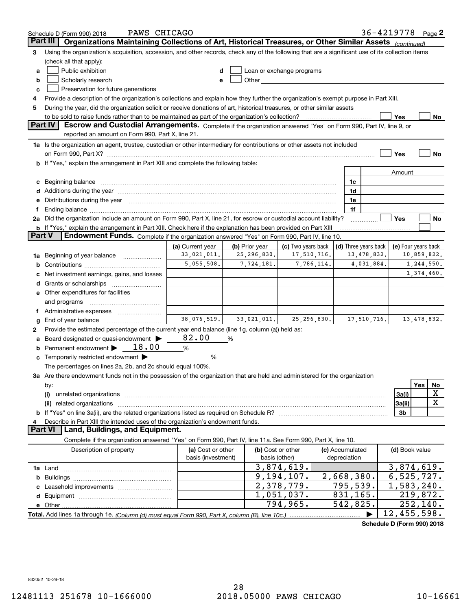|               | PAWS CHICAGO<br>Schedule D (Form 990) 2018                                                                                                                                                                                     |                    |   |                                                                                                                                                                                                                               |                    |               |                 | 36-4219778 $_{Page}$ 2     |                     |                         |           |
|---------------|--------------------------------------------------------------------------------------------------------------------------------------------------------------------------------------------------------------------------------|--------------------|---|-------------------------------------------------------------------------------------------------------------------------------------------------------------------------------------------------------------------------------|--------------------|---------------|-----------------|----------------------------|---------------------|-------------------------|-----------|
| Part III      | Organizations Maintaining Collections of Art, Historical Treasures, or Other Similar Assets (continued)                                                                                                                        |                    |   |                                                                                                                                                                                                                               |                    |               |                 |                            |                     |                         |           |
| 3             | Using the organization's acquisition, accession, and other records, check any of the following that are a significant use of its collection items                                                                              |                    |   |                                                                                                                                                                                                                               |                    |               |                 |                            |                     |                         |           |
|               | (check all that apply):                                                                                                                                                                                                        |                    |   |                                                                                                                                                                                                                               |                    |               |                 |                            |                     |                         |           |
| a             | Public exhibition                                                                                                                                                                                                              | d                  |   | Loan or exchange programs                                                                                                                                                                                                     |                    |               |                 |                            |                     |                         |           |
| b             | Scholarly research                                                                                                                                                                                                             | е                  |   | Other and the contract of the contract of the contract of the contract of the contract of the contract of the contract of the contract of the contract of the contract of the contract of the contract of the contract of the |                    |               |                 |                            |                     |                         |           |
| c             | Preservation for future generations                                                                                                                                                                                            |                    |   |                                                                                                                                                                                                                               |                    |               |                 |                            |                     |                         |           |
| 4             | Provide a description of the organization's collections and explain how they further the organization's exempt purpose in Part XIII.                                                                                           |                    |   |                                                                                                                                                                                                                               |                    |               |                 |                            |                     |                         |           |
| 5             | During the year, did the organization solicit or receive donations of art, historical treasures, or other similar assets                                                                                                       |                    |   |                                                                                                                                                                                                                               |                    |               |                 |                            |                     |                         |           |
|               | to be sold to raise funds rather than to be maintained as part of the organization's collection?                                                                                                                               |                    |   |                                                                                                                                                                                                                               |                    |               |                 |                            | Yes                 |                         | No        |
|               | <b>Part IV</b><br>Escrow and Custodial Arrangements. Complete if the organization answered "Yes" on Form 990, Part IV, line 9, or                                                                                              |                    |   |                                                                                                                                                                                                                               |                    |               |                 |                            |                     |                         |           |
|               | reported an amount on Form 990, Part X, line 21.                                                                                                                                                                               |                    |   |                                                                                                                                                                                                                               |                    |               |                 |                            |                     |                         |           |
|               | 1a Is the organization an agent, trustee, custodian or other intermediary for contributions or other assets not included                                                                                                       |                    |   |                                                                                                                                                                                                                               |                    |               |                 |                            |                     |                         |           |
|               |                                                                                                                                                                                                                                |                    |   |                                                                                                                                                                                                                               |                    |               |                 |                            | Yes                 |                         | <b>No</b> |
| b             | If "Yes," explain the arrangement in Part XIII and complete the following table:                                                                                                                                               |                    |   |                                                                                                                                                                                                                               |                    |               |                 |                            |                     |                         |           |
|               |                                                                                                                                                                                                                                |                    |   |                                                                                                                                                                                                                               |                    |               |                 |                            | Amount              |                         |           |
| c             | Beginning balance material continuum contracts and a series of the contract of the contract of the contract of                                                                                                                 |                    |   |                                                                                                                                                                                                                               |                    |               | 1c              |                            |                     |                         |           |
| d             | Additions during the year manufactured and an account of the year manufactured and account of the year manufactured and account of the year manufactured and account of the year manufactured and account of the year manufact |                    |   |                                                                                                                                                                                                                               |                    |               | 1d              |                            |                     |                         |           |
| е             | Distributions during the year manufactured and continuum and contact the year manufactured and contact the year                                                                                                                |                    |   |                                                                                                                                                                                                                               |                    |               | 1e              |                            |                     |                         |           |
| f             |                                                                                                                                                                                                                                |                    |   |                                                                                                                                                                                                                               |                    |               | 1f              |                            |                     |                         |           |
|               | 2a Did the organization include an amount on Form 990, Part X, line 21, for escrow or custodial account liability?                                                                                                             |                    |   |                                                                                                                                                                                                                               |                    |               |                 |                            | Yes                 |                         | No        |
|               | <b>b</b> If "Yes," explain the arrangement in Part XIII. Check here if the explanation has been provided on Part XIII                                                                                                          |                    |   |                                                                                                                                                                                                                               |                    |               |                 |                            |                     |                         |           |
| <b>Part V</b> | Endowment Funds. Complete if the organization answered "Yes" on Form 990, Part IV, line 10.                                                                                                                                    |                    |   |                                                                                                                                                                                                                               |                    |               |                 |                            |                     |                         |           |
|               |                                                                                                                                                                                                                                | (a) Current year   |   | (b) Prior year                                                                                                                                                                                                                | (c) Two years back |               |                 | (d) Three years back       | (e) Four years back |                         |           |
| 1a            | Beginning of year balance                                                                                                                                                                                                      | 33,021,011.        |   | 25, 296, 830.                                                                                                                                                                                                                 | 17,510,716.        |               |                 | 13,478,832.                |                     | 10,859,822.             |           |
| b             |                                                                                                                                                                                                                                | 5,055,508.         |   | 7,724,181.                                                                                                                                                                                                                    |                    | 7,786,114.    |                 | 4,031,884.                 |                     | 1,244,550.              |           |
|               | Net investment earnings, gains, and losses                                                                                                                                                                                     |                    |   |                                                                                                                                                                                                                               |                    |               |                 |                            |                     | 1,374,460.              |           |
| d             |                                                                                                                                                                                                                                |                    |   |                                                                                                                                                                                                                               |                    |               |                 |                            |                     |                         |           |
|               | e Other expenditures for facilities                                                                                                                                                                                            |                    |   |                                                                                                                                                                                                                               |                    |               |                 |                            |                     |                         |           |
|               | and programs                                                                                                                                                                                                                   |                    |   |                                                                                                                                                                                                                               |                    |               |                 |                            |                     |                         |           |
| Ť.            | Administrative expenses <i>manually communicative</i>                                                                                                                                                                          |                    |   |                                                                                                                                                                                                                               |                    |               |                 |                            |                     |                         |           |
| g             | End of year balance                                                                                                                                                                                                            | 38,076,519.        |   | 33,021,011.                                                                                                                                                                                                                   |                    | 25, 296, 830. |                 | 17,510,716.                |                     | 13,478,832.             |           |
| 2             | Provide the estimated percentage of the current year end balance (line 1g, column (a)) held as:                                                                                                                                |                    |   |                                                                                                                                                                                                                               |                    |               |                 |                            |                     |                         |           |
| а             | Board designated or quasi-endowment                                                                                                                                                                                            | 82.00              | % |                                                                                                                                                                                                                               |                    |               |                 |                            |                     |                         |           |
| b             | Permanent endowment > 18.00                                                                                                                                                                                                    | %                  |   |                                                                                                                                                                                                                               |                    |               |                 |                            |                     |                         |           |
| c             | Temporarily restricted endowment                                                                                                                                                                                               | %                  |   |                                                                                                                                                                                                                               |                    |               |                 |                            |                     |                         |           |
|               | The percentages on lines 2a, 2b, and 2c should equal 100%.                                                                                                                                                                     |                    |   |                                                                                                                                                                                                                               |                    |               |                 |                            |                     |                         |           |
|               | 3a Are there endowment funds not in the possession of the organization that are held and administered for the organization                                                                                                     |                    |   |                                                                                                                                                                                                                               |                    |               |                 |                            |                     |                         |           |
|               | by:                                                                                                                                                                                                                            |                    |   |                                                                                                                                                                                                                               |                    |               |                 |                            |                     | Yes                     | No        |
|               | (i)                                                                                                                                                                                                                            |                    |   |                                                                                                                                                                                                                               |                    |               |                 |                            | 3a(i)               |                         | х         |
|               | (ii) related organizations                                                                                                                                                                                                     |                    |   |                                                                                                                                                                                                                               |                    |               |                 |                            | 3a(ii)              |                         | х         |
|               |                                                                                                                                                                                                                                |                    |   |                                                                                                                                                                                                                               |                    |               |                 |                            | 3 <sub>b</sub>      |                         |           |
|               | Describe in Part XIII the intended uses of the organization's endowment funds.                                                                                                                                                 |                    |   |                                                                                                                                                                                                                               |                    |               |                 |                            |                     |                         |           |
|               | <b>Part VI</b><br>Land, Buildings, and Equipment.                                                                                                                                                                              |                    |   |                                                                                                                                                                                                                               |                    |               |                 |                            |                     |                         |           |
|               | Complete if the organization answered "Yes" on Form 990, Part IV, line 11a. See Form 990, Part X, line 10.                                                                                                                     |                    |   |                                                                                                                                                                                                                               |                    |               |                 |                            |                     |                         |           |
|               | Description of property                                                                                                                                                                                                        | (a) Cost or other  |   |                                                                                                                                                                                                                               | (b) Cost or other  |               | (c) Accumulated |                            | (d) Book value      |                         |           |
|               |                                                                                                                                                                                                                                | basis (investment) |   | basis (other)                                                                                                                                                                                                                 |                    |               | depreciation    |                            |                     |                         |           |
|               |                                                                                                                                                                                                                                |                    |   |                                                                                                                                                                                                                               | 3,874,619.         |               |                 |                            | 3,874,619.          |                         |           |
| b             |                                                                                                                                                                                                                                |                    |   |                                                                                                                                                                                                                               | 9,194,107.         |               | 2,668,380.      |                            | 6,525,727.          |                         |           |
|               |                                                                                                                                                                                                                                |                    |   |                                                                                                                                                                                                                               | 2,378,779.         |               | 795,539.        |                            | 1,583,240.          |                         |           |
|               |                                                                                                                                                                                                                                |                    |   |                                                                                                                                                                                                                               | 1,051,037.         |               | 831,165.        |                            |                     | $\overline{219}$ , 872. |           |
|               |                                                                                                                                                                                                                                |                    |   |                                                                                                                                                                                                                               | 794,965.           |               | 542,825.        |                            |                     | 252,140.                |           |
|               | Total. Add lines 1a through 1e. (Column (d) must equal Form 990. Part X, column (B), line 10c.)                                                                                                                                |                    |   |                                                                                                                                                                                                                               |                    |               |                 |                            | 12,455,598.         |                         |           |
|               |                                                                                                                                                                                                                                |                    |   |                                                                                                                                                                                                                               |                    |               |                 | Schedule D (Form 990) 2018 |                     |                         |           |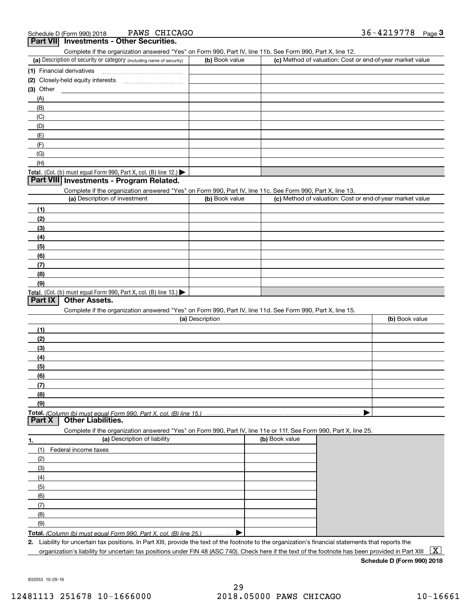PAWS CHICAGO

| Complete if the organization answered "Yes" on Form 990, Part IV, line 11b. See Form 990, Part X, line 12.<br>(a) Description of security or category (including name of security) | (b) Book value  |                | (c) Method of valuation: Cost or end-of-year market value |
|------------------------------------------------------------------------------------------------------------------------------------------------------------------------------------|-----------------|----------------|-----------------------------------------------------------|
|                                                                                                                                                                                    |                 |                |                                                           |
|                                                                                                                                                                                    |                 |                |                                                           |
| (2) Closely-held equity interests                                                                                                                                                  |                 |                |                                                           |
| (3) Other                                                                                                                                                                          |                 |                |                                                           |
| (A)                                                                                                                                                                                |                 |                |                                                           |
| (B)                                                                                                                                                                                |                 |                |                                                           |
| (C)                                                                                                                                                                                |                 |                |                                                           |
| (D)                                                                                                                                                                                |                 |                |                                                           |
| (E)                                                                                                                                                                                |                 |                |                                                           |
| (F)                                                                                                                                                                                |                 |                |                                                           |
| (G)                                                                                                                                                                                |                 |                |                                                           |
| (H)                                                                                                                                                                                |                 |                |                                                           |
| Total. (Col. (b) must equal Form 990, Part X, col. (B) line 12.) $\blacktriangleright$                                                                                             |                 |                |                                                           |
| Part VIII Investments - Program Related.                                                                                                                                           |                 |                |                                                           |
| Complete if the organization answered "Yes" on Form 990, Part IV, line 11c. See Form 990, Part X, line 13.                                                                         |                 |                |                                                           |
| (a) Description of investment                                                                                                                                                      | (b) Book value  |                | (c) Method of valuation: Cost or end-of-year market value |
| (1)                                                                                                                                                                                |                 |                |                                                           |
| (2)                                                                                                                                                                                |                 |                |                                                           |
| (3)                                                                                                                                                                                |                 |                |                                                           |
| (4)                                                                                                                                                                                |                 |                |                                                           |
| (5)                                                                                                                                                                                |                 |                |                                                           |
| (6)                                                                                                                                                                                |                 |                |                                                           |
| (7)                                                                                                                                                                                |                 |                |                                                           |
| (8)                                                                                                                                                                                |                 |                |                                                           |
| (9)                                                                                                                                                                                |                 |                |                                                           |
| Total. (Col. (b) must equal Form 990, Part X, col. (B) line 13.)                                                                                                                   |                 |                |                                                           |
| <b>Other Assets.</b><br>Part IX                                                                                                                                                    |                 |                |                                                           |
| Complete if the organization answered "Yes" on Form 990, Part IV, line 11d. See Form 990, Part X, line 15.                                                                         |                 |                |                                                           |
|                                                                                                                                                                                    | (a) Description |                | (b) Book value                                            |
| (1)                                                                                                                                                                                |                 |                |                                                           |
| (2)                                                                                                                                                                                |                 |                |                                                           |
| (3)                                                                                                                                                                                |                 |                |                                                           |
|                                                                                                                                                                                    |                 |                |                                                           |
| (4)                                                                                                                                                                                |                 |                |                                                           |
| (5)                                                                                                                                                                                |                 |                |                                                           |
| (6)                                                                                                                                                                                |                 |                |                                                           |
| (7)                                                                                                                                                                                |                 |                |                                                           |
| (8)                                                                                                                                                                                |                 |                |                                                           |
| (9)                                                                                                                                                                                |                 |                |                                                           |
| <b>Total.</b> (Column (b) must equal Form 990, Part X, col. (B) line 15.)<br><b>Other Liabilities.</b>                                                                             |                 |                |                                                           |
| <b>Part X</b>                                                                                                                                                                      |                 |                |                                                           |
| Complete if the organization answered "Yes" on Form 990, Part IV, line 11e or 11f. See Form 990, Part X, line 25.                                                                  |                 |                |                                                           |
| (a) Description of liability                                                                                                                                                       |                 | (b) Book value |                                                           |
| (1)<br>Federal income taxes                                                                                                                                                        |                 |                |                                                           |
|                                                                                                                                                                                    |                 |                |                                                           |
| (2)                                                                                                                                                                                |                 |                |                                                           |
| (3)                                                                                                                                                                                |                 |                |                                                           |
| (4)                                                                                                                                                                                |                 |                |                                                           |
| (5)                                                                                                                                                                                |                 |                |                                                           |
| (6)                                                                                                                                                                                |                 |                |                                                           |
| (7)                                                                                                                                                                                |                 |                |                                                           |
|                                                                                                                                                                                    |                 |                |                                                           |
| (8)<br>(9)                                                                                                                                                                         |                 |                |                                                           |

organization's liability for uncertain tax positions under FIN 48 (ASC 740). Check here if the text of the footnote has been provided in Part XIII  $~\boxed{\rm X}$ 

832053 10-29-18

**Schedule D (Form 990) 2018**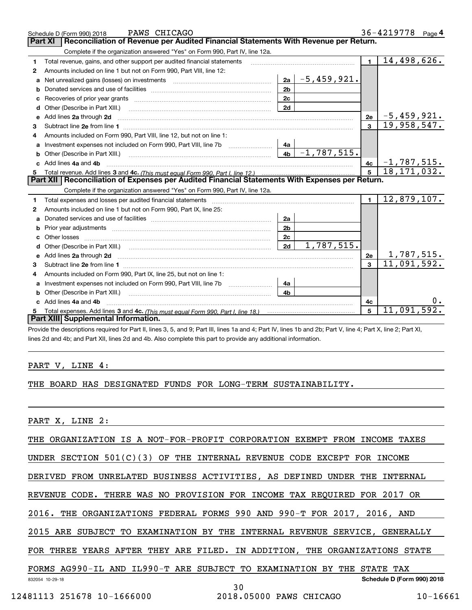|              | PAWS CHICAGO<br>Schedule D (Form 990) 2018                                                                                                                                                                                          |                |                         |                | 36-4219778 Page 4   |
|--------------|-------------------------------------------------------------------------------------------------------------------------------------------------------------------------------------------------------------------------------------|----------------|-------------------------|----------------|---------------------|
|              | Reconciliation of Revenue per Audited Financial Statements With Revenue per Return.<br>Part XI                                                                                                                                      |                |                         |                |                     |
|              | Complete if the organization answered "Yes" on Form 990, Part IV, line 12a.                                                                                                                                                         |                |                         |                |                     |
| 1.           | Total revenue, gains, and other support per audited financial statements                                                                                                                                                            |                |                         | $\mathbf{1}$   | 14,498,626.         |
| $\mathbf{2}$ | Amounts included on line 1 but not on Form 990, Part VIII, line 12:                                                                                                                                                                 |                |                         |                |                     |
| a            |                                                                                                                                                                                                                                     |                | $2a \mid -5, 459, 921.$ |                |                     |
| b            |                                                                                                                                                                                                                                     | 2 <sub>b</sub> |                         |                |                     |
| c            | Recoveries of prior year grants [11] matter contracts and prior year grants [11] matter contracts and prior year grants and prior year of the contracts and prior year of the contracts and prior year of the contracts and pr      | 2c             |                         |                |                     |
| d            | Other (Describe in Part XIII.)                                                                                                                                                                                                      | 2d             |                         |                |                     |
| е            | Add lines 2a through 2d                                                                                                                                                                                                             |                |                         | 2e             | -5,459 <u>,921.</u> |
| 3            |                                                                                                                                                                                                                                     |                |                         | $\mathbf{a}$   | 19,958,547.         |
| 4            | Amounts included on Form 990, Part VIII, line 12, but not on line 1:                                                                                                                                                                |                |                         |                |                     |
| a            |                                                                                                                                                                                                                                     | 4a             |                         |                |                     |
| b            | Other (Describe in Part XIII.) <b>Construction Contract Construction</b> [100]                                                                                                                                                      | 4 <sub>b</sub> | $-1,787,515.$           |                |                     |
| c.           | Add lines 4a and 4b                                                                                                                                                                                                                 |                |                         | 4c             | $-1,787,515.$       |
| 5            |                                                                                                                                                                                                                                     |                |                         | 5              | 18, 171, 032.       |
|              | Part XII   Reconciliation of Expenses per Audited Financial Statements With Expenses per Return.                                                                                                                                    |                |                         |                |                     |
|              | Complete if the organization answered "Yes" on Form 990, Part IV, line 12a.                                                                                                                                                         |                |                         |                |                     |
| 1            |                                                                                                                                                                                                                                     |                |                         |                |                     |
|              |                                                                                                                                                                                                                                     |                |                         | $\mathbf{1}$   | 12,879,107.         |
| 2            | Amounts included on line 1 but not on Form 990, Part IX, line 25:                                                                                                                                                                   |                |                         |                |                     |
| a            |                                                                                                                                                                                                                                     | 2a             |                         |                |                     |
|              |                                                                                                                                                                                                                                     | 2 <sub>b</sub> |                         |                |                     |
|              |                                                                                                                                                                                                                                     | 2 <sub>c</sub> |                         |                |                     |
|              |                                                                                                                                                                                                                                     | 2d             | 1,787,515.              |                |                     |
|              | Add lines 2a through 2d <b>contained a contained a contained a contained a</b> contained a contact the set of the set of the set of the set of the set of the set of the set of the set of the set of the set of the set of the set |                |                         | 2e             | 1,787,515.          |
| 3            |                                                                                                                                                                                                                                     |                |                         | $\mathbf{a}$   | 11,091,592.         |
| 4            | Amounts included on Form 990, Part IX, line 25, but not on line 1:                                                                                                                                                                  |                |                         |                |                     |
|              | Investment expenses not included on Form 990, Part VIII, line 7b [1000000000000000000000000000000000                                                                                                                                | 4a             |                         |                |                     |
| b            |                                                                                                                                                                                                                                     | 4 <sub>b</sub> |                         |                |                     |
|              | c Add lines 4a and 4b                                                                                                                                                                                                               |                |                         | 4c             |                     |
|              | Total expenses. Add lines 3 and 4c. (This must equal Form 990, Part I, line 18.) <b>Conservers</b> manufactured in the<br>Part XIII Supplemental Information.                                                                       |                |                         | $\overline{5}$ | 11,091,592.         |

Provide the descriptions required for Part II, lines 3, 5, and 9; Part III, lines 1a and 4; Part IV, lines 1b and 2b; Part V, line 4; Part X, line 2; Part XI, lines 2d and 4b; and Part XII, lines 2d and 4b. Also complete this part to provide any additional information.

### PART V, LINE 4:

### THE BOARD HAS DESIGNATED FUNDS FOR LONG-TERM SUSTAINABILITY.

PART X, LINE 2:

THE ORGANIZATION IS A NOT-FOR-PROFIT CORPORATION EXEMPT FROM INCOME TAXES

UNDER SECTION 501(C)(3) OF THE INTERNAL REVENUE CODE EXCEPT FOR INCOME

DERIVED FROM UNRELATED BUSINESS ACTIVITIES, AS DEFINED UNDER THE INTERNAL

REVENUE CODE. THERE WAS NO PROVISION FOR INCOME TAX REQUIRED FOR 2017 OR

2016. THE ORGANIZATIONS FEDERAL FORMS 990 AND 990-T FOR 2017, 2016, AND

2015 ARE SUBJECT TO EXAMINATION BY THE INTERNAL REVENUE SERVICE, GENERALLY

FOR THREE YEARS AFTER THEY ARE FILED. IN ADDITION, THE ORGANIZATIONS STATE

**Schedule D (Form 990) 2018** FORMS AG990-IL AND IL990-T ARE SUBJECT TO EXAMINATION BY THE STATE TAX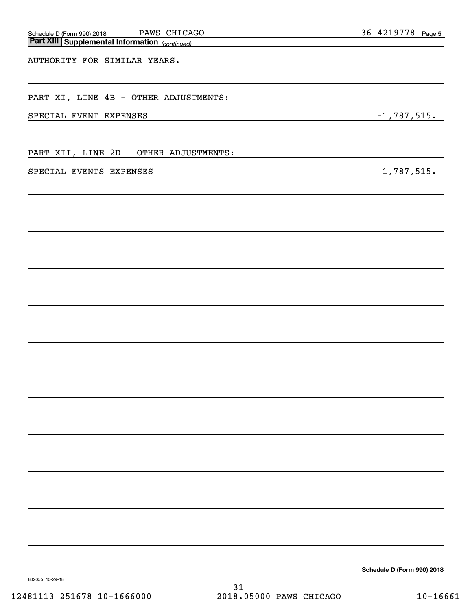| AUTHORITY FOR SIMILAR YEARS.           |               |
|----------------------------------------|---------------|
|                                        |               |
| PART XI, LINE 4B - OTHER ADJUSTMENTS:  |               |
| SPECIAL EVENT EXPENSES                 | $-1,787,515.$ |
|                                        |               |
| PART XII, LINE 2D - OTHER ADJUSTMENTS: |               |
| SPECIAL EVENTS EXPENSES                | 1,787,515.    |
|                                        |               |
|                                        |               |
|                                        |               |
|                                        |               |
|                                        |               |
|                                        |               |
|                                        |               |
|                                        |               |
|                                        |               |
|                                        |               |
|                                        |               |
|                                        |               |
|                                        |               |
|                                        |               |
|                                        |               |
|                                        |               |
|                                        |               |
|                                        |               |
|                                        |               |
|                                        |               |
|                                        |               |

**Schedule D (Form 990) 2018**

832055 10-29-18

*(continued)* **Part XIII Supplemental Information** 

PAWS CHICAGO

Schedule D (Form 990) 2018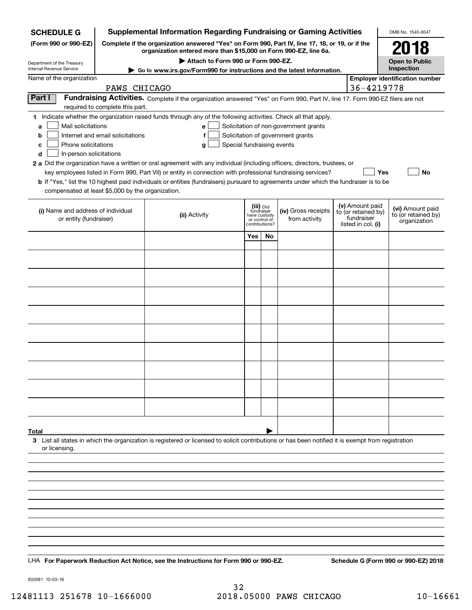| <b>SCHEDULE G</b>                                                                                                                             |                                  | <b>Supplemental Information Regarding Fundraising or Gaming Activities</b>                                                                                                                                                                                                                                                                                                                                                                                                                                                                                |                                                                            |    |                                                                            |                                                                            | OMB No. 1545-0047                                       |
|-----------------------------------------------------------------------------------------------------------------------------------------------|----------------------------------|-----------------------------------------------------------------------------------------------------------------------------------------------------------------------------------------------------------------------------------------------------------------------------------------------------------------------------------------------------------------------------------------------------------------------------------------------------------------------------------------------------------------------------------------------------------|----------------------------------------------------------------------------|----|----------------------------------------------------------------------------|----------------------------------------------------------------------------|---------------------------------------------------------|
| (Form 990 or 990-EZ)                                                                                                                          |                                  | Complete if the organization answered "Yes" on Form 990, Part IV, line 17, 18, or 19, or if the<br>organization entered more than \$15,000 on Form 990-EZ, line 6a.                                                                                                                                                                                                                                                                                                                                                                                       |                                                                            |    |                                                                            |                                                                            | 2018                                                    |
| Department of the Treasury                                                                                                                    |                                  | Attach to Form 990 or Form 990-EZ.                                                                                                                                                                                                                                                                                                                                                                                                                                                                                                                        |                                                                            |    |                                                                            |                                                                            | <b>Open to Public</b>                                   |
| Internal Revenue Service                                                                                                                      |                                  | ► Go to www.irs.gov/Form990 for instructions and the latest information.                                                                                                                                                                                                                                                                                                                                                                                                                                                                                  |                                                                            |    |                                                                            |                                                                            | Inspection                                              |
| Name of the organization                                                                                                                      | PAWS CHICAGO                     |                                                                                                                                                                                                                                                                                                                                                                                                                                                                                                                                                           |                                                                            |    |                                                                            | 36-4219778                                                                 | <b>Employer identification number</b>                   |
| Part I                                                                                                                                        | required to complete this part.  | Fundraising Activities. Complete if the organization answered "Yes" on Form 990, Part IV, line 17. Form 990-EZ filers are not                                                                                                                                                                                                                                                                                                                                                                                                                             |                                                                            |    |                                                                            |                                                                            |                                                         |
| Mail solicitations<br>a<br>b<br>Phone solicitations<br>c<br>In-person solicitations<br>d<br>compensated at least \$5,000 by the organization. | Internet and email solicitations | 1 Indicate whether the organization raised funds through any of the following activities. Check all that apply.<br>е<br>f<br>Special fundraising events<br>g<br>2 a Did the organization have a written or oral agreement with any individual (including officers, directors, trustees, or<br>key employees listed in Form 990, Part VII) or entity in connection with professional fundraising services?<br><b>b</b> If "Yes," list the 10 highest paid individuals or entities (fundraisers) pursuant to agreements under which the fundraiser is to be |                                                                            |    | Solicitation of non-government grants<br>Solicitation of government grants | Yes                                                                        | No                                                      |
| (i) Name and address of individual<br>or entity (fundraiser)                                                                                  |                                  | (ii) Activity                                                                                                                                                                                                                                                                                                                                                                                                                                                                                                                                             | (iii) Did<br>fundraiser<br>have custody<br>or control of<br>contributions? |    | (iv) Gross receipts<br>from activity                                       | (v) Amount paid<br>to (or retained by)<br>fundraiser<br>listed in col. (i) | (vi) Amount paid<br>to (or retained by)<br>organization |
|                                                                                                                                               |                                  |                                                                                                                                                                                                                                                                                                                                                                                                                                                                                                                                                           | Yes                                                                        | No |                                                                            |                                                                            |                                                         |
|                                                                                                                                               |                                  |                                                                                                                                                                                                                                                                                                                                                                                                                                                                                                                                                           |                                                                            |    |                                                                            |                                                                            |                                                         |
|                                                                                                                                               |                                  |                                                                                                                                                                                                                                                                                                                                                                                                                                                                                                                                                           |                                                                            |    |                                                                            |                                                                            |                                                         |
|                                                                                                                                               |                                  |                                                                                                                                                                                                                                                                                                                                                                                                                                                                                                                                                           |                                                                            |    |                                                                            |                                                                            |                                                         |
|                                                                                                                                               |                                  |                                                                                                                                                                                                                                                                                                                                                                                                                                                                                                                                                           |                                                                            |    |                                                                            |                                                                            |                                                         |
|                                                                                                                                               |                                  |                                                                                                                                                                                                                                                                                                                                                                                                                                                                                                                                                           |                                                                            |    |                                                                            |                                                                            |                                                         |
|                                                                                                                                               |                                  |                                                                                                                                                                                                                                                                                                                                                                                                                                                                                                                                                           |                                                                            |    |                                                                            |                                                                            |                                                         |
|                                                                                                                                               |                                  |                                                                                                                                                                                                                                                                                                                                                                                                                                                                                                                                                           |                                                                            |    |                                                                            |                                                                            |                                                         |
|                                                                                                                                               |                                  |                                                                                                                                                                                                                                                                                                                                                                                                                                                                                                                                                           |                                                                            |    |                                                                            |                                                                            |                                                         |
|                                                                                                                                               |                                  |                                                                                                                                                                                                                                                                                                                                                                                                                                                                                                                                                           |                                                                            |    |                                                                            |                                                                            |                                                         |
|                                                                                                                                               |                                  |                                                                                                                                                                                                                                                                                                                                                                                                                                                                                                                                                           |                                                                            |    |                                                                            |                                                                            |                                                         |
| Total<br>or licensing.                                                                                                                        |                                  | 3 List all states in which the organization is registered or licensed to solicit contributions or has been notified it is exempt from registration                                                                                                                                                                                                                                                                                                                                                                                                        |                                                                            |    |                                                                            |                                                                            |                                                         |
|                                                                                                                                               |                                  |                                                                                                                                                                                                                                                                                                                                                                                                                                                                                                                                                           |                                                                            |    |                                                                            |                                                                            |                                                         |
|                                                                                                                                               |                                  |                                                                                                                                                                                                                                                                                                                                                                                                                                                                                                                                                           |                                                                            |    |                                                                            |                                                                            |                                                         |
|                                                                                                                                               |                                  |                                                                                                                                                                                                                                                                                                                                                                                                                                                                                                                                                           |                                                                            |    |                                                                            |                                                                            |                                                         |
|                                                                                                                                               |                                  |                                                                                                                                                                                                                                                                                                                                                                                                                                                                                                                                                           |                                                                            |    |                                                                            |                                                                            |                                                         |
|                                                                                                                                               |                                  |                                                                                                                                                                                                                                                                                                                                                                                                                                                                                                                                                           |                                                                            |    |                                                                            |                                                                            |                                                         |
|                                                                                                                                               |                                  |                                                                                                                                                                                                                                                                                                                                                                                                                                                                                                                                                           |                                                                            |    |                                                                            |                                                                            |                                                         |
|                                                                                                                                               |                                  |                                                                                                                                                                                                                                                                                                                                                                                                                                                                                                                                                           |                                                                            |    |                                                                            |                                                                            |                                                         |
|                                                                                                                                               |                                  | LHA For Paperwork Reduction Act Notice, see the Instructions for Form 990 or 990-EZ.                                                                                                                                                                                                                                                                                                                                                                                                                                                                      |                                                                            |    |                                                                            |                                                                            | Schedule G (Form 990 or 990-EZ) 2018                    |

832081 10-03-18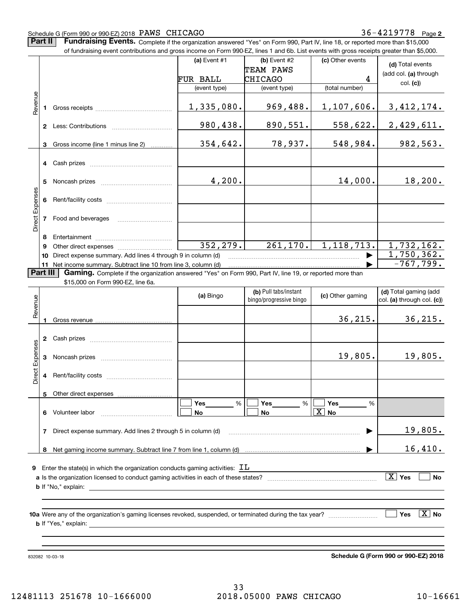### Schedule G (Form 990 or 990-EZ) 2018 Page PAWS CHICAGO 36-4219778

**Part II** | Fundraising Events. Complete if the organization answered "Yes" on Form 990, Part IV, line 18, or reported more than \$15,000

|                 |          |                                                                                                                                                     |                 |                         |                       | of fundraising event contributions and gross income on Form 990-EZ, lines 1 and 6b. List events with gross receipts greater than \$5,000. |
|-----------------|----------|-----------------------------------------------------------------------------------------------------------------------------------------------------|-----------------|-------------------------|-----------------------|-------------------------------------------------------------------------------------------------------------------------------------------|
|                 |          |                                                                                                                                                     | (a) Event #1    | (b) Event #2            | (c) Other events      | (d) Total events                                                                                                                          |
|                 |          |                                                                                                                                                     |                 | TEAM PAWS               |                       | (add col. (a) through                                                                                                                     |
|                 |          |                                                                                                                                                     | FUR BALL        | <b>CHICAGO</b>          | 4                     | col. (c)                                                                                                                                  |
|                 |          |                                                                                                                                                     | (event type)    | (event type)            | (total number)        |                                                                                                                                           |
| Revenue         |          |                                                                                                                                                     |                 |                         |                       |                                                                                                                                           |
|                 |          |                                                                                                                                                     | 1,335,080.      | 969,488.                | 1,107,606.            | <u>3,412,174.</u>                                                                                                                         |
|                 |          |                                                                                                                                                     |                 |                         |                       |                                                                                                                                           |
|                 |          |                                                                                                                                                     | 980, 438.       | 890,551.                | 558,622.              | <u>2,429,611.</u>                                                                                                                         |
|                 |          |                                                                                                                                                     |                 |                         |                       |                                                                                                                                           |
|                 |          | 3 Gross income (line 1 minus line 2)                                                                                                                | 354,642.        | 78,937.                 | 548,984.              | 982,563.                                                                                                                                  |
|                 |          |                                                                                                                                                     |                 |                         |                       |                                                                                                                                           |
|                 |          |                                                                                                                                                     |                 |                         |                       |                                                                                                                                           |
|                 |          |                                                                                                                                                     |                 |                         |                       |                                                                                                                                           |
|                 | 5        |                                                                                                                                                     | 4,200.          |                         | 14,000.               | 18, 200.                                                                                                                                  |
|                 |          |                                                                                                                                                     |                 |                         |                       |                                                                                                                                           |
|                 |          |                                                                                                                                                     |                 |                         |                       |                                                                                                                                           |
| Direct Expenses |          |                                                                                                                                                     |                 |                         |                       |                                                                                                                                           |
|                 |          | 7 Food and beverages                                                                                                                                |                 |                         |                       |                                                                                                                                           |
|                 |          |                                                                                                                                                     |                 |                         |                       |                                                                                                                                           |
|                 | 8        |                                                                                                                                                     |                 |                         |                       |                                                                                                                                           |
|                 | 9        |                                                                                                                                                     | 352, 279.       | 261, 170.               | 1, 118, 713.          | 1,732,162.                                                                                                                                |
|                 | 10       | Direct expense summary. Add lines 4 through 9 in column (d)                                                                                         |                 |                         |                       | 1,750,362.                                                                                                                                |
|                 |          | 11 Net income summary. Subtract line 10 from line 3, column (d)                                                                                     |                 |                         |                       | $-767,799.$                                                                                                                               |
|                 | Part III | Gaming. Complete if the organization answered "Yes" on Form 990, Part IV, line 19, or reported more than                                            |                 |                         |                       |                                                                                                                                           |
|                 |          | \$15,000 on Form 990-EZ, line 6a.                                                                                                                   |                 |                         |                       |                                                                                                                                           |
|                 |          |                                                                                                                                                     | (a) Bingo       | (b) Pull tabs/instant   | (c) Other gaming      | (d) Total gaming (add                                                                                                                     |
| Revenue         |          |                                                                                                                                                     |                 | bingo/progressive bingo |                       | col. (a) through col. (c))                                                                                                                |
|                 |          |                                                                                                                                                     |                 |                         |                       |                                                                                                                                           |
|                 |          |                                                                                                                                                     |                 |                         | 36, 215.              | 36, 215.                                                                                                                                  |
|                 |          |                                                                                                                                                     |                 |                         |                       |                                                                                                                                           |
|                 |          |                                                                                                                                                     |                 |                         |                       |                                                                                                                                           |
| Expenses        |          |                                                                                                                                                     |                 |                         |                       |                                                                                                                                           |
|                 |          |                                                                                                                                                     |                 |                         |                       |                                                                                                                                           |
|                 |          |                                                                                                                                                     |                 |                         | 19,805.               | 19,805.                                                                                                                                   |
|                 |          |                                                                                                                                                     |                 |                         |                       |                                                                                                                                           |
| <b>Direct</b>   |          |                                                                                                                                                     |                 |                         |                       |                                                                                                                                           |
|                 |          |                                                                                                                                                     |                 |                         |                       |                                                                                                                                           |
|                 |          | 5 Other direct expenses                                                                                                                             |                 |                         |                       |                                                                                                                                           |
|                 |          |                                                                                                                                                     | <b>Yes</b><br>% | <b>Yes</b><br>%         | <b>Yes</b><br>%       |                                                                                                                                           |
|                 |          | 6 Volunteer labor                                                                                                                                   | No              | No                      | $\boxed{\text{X}}$ No |                                                                                                                                           |
|                 | 7        |                                                                                                                                                     |                 |                         |                       |                                                                                                                                           |
|                 |          | Direct expense summary. Add lines 2 through 5 in column (d)                                                                                         |                 |                         |                       | 19,805.                                                                                                                                   |
|                 |          |                                                                                                                                                     |                 |                         |                       | 16,410.                                                                                                                                   |
|                 |          |                                                                                                                                                     |                 |                         |                       |                                                                                                                                           |
|                 |          | <b>9</b> Enter the state(s) in which the organization conducts gaming activities: $\text{IL}$                                                       |                 |                         |                       |                                                                                                                                           |
|                 |          |                                                                                                                                                     |                 |                         |                       | $\overline{X}$ Yes<br>No                                                                                                                  |
|                 |          | <b>b</b> If "No," explain:<br><u> 1989 - Johann Stoff, deutscher Stoff, der Stoff, der Stoff, der Stoff, der Stoff, der Stoff, der Stoff, der S</u> |                 |                         |                       |                                                                                                                                           |
|                 |          |                                                                                                                                                     |                 |                         |                       |                                                                                                                                           |
|                 |          |                                                                                                                                                     |                 |                         |                       |                                                                                                                                           |
|                 |          |                                                                                                                                                     |                 |                         |                       | $\boxed{\text{X}}$ No<br>Yes                                                                                                              |
|                 |          |                                                                                                                                                     |                 |                         |                       |                                                                                                                                           |
|                 |          |                                                                                                                                                     |                 |                         |                       |                                                                                                                                           |

832082 10-03-18

**Schedule G (Form 990 or 990-EZ) 2018**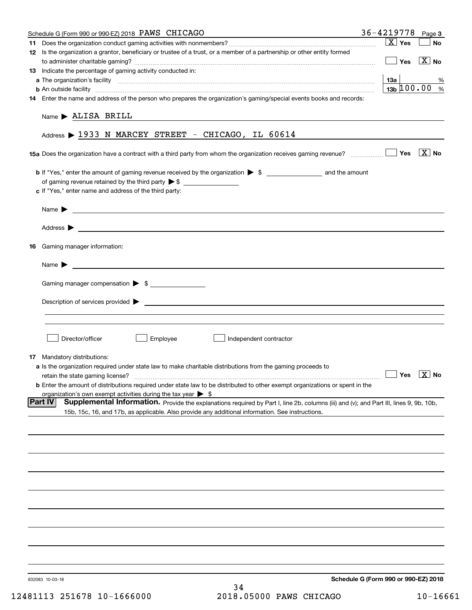| Schedule G (Form 990 or 990-EZ) 2018 PAWS CHICAGO                                                                                                                                                                                                      | $36 - 4219778$ Page 3                |                            |
|--------------------------------------------------------------------------------------------------------------------------------------------------------------------------------------------------------------------------------------------------------|--------------------------------------|----------------------------|
|                                                                                                                                                                                                                                                        | $\boxed{\text{X}}$ Yes               | No                         |
| 12 Is the organization a grantor, beneficiary or trustee of a trust, or a member of a partnership or other entity formed                                                                                                                               | $\sqrt{}$ Yes $\sqrt{X}$ No          |                            |
| <b>13</b> Indicate the percentage of gaming activity conducted in:                                                                                                                                                                                     |                                      |                            |
|                                                                                                                                                                                                                                                        | 13a                                  | %                          |
|                                                                                                                                                                                                                                                        | $13b \, 100.00$ %                    |                            |
| 14 Enter the name and address of the person who prepares the organization's gaming/special events books and records:                                                                                                                                   |                                      |                            |
| Name > ALISA BRILL                                                                                                                                                                                                                                     |                                      |                            |
| Address > 1933 N MARCEY STREET - CHICAGO, IL 60614                                                                                                                                                                                                     |                                      |                            |
|                                                                                                                                                                                                                                                        |                                      | $\boxed{\text{X}}$ No      |
|                                                                                                                                                                                                                                                        |                                      |                            |
|                                                                                                                                                                                                                                                        |                                      |                            |
| c If "Yes," enter name and address of the third party:                                                                                                                                                                                                 |                                      |                            |
| Name $\blacktriangleright$ $\lrcorner$                                                                                                                                                                                                                 |                                      |                            |
|                                                                                                                                                                                                                                                        |                                      |                            |
| 16 Gaming manager information:                                                                                                                                                                                                                         |                                      |                            |
| Name $\blacktriangleright$                                                                                                                                                                                                                             |                                      |                            |
|                                                                                                                                                                                                                                                        |                                      |                            |
| Gaming manager compensation > \$                                                                                                                                                                                                                       |                                      |                            |
| $Description of services provided$ $\triangleright$                                                                                                                                                                                                    |                                      |                            |
|                                                                                                                                                                                                                                                        |                                      |                            |
| Director/officer<br>Employee<br>Independent contractor                                                                                                                                                                                                 |                                      |                            |
|                                                                                                                                                                                                                                                        |                                      |                            |
| 17 Mandatory distributions:<br>a Is the organization required under state law to make charitable distributions from the gaming proceeds to                                                                                                             |                                      |                            |
| retain the state gaming license?                                                                                                                                                                                                                       | $\Box$ Yes                           | $\overline{\mathbf{X}}$ No |
| <b>b</b> Enter the amount of distributions required under state law to be distributed to other exempt organizations or spent in the                                                                                                                    |                                      |                            |
| organization's own exempt activities during the tax year $\triangleright$ \$                                                                                                                                                                           |                                      |                            |
| Supplemental Information. Provide the explanations required by Part I, line 2b, columns (iii) and (v); and Part III, lines 9, 9b, 10b,<br> Part IV<br>15b, 15c, 16, and 17b, as applicable. Also provide any additional information. See instructions. |                                      |                            |
|                                                                                                                                                                                                                                                        |                                      |                            |
|                                                                                                                                                                                                                                                        |                                      |                            |
|                                                                                                                                                                                                                                                        |                                      |                            |
|                                                                                                                                                                                                                                                        |                                      |                            |
|                                                                                                                                                                                                                                                        |                                      |                            |
|                                                                                                                                                                                                                                                        |                                      |                            |
|                                                                                                                                                                                                                                                        |                                      |                            |
|                                                                                                                                                                                                                                                        |                                      |                            |
|                                                                                                                                                                                                                                                        |                                      |                            |
|                                                                                                                                                                                                                                                        |                                      |                            |
| 832083 10-03-18<br>34                                                                                                                                                                                                                                  | Schedule G (Form 990 or 990-EZ) 2018 |                            |
|                                                                                                                                                                                                                                                        |                                      |                            |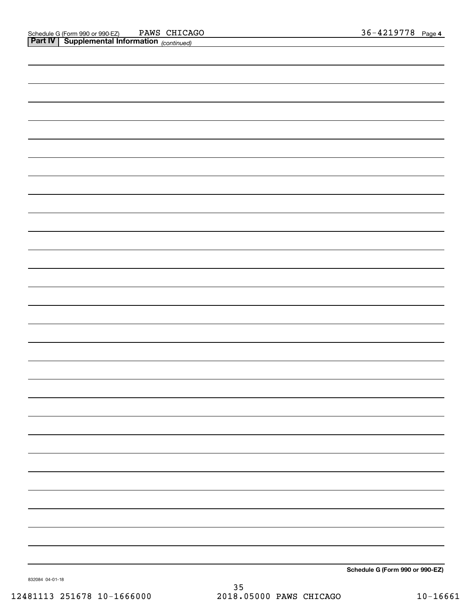| <b>Part IV   Supplemental Information</b> (continued) |                                 |
|-------------------------------------------------------|---------------------------------|
|                                                       |                                 |
|                                                       |                                 |
|                                                       |                                 |
|                                                       |                                 |
|                                                       |                                 |
|                                                       |                                 |
|                                                       |                                 |
|                                                       |                                 |
|                                                       |                                 |
|                                                       |                                 |
|                                                       |                                 |
|                                                       |                                 |
|                                                       |                                 |
|                                                       |                                 |
|                                                       |                                 |
|                                                       |                                 |
|                                                       |                                 |
|                                                       |                                 |
|                                                       |                                 |
|                                                       |                                 |
|                                                       |                                 |
|                                                       |                                 |
|                                                       |                                 |
|                                                       |                                 |
|                                                       |                                 |
|                                                       |                                 |
|                                                       |                                 |
|                                                       |                                 |
|                                                       |                                 |
|                                                       |                                 |
|                                                       |                                 |
|                                                       |                                 |
|                                                       |                                 |
|                                                       |                                 |
|                                                       | Schedule G (Form 990 or 990-EZ) |

832084 04-01-18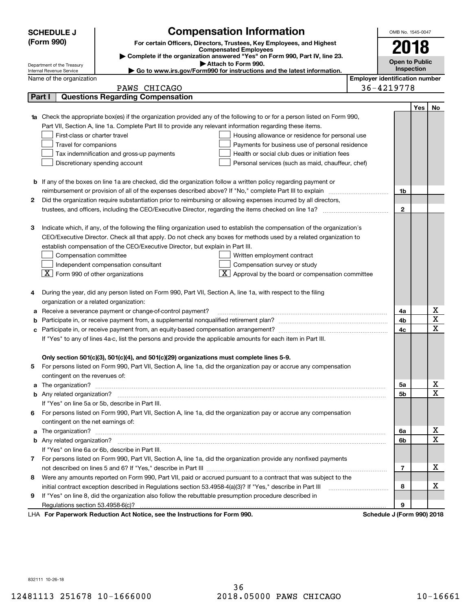| <b>SCHEDULE J</b>                                      | <b>Compensation Information</b>                                                                                                                                                                                                     |  |                                       | OMB No. 1545-0047          |     |             |  |
|--------------------------------------------------------|-------------------------------------------------------------------------------------------------------------------------------------------------------------------------------------------------------------------------------------|--|---------------------------------------|----------------------------|-----|-------------|--|
|                                                        | (Form 990)<br>For certain Officers, Directors, Trustees, Key Employees, and Highest                                                                                                                                                 |  |                                       |                            |     |             |  |
|                                                        | <b>Compensated Employees</b>                                                                                                                                                                                                        |  |                                       | 2018                       |     |             |  |
|                                                        | Complete if the organization answered "Yes" on Form 990, Part IV, line 23.<br>Attach to Form 990.                                                                                                                                   |  |                                       | <b>Open to Public</b>      |     |             |  |
| Department of the Treasury<br>Internal Revenue Service | ► Go to www.irs.gov/Form990 for instructions and the latest information.                                                                                                                                                            |  |                                       | Inspection                 |     |             |  |
|                                                        | Name of the organization                                                                                                                                                                                                            |  | <b>Employer identification number</b> |                            |     |             |  |
|                                                        | PAWS CHICAGO                                                                                                                                                                                                                        |  |                                       | 36-4219778                 |     |             |  |
| Part I                                                 | <b>Questions Regarding Compensation</b>                                                                                                                                                                                             |  |                                       |                            |     |             |  |
|                                                        |                                                                                                                                                                                                                                     |  |                                       |                            | Yes | No          |  |
|                                                        | Check the appropriate box(es) if the organization provided any of the following to or for a person listed on Form 990,                                                                                                              |  |                                       |                            |     |             |  |
|                                                        | Part VII, Section A, line 1a. Complete Part III to provide any relevant information regarding these items.                                                                                                                          |  |                                       |                            |     |             |  |
|                                                        | First-class or charter travel<br>Housing allowance or residence for personal use                                                                                                                                                    |  |                                       |                            |     |             |  |
|                                                        | Travel for companions<br>Payments for business use of personal residence                                                                                                                                                            |  |                                       |                            |     |             |  |
|                                                        | Tax indemnification and gross-up payments<br>Health or social club dues or initiation fees                                                                                                                                          |  |                                       |                            |     |             |  |
|                                                        | Discretionary spending account<br>Personal services (such as maid, chauffeur, chef)                                                                                                                                                 |  |                                       |                            |     |             |  |
|                                                        |                                                                                                                                                                                                                                     |  |                                       |                            |     |             |  |
|                                                        | <b>b</b> If any of the boxes on line 1a are checked, did the organization follow a written policy regarding payment or                                                                                                              |  |                                       |                            |     |             |  |
|                                                        | reimbursement or provision of all of the expenses described above? If "No," complete Part III to explain                                                                                                                            |  |                                       | 1b                         |     |             |  |
| 2                                                      | Did the organization require substantiation prior to reimbursing or allowing expenses incurred by all directors,                                                                                                                    |  |                                       |                            |     |             |  |
|                                                        |                                                                                                                                                                                                                                     |  |                                       | $\mathbf{2}$               |     |             |  |
|                                                        |                                                                                                                                                                                                                                     |  |                                       |                            |     |             |  |
| з                                                      | Indicate which, if any, of the following the filing organization used to establish the compensation of the organization's                                                                                                           |  |                                       |                            |     |             |  |
|                                                        | CEO/Executive Director. Check all that apply. Do not check any boxes for methods used by a related organization to                                                                                                                  |  |                                       |                            |     |             |  |
|                                                        | establish compensation of the CEO/Executive Director, but explain in Part III.                                                                                                                                                      |  |                                       |                            |     |             |  |
|                                                        | Compensation committee<br>Written employment contract                                                                                                                                                                               |  |                                       |                            |     |             |  |
|                                                        | Independent compensation consultant<br>Compensation survey or study                                                                                                                                                                 |  |                                       |                            |     |             |  |
|                                                        | $\boxed{\textbf{X}}$ Form 990 of other organizations<br>$\boxed{\textbf{X}}$ Approval by the board or compensation committee                                                                                                        |  |                                       |                            |     |             |  |
|                                                        |                                                                                                                                                                                                                                     |  |                                       |                            |     |             |  |
| 4                                                      | During the year, did any person listed on Form 990, Part VII, Section A, line 1a, with respect to the filing                                                                                                                        |  |                                       |                            |     |             |  |
|                                                        | organization or a related organization:                                                                                                                                                                                             |  |                                       |                            |     |             |  |
| а                                                      | Receive a severance payment or change-of-control payment?                                                                                                                                                                           |  |                                       | 4a                         |     | х           |  |
| b                                                      |                                                                                                                                                                                                                                     |  |                                       | 4b                         |     | X           |  |
| с                                                      |                                                                                                                                                                                                                                     |  |                                       | 4c                         |     | X           |  |
|                                                        | If "Yes" to any of lines 4a-c, list the persons and provide the applicable amounts for each item in Part III.                                                                                                                       |  |                                       |                            |     |             |  |
|                                                        |                                                                                                                                                                                                                                     |  |                                       |                            |     |             |  |
|                                                        | Only section 501(c)(3), 501(c)(4), and 501(c)(29) organizations must complete lines 5-9.                                                                                                                                            |  |                                       |                            |     |             |  |
|                                                        | For persons listed on Form 990, Part VII, Section A, line 1a, did the organization pay or accrue any compensation                                                                                                                   |  |                                       |                            |     |             |  |
|                                                        | contingent on the revenues of:                                                                                                                                                                                                      |  |                                       |                            |     |             |  |
| a                                                      | The organization? <b>Process and Construction Construction</b> and Construction and Construction and Construction and Construction and Construction and Construction and Construction and Construction and Construction and Constru |  |                                       | 5a                         |     | X           |  |
|                                                        |                                                                                                                                                                                                                                     |  |                                       | 5b                         |     | Χ           |  |
|                                                        | If "Yes" on line 5a or 5b, describe in Part III.                                                                                                                                                                                    |  |                                       |                            |     |             |  |
|                                                        | 6 For persons listed on Form 990, Part VII, Section A, line 1a, did the organization pay or accrue any compensation                                                                                                                 |  |                                       |                            |     |             |  |
|                                                        | contingent on the net earnings of:                                                                                                                                                                                                  |  |                                       |                            |     |             |  |
| a                                                      | The organization? <b>With the organization</b> ? <b>With the organization with the organization? With the organization?</b>                                                                                                         |  |                                       | 6a                         |     | X           |  |
|                                                        |                                                                                                                                                                                                                                     |  |                                       | 6b                         |     | $\mathbf X$ |  |
|                                                        | If "Yes" on line 6a or 6b, describe in Part III.                                                                                                                                                                                    |  |                                       |                            |     |             |  |
|                                                        | 7 For persons listed on Form 990, Part VII, Section A, line 1a, did the organization provide any nonfixed payments                                                                                                                  |  |                                       |                            |     |             |  |
|                                                        |                                                                                                                                                                                                                                     |  |                                       | $\overline{7}$             |     | х           |  |
| 8                                                      | Were any amounts reported on Form 990, Part VII, paid or accrued pursuant to a contract that was subject to the                                                                                                                     |  |                                       |                            |     |             |  |
|                                                        | initial contract exception described in Regulations section 53.4958-4(a)(3)? If "Yes," describe in Part III                                                                                                                         |  |                                       | 8                          |     | х           |  |
| 9                                                      | If "Yes" on line 8, did the organization also follow the rebuttable presumption procedure described in                                                                                                                              |  |                                       |                            |     |             |  |
|                                                        |                                                                                                                                                                                                                                     |  |                                       | 9                          |     |             |  |
|                                                        | LHA For Paperwork Reduction Act Notice, see the Instructions for Form 990.                                                                                                                                                          |  |                                       | Schedule J (Form 990) 2018 |     |             |  |

832111 10-26-18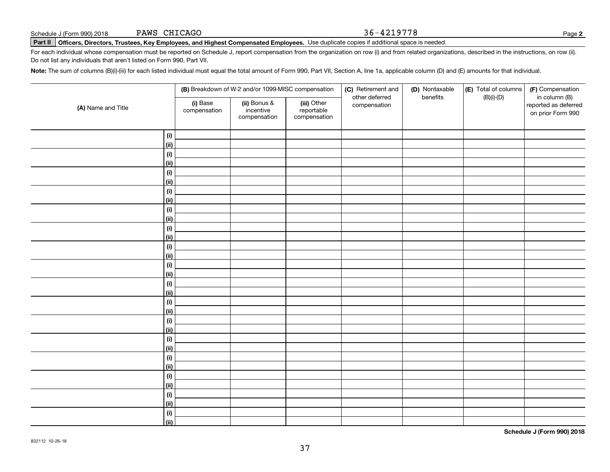### PAWS CHICAGO 36-4219778

**2**

# **Part II Officers, Directors, Trustees, Key Employees, and Highest Compensated Employees.**  Schedule J (Form 990) 2018 Page Use duplicate copies if additional space is needed.

For each individual whose compensation must be reported on Schedule J, report compensation from the organization on row (i) and from related organizations, described in the instructions, on row (ii). Do not list any individuals that aren't listed on Form 990, Part VII.

**Note:**  The sum of columns (B)(i)-(iii) for each listed individual must equal the total amount of Form 990, Part VII, Section A, line 1a, applicable column (D) and (E) amounts for that individual.

|                    |                              |                          | (B) Breakdown of W-2 and/or 1099-MISC compensation |                                           | (C) Retirement and<br>other deferred | (D) Nontaxable<br>benefits | (E) Total of columns<br>$(B)(i)$ - $(D)$ | (F) Compensation<br>in column (B)         |
|--------------------|------------------------------|--------------------------|----------------------------------------------------|-------------------------------------------|--------------------------------------|----------------------------|------------------------------------------|-------------------------------------------|
| (A) Name and Title |                              | (i) Base<br>compensation | (ii) Bonus &<br>incentive<br>compensation          | (iii) Other<br>reportable<br>compensation | compensation                         |                            |                                          | reported as deferred<br>on prior Form 990 |
|                    | (i)                          |                          |                                                    |                                           |                                      |                            |                                          |                                           |
|                    | (ii)                         |                          |                                                    |                                           |                                      |                            |                                          |                                           |
|                    | $(\sf{i})$                   |                          |                                                    |                                           |                                      |                            |                                          |                                           |
|                    | (ii)                         |                          |                                                    |                                           |                                      |                            |                                          |                                           |
|                    | $(\sf{i})$                   |                          |                                                    |                                           |                                      |                            |                                          |                                           |
|                    | (ii)                         |                          |                                                    |                                           |                                      |                            |                                          |                                           |
|                    | $(\sf{i})$                   |                          |                                                    |                                           |                                      |                            |                                          |                                           |
|                    | (ii)                         |                          |                                                    |                                           |                                      |                            |                                          |                                           |
|                    | $(\sf{i})$                   |                          |                                                    |                                           |                                      |                            |                                          |                                           |
|                    | (ii)                         |                          |                                                    |                                           |                                      |                            |                                          |                                           |
|                    | $(\sf{i})$                   |                          |                                                    |                                           |                                      |                            |                                          |                                           |
|                    | (ii)                         |                          |                                                    |                                           |                                      |                            |                                          |                                           |
|                    | $(\sf{i})$                   |                          |                                                    |                                           |                                      |                            |                                          |                                           |
|                    | (ii)                         |                          |                                                    |                                           |                                      |                            |                                          |                                           |
|                    | $\qquad \qquad \textbf{(i)}$ |                          |                                                    |                                           |                                      |                            |                                          |                                           |
|                    | (ii)                         |                          |                                                    |                                           |                                      |                            |                                          |                                           |
|                    | $(\sf{i})$                   |                          |                                                    |                                           |                                      |                            |                                          |                                           |
|                    | (ii)                         |                          |                                                    |                                           |                                      |                            |                                          |                                           |
|                    | $(\sf{i})$                   |                          |                                                    |                                           |                                      |                            |                                          |                                           |
|                    | (ii)                         |                          |                                                    |                                           |                                      |                            |                                          |                                           |
|                    | $(\sf{i})$                   |                          |                                                    |                                           |                                      |                            |                                          |                                           |
|                    | (ii)                         |                          |                                                    |                                           |                                      |                            |                                          |                                           |
|                    | $(\sf{i})$                   |                          |                                                    |                                           |                                      |                            |                                          |                                           |
|                    | (ii)                         |                          |                                                    |                                           |                                      |                            |                                          |                                           |
|                    | $(\sf{i})$                   |                          |                                                    |                                           |                                      |                            |                                          |                                           |
|                    | (ii)                         |                          |                                                    |                                           |                                      |                            |                                          |                                           |
|                    | (i)                          |                          |                                                    |                                           |                                      |                            |                                          |                                           |
|                    | (ii)                         |                          |                                                    |                                           |                                      |                            |                                          |                                           |
|                    | (i)                          |                          |                                                    |                                           |                                      |                            |                                          |                                           |
|                    | (ii)                         |                          |                                                    |                                           |                                      |                            |                                          |                                           |
|                    | $\qquad \qquad \textbf{(i)}$ |                          |                                                    |                                           |                                      |                            |                                          |                                           |
|                    | $\overline{(\text{ii})}$     |                          |                                                    |                                           |                                      |                            |                                          |                                           |
|                    |                              |                          |                                                    |                                           |                                      |                            |                                          |                                           |

**Schedule J (Form 990) 2018**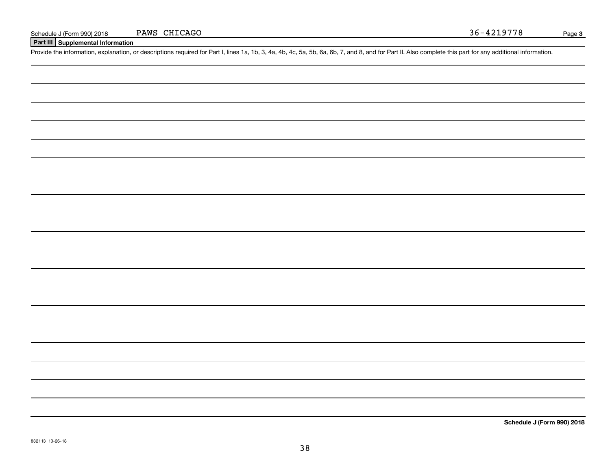### **Part III Supplemental Information**

Schedule J (Form 990) 2018 PAWS CHICAGO<br>Part III Supplemental Information<br>Provide the information, explanation, or descriptions required for Part I, lines 1a, 1b, 3, 4a, 4b, 4c, 5a, 5b, 6a, 6b, 7, and 8, and for Part II. A

**Schedule J (Form 990) 2018**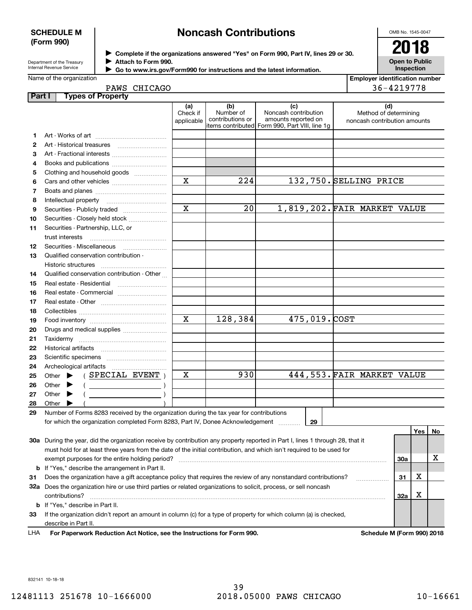### **SCHEDULE M (Form 990)**

## **Noncash Contributions**

OMB No. 1545-0047

Department of the Treasury Internal Revenue Service

**Complete if the organizations answered "Yes" on Form 990, Part IV, lines 29 or 30.** <sup>J</sup>**2018 Attach to Form 990.** J

**Open to Public Inspection**

| Internal Revenue Service | $\triangleright$ Go to www.irs.gov/Form990 for instructions and the latest information. |
|--------------------------|-----------------------------------------------------------------------------------------|
| Name of the organization |                                                                                         |

**Employer identification number**

|              | PAWS CHICAGO                                                                                                                   |                               |                                      |                                                                                                       | 36-4219778                                                   |            |          |   |
|--------------|--------------------------------------------------------------------------------------------------------------------------------|-------------------------------|--------------------------------------|-------------------------------------------------------------------------------------------------------|--------------------------------------------------------------|------------|----------|---|
| Part I       | <b>Types of Property</b>                                                                                                       |                               |                                      |                                                                                                       |                                                              |            |          |   |
|              |                                                                                                                                | (a)<br>Check if<br>applicable | (b)<br>Number of<br>contributions or | (c)<br>Noncash contribution<br>amounts reported on<br>litems contributed Form 990, Part VIII, line 1g | (d)<br>Method of determining<br>noncash contribution amounts |            |          |   |
| 1.           |                                                                                                                                |                               |                                      |                                                                                                       |                                                              |            |          |   |
| $\mathbf{2}$ |                                                                                                                                |                               |                                      |                                                                                                       |                                                              |            |          |   |
| з            | Art - Fractional interests                                                                                                     |                               |                                      |                                                                                                       |                                                              |            |          |   |
| 4            | Books and publications                                                                                                         |                               |                                      |                                                                                                       |                                                              |            |          |   |
| 5            | Clothing and household goods                                                                                                   |                               |                                      |                                                                                                       |                                                              |            |          |   |
| 6            |                                                                                                                                | $\mathbf X$                   | 224                                  |                                                                                                       | 132,750. SELLING PRICE                                       |            |          |   |
| 7            |                                                                                                                                |                               |                                      |                                                                                                       |                                                              |            |          |   |
| 8            | Intellectual property                                                                                                          |                               |                                      |                                                                                                       |                                                              |            |          |   |
| 9            | Securities - Publicly traded                                                                                                   | $\mathbf X$                   | 20                                   |                                                                                                       | 1,819,202. FAIR MARKET VALUE                                 |            |          |   |
| 10           | Securities - Closely held stock                                                                                                |                               |                                      |                                                                                                       |                                                              |            |          |   |
| 11           | Securities - Partnership, LLC, or                                                                                              |                               |                                      |                                                                                                       |                                                              |            |          |   |
|              | trust interests                                                                                                                |                               |                                      |                                                                                                       |                                                              |            |          |   |
| 12           |                                                                                                                                |                               |                                      |                                                                                                       |                                                              |            |          |   |
| 13           | Qualified conservation contribution -                                                                                          |                               |                                      |                                                                                                       |                                                              |            |          |   |
|              | Historic structures                                                                                                            |                               |                                      |                                                                                                       |                                                              |            |          |   |
| 14           | Qualified conservation contribution - Other                                                                                    |                               |                                      |                                                                                                       |                                                              |            |          |   |
| 15           |                                                                                                                                |                               |                                      |                                                                                                       |                                                              |            |          |   |
| 16           | Real estate - Commercial                                                                                                       |                               |                                      |                                                                                                       |                                                              |            |          |   |
| 17           |                                                                                                                                |                               |                                      |                                                                                                       |                                                              |            |          |   |
| 18           |                                                                                                                                |                               |                                      |                                                                                                       |                                                              |            |          |   |
| 19           |                                                                                                                                | $\mathbf x$                   | 128,384                              | 475,019. COST                                                                                         |                                                              |            |          |   |
| 20           | Drugs and medical supplies                                                                                                     |                               |                                      |                                                                                                       |                                                              |            |          |   |
| 21           |                                                                                                                                |                               |                                      |                                                                                                       |                                                              |            |          |   |
| 22           |                                                                                                                                |                               |                                      |                                                                                                       |                                                              |            |          |   |
| 23           |                                                                                                                                |                               |                                      |                                                                                                       |                                                              |            |          |   |
| 24           | Archeological artifacts                                                                                                        |                               |                                      |                                                                                                       |                                                              |            |          |   |
| 25           | (SPECIAL EVENT)<br>Other $\blacktriangleright$                                                                                 | х                             | 930                                  |                                                                                                       | 444,553. FAIR MARKET VALUE                                   |            |          |   |
| 26           | Other $\blacktriangleright$                                                                                                    |                               |                                      |                                                                                                       |                                                              |            |          |   |
| 27           | Other $\blacktriangleright$<br>the company of the company of the company                                                       |                               |                                      |                                                                                                       |                                                              |            |          |   |
| 28           | Other<br>▶                                                                                                                     |                               |                                      |                                                                                                       |                                                              |            |          |   |
| 29           | Number of Forms 8283 received by the organization during the tax year for contributions                                        |                               |                                      |                                                                                                       |                                                              |            |          |   |
|              | for which the organization completed Form 8283, Part IV, Donee Acknowledgement                                                 |                               |                                      | 29                                                                                                    |                                                              |            |          |   |
|              |                                                                                                                                |                               |                                      |                                                                                                       |                                                              |            | Yes   No |   |
|              | 30a During the year, did the organization receive by contribution any property reported in Part I, lines 1 through 28, that it |                               |                                      |                                                                                                       |                                                              |            |          |   |
|              | must hold for at least three years from the date of the initial contribution, and which isn't required to be used for          |                               |                                      |                                                                                                       |                                                              |            |          |   |
|              | exempt purposes for the entire holding period?                                                                                 |                               |                                      |                                                                                                       |                                                              | <b>30a</b> |          | х |
|              | <b>b</b> If "Yes," describe the arrangement in Part II.                                                                        |                               |                                      |                                                                                                       |                                                              |            |          |   |
| 31           | Does the organization have a gift acceptance policy that requires the review of any nonstandard contributions?                 |                               |                                      |                                                                                                       |                                                              | 31         | х        |   |
|              | 32a Does the organization hire or use third parties or related organizations to solicit, process, or sell noncash              |                               |                                      |                                                                                                       |                                                              |            |          |   |
|              | contributions?                                                                                                                 |                               |                                      |                                                                                                       |                                                              | 32a        | х        |   |
|              | <b>b</b> If "Yes," describe in Part II.                                                                                        |                               |                                      |                                                                                                       |                                                              |            |          |   |
| 33           | If the organization didn't report an amount in column (c) for a type of property for which column (a) is checked,              |                               |                                      |                                                                                                       |                                                              |            |          |   |
|              |                                                                                                                                |                               |                                      |                                                                                                       |                                                              |            |          |   |

**For Paperwork Reduction Act Notice, see the Instructions for Form 990. Schedule M (Form 990) 2018**

832141 10-18-18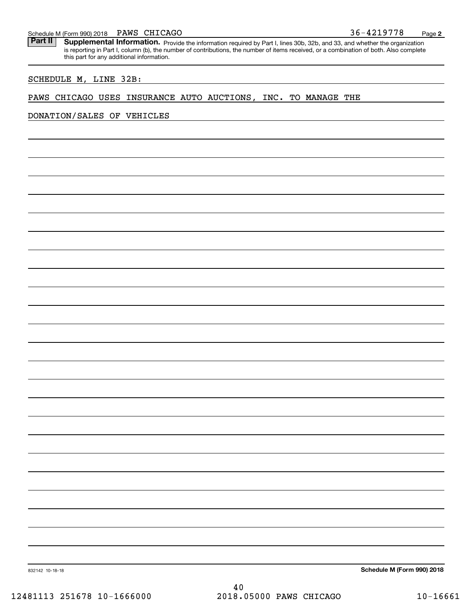### PAWS CHICAGO

Schedule M (Form 990) 2018 PAWS CHICAGO<br>**Part II** Supplemental Information. Provide the information required by Part I. lines 30b. 32b. and 33. and whether the organ Part II | Supplemental Information. Provide the information required by Part I, lines 30b, 32b, and 33, and whether the organization is reporting in Part I, column (b), the number of contributions, the number of items received, or a combination of both. Also complete this part for any additional information.

### SCHEDULE M, LINE 32B:

### PAWS CHICAGO USES INSURANCE AUTO AUCTIONS, INC. TO MANAGE THE

### DONATION/SALES OF VEHICLES

**Schedule M (Form 990) 2018**

832142 10-18-18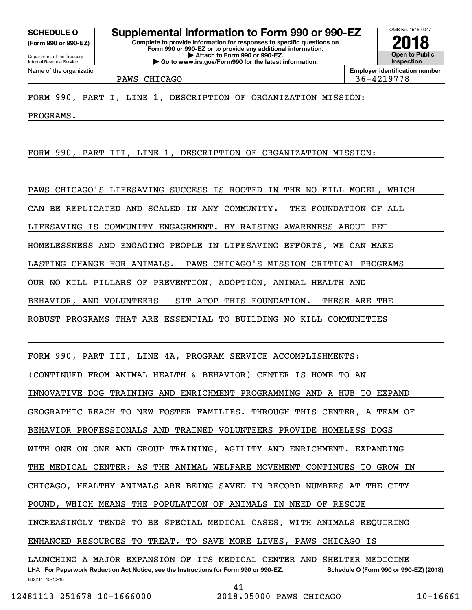**(Form 990 or 990-EZ)**

Department of the Treasury Internal Revenue Service Name of the organization

**Complete to provide information for responses to specific questions on Form 990 or 990-EZ or to provide any additional information. | Attach to Form 990 or 990-EZ. | Go to www.irs.gov/Form990 for the latest information. SCHEDULE O Supplemental Information to Form 990 or 990-EZ**



PAWS CHICAGO 36-4219778

PROGRAMS.

FORM 990, PART III, LINE 1, DESCRIPTION OF ORGANIZATION MISSION:

PAWS CHICAGO'S LIFESAVING SUCCESS IS ROOTED IN THE NO KILL MODEL, WHICH CAN BE REPLICATED AND SCALED IN ANY COMMUNITY. THE FOUNDATION OF ALL LIFESAVING IS COMMUNITY ENGAGEMENT. BY RAISING AWARENESS ABOUT PET HOMELESSNESS AND ENGAGING PEOPLE IN LIFESAVING EFFORTS, WE CAN MAKE LASTING CHANGE FOR ANIMALS. PAWS CHICAGO'S MISSION-CRITICAL PROGRAMS-OUR NO KILL PILLARS OF PREVENTION, ADOPTION, ANIMAL HEALTH AND BEHAVIOR, AND VOLUNTEERS - SIT ATOP THIS FOUNDATION. THESE ARE THE ROBUST PROGRAMS THAT ARE ESSENTIAL TO BUILDING NO KILL COMMUNITIES

LHA For Paperwork Reduction Act Notice, see the Instructions for Form 990 or 990-EZ. Schedule O (Form 990 or 990-EZ) (2018) FORM 990, PART III, LINE 4A, PROGRAM SERVICE ACCOMPLISHMENTS: (CONTINUED FROM ANIMAL HEALTH & BEHAVIOR) CENTER IS HOME TO AN INNOVATIVE DOG TRAINING AND ENRICHMENT PROGRAMMING AND A HUB TO EXPAND GEOGRAPHIC REACH TO NEW FOSTER FAMILIES. THROUGH THIS CENTER, A TEAM OF BEHAVIOR PROFESSIONALS AND TRAINED VOLUNTEERS PROVIDE HOMELESS DOGS WITH ONE-ON-ONE AND GROUP TRAINING, AGILITY AND ENRICHMENT. EXPANDING THE MEDICAL CENTER: AS THE ANIMAL WELFARE MOVEMENT CONTINUES TO GROW IN CHICAGO, HEALTHY ANIMALS ARE BEING SAVED IN RECORD NUMBERS AT THE CITY POUND, WHICH MEANS THE POPULATION OF ANIMALS IN NEED OF RESCUE INCREASINGLY TENDS TO BE SPECIAL MEDICAL CASES, WITH ANIMALS REQUIRING ENHANCED RESOURCES TO TREAT. TO SAVE MORE LIVES, PAWS CHICAGO IS LAUNCHING A MAJOR EXPANSION OF ITS MEDICAL CENTER AND SHELTER MEDICINE

41 12481113 251678 10-1666000 2018.05000 PAWS CHICAGO 10-16661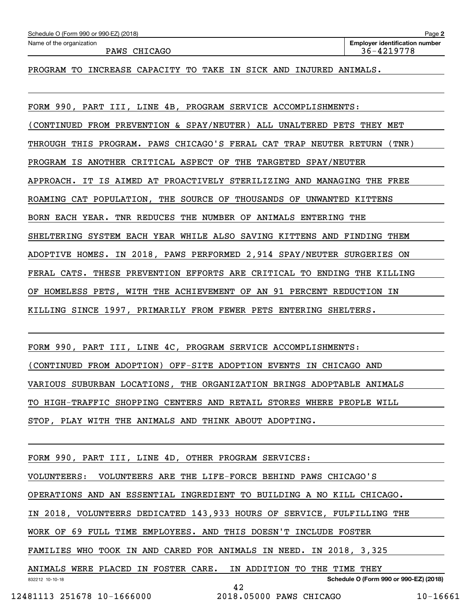| Name of the organization                                          |              |  |  | <b>Employer identification number</b> |
|-------------------------------------------------------------------|--------------|--|--|---------------------------------------|
|                                                                   | PAWS CHICAGO |  |  | 36-4219778                            |
| PROGRAM TO INCREASE CAPACITY TO TAKE IN SICK AND INJURED ANIMALS. |              |  |  |                                       |
|                                                                   |              |  |  |                                       |
|                                                                   |              |  |  |                                       |

FORM 990, PART III, LINE 4B, PROGRAM SERVICE ACCOMPLISHMENTS:

(CONTINUED FROM PREVENTION & SPAY/NEUTER) ALL UNALTERED PETS THEY MET THROUGH THIS PROGRAM. PAWS CHICAGO'S FERAL CAT TRAP NEUTER RETURN (TNR) PROGRAM IS ANOTHER CRITICAL ASPECT OF THE TARGETED SPAY/NEUTER APPROACH. IT IS AIMED AT PROACTIVELY STERILIZING AND MANAGING THE FREE ROAMING CAT POPULATION, THE SOURCE OF THOUSANDS OF UNWANTED KITTENS BORN EACH YEAR. TNR REDUCES THE NUMBER OF ANIMALS ENTERING THE SHELTERING SYSTEM EACH YEAR WHILE ALSO SAVING KITTENS AND FINDING THEM ADOPTIVE HOMES. IN 2018, PAWS PERFORMED 2,914 SPAY/NEUTER SURGERIES ON FERAL CATS. THESE PREVENTION EFFORTS ARE CRITICAL TO ENDING THE KILLING OF HOMELESS PETS, WITH THE ACHIEVEMENT OF AN 91 PERCENT REDUCTION IN KILLING SINCE 1997, PRIMARILY FROM FEWER PETS ENTERING SHELTERS.

FORM 990, PART III, LINE 4C, PROGRAM SERVICE ACCOMPLISHMENTS: (CONTINUED FROM ADOPTION) OFF-SITE ADOPTION EVENTS IN CHICAGO AND VARIOUS SUBURBAN LOCATIONS, THE ORGANIZATION BRINGS ADOPTABLE ANIMALS TO HIGH-TRAFFIC SHOPPING CENTERS AND RETAIL STORES WHERE PEOPLE WILL STOP, PLAY WITH THE ANIMALS AND THINK ABOUT ADOPTING.

832212 10-10-18 **Schedule O (Form 990 or 990-EZ) (2018)** FORM 990, PART III, LINE 4D, OTHER PROGRAM SERVICES: VOLUNTEERS: VOLUNTEERS ARE THE LIFE-FORCE BEHIND PAWS CHICAGO'S OPERATIONS AND AN ESSENTIAL INGREDIENT TO BUILDING A NO KILL CHICAGO. IN 2018, VOLUNTEERS DEDICATED 143,933 HOURS OF SERVICE, FULFILLING THE WORK OF 69 FULL TIME EMPLOYEES. AND THIS DOESN'T INCLUDE FOSTER FAMILIES WHO TOOK IN AND CARED FOR ANIMALS IN NEED. IN 2018, 3,325 ANIMALS WERE PLACED IN FOSTER CARE. IN ADDITION TO THE TIME THEY 42

**2**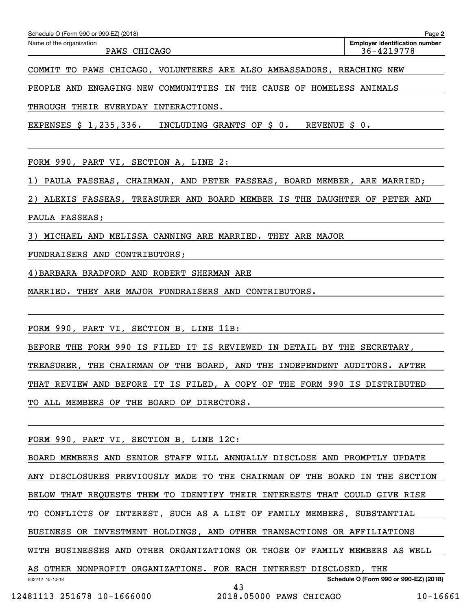| Schedule O (Form 990 or 990-EZ) (2018) | Page 2                                |
|----------------------------------------|---------------------------------------|
| Name of the organization               | <b>Employer identification number</b> |
| PAWS CHICAGO                           | 36-4219778                            |
|                                        |                                       |

COMMIT TO PAWS CHICAGO, VOLUNTEERS ARE ALSO AMBASSADORS, REACHING NEW

PEOPLE AND ENGAGING NEW COMMUNITIES IN THE CAUSE OF HOMELESS ANIMALS

THROUGH THEIR EVERYDAY INTERACTIONS.

EXPENSES \$ 1,235,336. INCLUDING GRANTS OF \$ 0. REVENUE \$ 0.

FORM 990, PART VI, SECTION A, LINE 2:

1) PAULA FASSEAS, CHAIRMAN, AND PETER FASSEAS, BOARD MEMBER, ARE MARRIED;

2) ALEXIS FASSEAS, TREASURER AND BOARD MEMBER IS THE DAUGHTER OF PETER AND

PAULA FASSEAS;

3) MICHAEL AND MELISSA CANNING ARE MARRIED. THEY ARE MAJOR

FUNDRAISERS AND CONTRIBUTORS;

4)BARBARA BRADFORD AND ROBERT SHERMAN ARE

MARRIED. THEY ARE MAJOR FUNDRAISERS AND CONTRIBUTORS.

FORM 990, PART VI, SECTION B, LINE 11B:

BEFORE THE FORM 990 IS FILED IT IS REVIEWED IN DETAIL BY THE SECRETARY,

TREASURER, THE CHAIRMAN OF THE BOARD, AND THE INDEPENDENT AUDITORS. AFTER

THAT REVIEW AND BEFORE IT IS FILED, A COPY OF THE FORM 990 IS DISTRIBUTED

TO ALL MEMBERS OF THE BOARD OF DIRECTORS.

FORM 990, PART VI, SECTION B, LINE 12C:

832212 10-10-18 **Schedule O (Form 990 or 990-EZ) (2018)** BOARD MEMBERS AND SENIOR STAFF WILL ANNUALLY DISCLOSE AND PROMPTLY UPDATE ANY DISCLOSURES PREVIOUSLY MADE TO THE CHAIRMAN OF THE BOARD IN THE SECTION BELOW THAT REQUESTS THEM TO IDENTIFY THEIR INTERESTS THAT COULD GIVE RISE TO CONFLICTS OF INTEREST, SUCH AS A LIST OF FAMILY MEMBERS, SUBSTANTIAL BUSINESS OR INVESTMENT HOLDINGS, AND OTHER TRANSACTIONS OR AFFILIATIONS WITH BUSINESSES AND OTHER ORGANIZATIONS OR THOSE OF FAMILY MEMBERS AS WELL AS OTHER NONPROFIT ORGANIZATIONS. FOR EACH INTEREST DISCLOSED, THE 43

12481113 251678 10-1666000 2018.05000 PAWS CHICAGO 10-16661